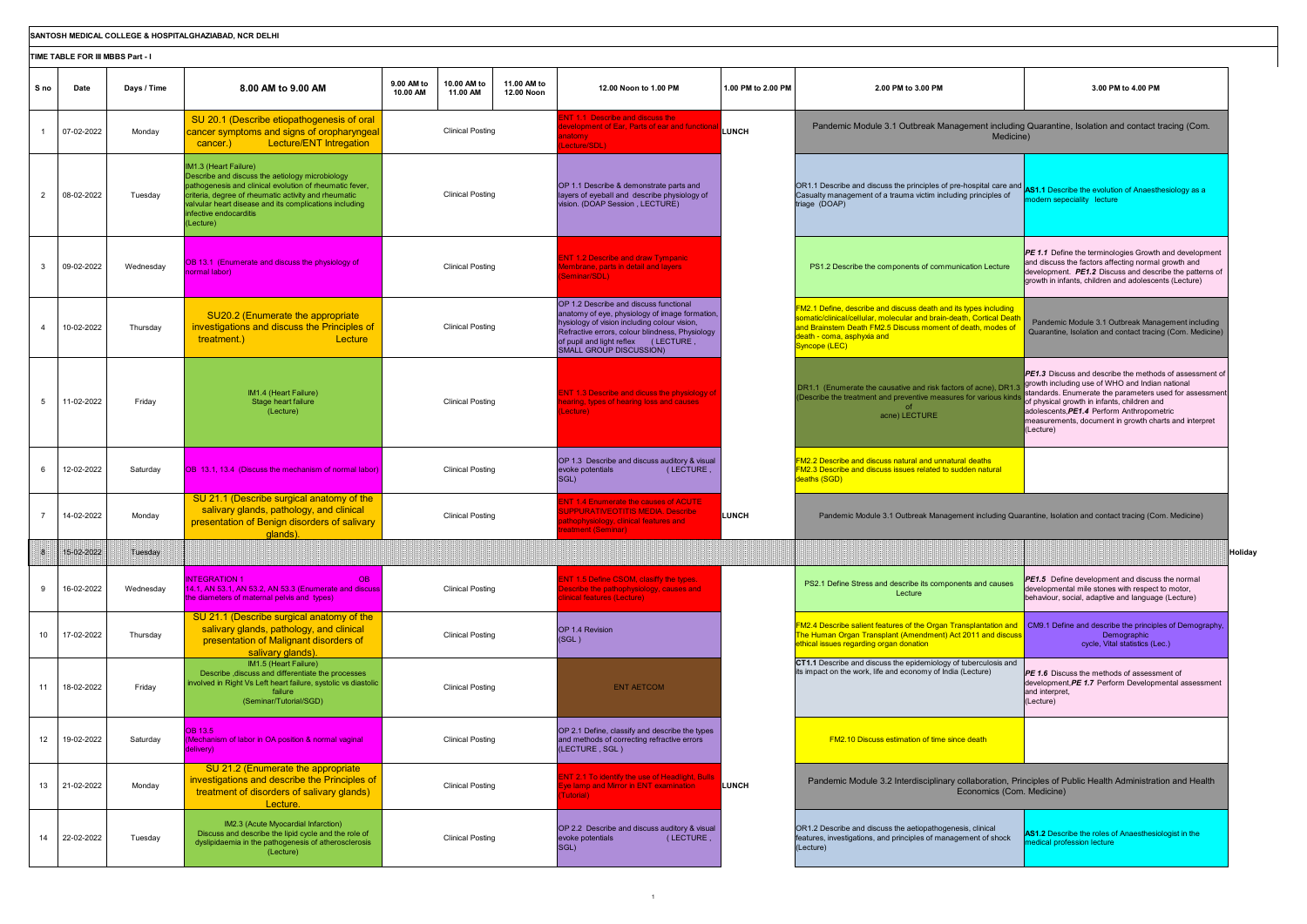|                |                                  |             | SANTOSH MEDICAL COLLEGE & HOSPITALGHAZIABAD, NCR DELHI                                                                                                                                                                                                                                       |                        |                         |                           |                                                                                                                                                                                                                                                               |                    |                                                                                                                                                                                                                                                        |                                                                                                                                                                                                                                                                                                                                        |
|----------------|----------------------------------|-------------|----------------------------------------------------------------------------------------------------------------------------------------------------------------------------------------------------------------------------------------------------------------------------------------------|------------------------|-------------------------|---------------------------|---------------------------------------------------------------------------------------------------------------------------------------------------------------------------------------------------------------------------------------------------------------|--------------------|--------------------------------------------------------------------------------------------------------------------------------------------------------------------------------------------------------------------------------------------------------|----------------------------------------------------------------------------------------------------------------------------------------------------------------------------------------------------------------------------------------------------------------------------------------------------------------------------------------|
|                | TIME TABLE FOR III MBBS Part - I |             |                                                                                                                                                                                                                                                                                              |                        |                         |                           |                                                                                                                                                                                                                                                               |                    |                                                                                                                                                                                                                                                        |                                                                                                                                                                                                                                                                                                                                        |
| S no           | Date                             | Days / Time | 8.00 AM to 9.00 AM                                                                                                                                                                                                                                                                           | 9.00 AM to<br>10.00 AM | 10.00 AM to<br>11.00 AM | 11.00 AM to<br>12.00 Noon | 12.00 Noon to 1.00 PM                                                                                                                                                                                                                                         | 1.00 PM to 2.00 PM | 2.00 PM to 3.00 PM                                                                                                                                                                                                                                     | 3.00 PM to 4.00 PM                                                                                                                                                                                                                                                                                                                     |
|                | 07-02-2022                       | Monday      | SU 20.1 (Describe etiopathogenesis of oral<br>cancer symptoms and signs of oropharyngeal<br><b>Lecture/ENT Intregation</b><br>cancer.)                                                                                                                                                       |                        | <b>Clinical Posting</b> |                           | NT 1.1 Describe and discuss the<br>evelopment of Ear, Parts of ear and functiona<br>atomy<br>ecture/SDL)                                                                                                                                                      | LUNCH              | Pandemic Module 3.1 Outbreak Management including Quarantine, Isolation and contact tracing (Com.<br>Medicine)                                                                                                                                         |                                                                                                                                                                                                                                                                                                                                        |
| $\overline{2}$ | 08-02-2022                       | Tuesday     | IM1.3 (Heart Failure)<br>Describe and discuss the aetiology microbiology<br>pathogenesis and clinical evolution of rheumatic fever,<br>criteria, degree of rheumatic activity and rheumatic<br>valvular heart disease and its complications including<br>infective endocarditis<br>(Lecture) |                        | <b>Clinical Posting</b> |                           | OP 1.1 Describe & demonstrate parts and<br>layers of eyeball and describe physiology of<br>ision, (DOAP Session, LECTURE)                                                                                                                                     |                    | OR1.1 Describe and discuss the principles of pre-hospital care and <b>AS1.1 Describe the evolution of Anaesthesiology as a</b><br>Casualty management of a trauma victim including principles of<br>triage (DOAP)                                      | nodern sepeciality lecture                                                                                                                                                                                                                                                                                                             |
| $\mathbf{3}$   | 09-02-2022                       | Wednesdav   | OB 13.1 (Enumerate and discuss the physiology of<br>ormal labor)                                                                                                                                                                                                                             |                        | <b>Clinical Posting</b> |                           | NT 1.2 Describe and draw Tympanic<br>lembrane, parts in detail and layers<br>eminar/SDL)                                                                                                                                                                      |                    | PS1.2 Describe the components of communication Lecture                                                                                                                                                                                                 | PE 1.1 Define the terminologies Growth and development<br>and discuss the factors affecting normal growth and<br>development. PE1.2 Discuss and describe the patterns of<br>growth in infants, children and adolescents (Lecture)                                                                                                      |
| $\overline{4}$ | 10-02-2022                       | Thursday    | SU20.2 (Enumerate the appropriate<br>investigations and discuss the Principles of<br>treatment.)<br>Lecture                                                                                                                                                                                  |                        | <b>Clinical Posting</b> |                           | OP 1.2 Describe and discuss functional<br>anatomy of eye, physiology of image formation,<br>hysiology of vision including colour vision,<br>Refractive errors, colour blindness, Physiology<br>of pupil and light reflex (LECTURE,<br>SMALL GROUP DISCUSSION) |                    | FM2.1 Define, describe and discuss death and its types including<br>somatic/clinical/cellular, molecular and brain-death, Cortical Death<br>and Brainstem Death FM2.5 Discuss moment of death, modes of<br>death - coma, asphyxia and<br>Syncope (LEC) | Pandemic Module 3.1 Outbreak Management including<br>Quarantine, Isolation and contact tracing (Com. Medicine)                                                                                                                                                                                                                         |
| $\sqrt{5}$     | 11-02-2022                       | Friday      | IM1.4 (Heart Failure)<br>Stage heart failure<br>(Lecture)                                                                                                                                                                                                                                    |                        | <b>Clinical Posting</b> |                           | NT 1.3 Describe and dicuss the physiology of<br>earing, types of hearing loss and causes<br>ecture)                                                                                                                                                           |                    | DR1.1 (Enumerate the causative and risk factors of acne), DR1.3<br>(Describe the treatment and preventive measures for various kinds<br>acne) LECTURE                                                                                                  | PE1.3 Discuss and describe the methods of assessment of<br>arowth including use of WHO and Indian national<br>standards. Enumerate the parameters used for assessment<br>of physical growth in infants, children and<br>adolescents.PE1.4 Perform Anthropometric<br>measurements, document in growth charts and interpret<br>(Lecture) |
| 6              | 12-02-2022                       | Saturday    | OB 13.1, 13.4 (Discuss the mechanism of normal labor)                                                                                                                                                                                                                                        |                        | Clinical Posting        |                           | OP 1.3 Describe and discuss auditory & visual<br>(LECTURE.<br>evoke potentials<br>SGL)                                                                                                                                                                        |                    | FM2.2 Describe and discuss natural and unnatural deaths<br>FM2.3 Describe and discuss issues related to sudden natural<br>deaths (SGD)                                                                                                                 |                                                                                                                                                                                                                                                                                                                                        |
| $\overline{7}$ | 14-02-2022                       | Monday      | SU 21.1 (Describe surgical anatomy of the<br>salivary glands, pathology, and clinical<br>presentation of Benign disorders of salivary<br>glands)                                                                                                                                             |                        | <b>Clinical Posting</b> |                           | NT 1.4 Enumerate the causes of ACUTE<br><b>UPPURATIVEOTITIS MEDIA. Describe</b><br>athophysiology, clinical features and<br>eatment (Seminar)                                                                                                                 | <b>LUNCH</b>       | Pandemic Module 3.1 Outbreak Management including Quarantine, Isolation and contact tracing (Com. Medicine)                                                                                                                                            |                                                                                                                                                                                                                                                                                                                                        |
|                | 15-02-2022                       | Tuesday     |                                                                                                                                                                                                                                                                                              |                        |                         |                           |                                                                                                                                                                                                                                                               |                    |                                                                                                                                                                                                                                                        | Holiday                                                                                                                                                                                                                                                                                                                                |
| 9              | 16-02-2022                       | Wednesday   | <b>INTEGRATION 1</b><br>$\overline{OB}$<br>14.1, AN 53.1, AN 53.2, AN 53.3 (Enumerate and discus<br>the diameters of maternal pelvis and types)                                                                                                                                              |                        | <b>Clinical Posting</b> |                           | NT 1.5 Define CSOM, clasiffy the types.<br>escribe the pathophysiology, causes and<br>inical features (Lecture)                                                                                                                                               |                    | PS2.1 Define Stress and describe its components and causes<br>Lecture                                                                                                                                                                                  | PE1.5 Define development and discuss the normal<br>developmental mile stones with respect to motor,<br>behaviour, social, adaptive and language (Lecture)                                                                                                                                                                              |
| 10             | 17-02-2022                       | Thursday    | SU 21.1 (Describe surgical anatomy of the<br>salivary glands, pathology, and clinical<br>presentation of Malignant disorders of<br>salivary glands).                                                                                                                                         |                        | Clinical Posting        |                           | OP 1.4 Revision<br>(SGL)                                                                                                                                                                                                                                      |                    | <b>FM2.4 Describe salient features of the Organ Transplantation and</b><br>The Human Organ Transplant (Amendment) Act 2011 and discuss<br>ethical issues regarding organ donation                                                                      | CM9.1 Define and describe the principles of Demography,<br>Demographic<br>cycle, Vital statistics (Lec.)                                                                                                                                                                                                                               |
| 11             | 18-02-2022                       | Friday      | IM1.5 (Heart Failure)<br>Describe , discuss and differentiate the processes<br>nvolved in Right Vs Left heart failure, systolic vs diastolic<br>failure<br>(Seminar/Tutorial/SGD)                                                                                                            |                        | <b>Clinical Posting</b> |                           | <b>ENT AETCOM</b>                                                                                                                                                                                                                                             |                    | CT1.1 Describe and discuss the epidemiology of tuberculosis and<br>its impact on the work, life and economy of India (Lecture)                                                                                                                         | PE 1.6 Discuss the methods of assessment of<br>development, PE 1.7 Perform Developmental assessment<br>and interpret,<br>(Lecture)                                                                                                                                                                                                     |
| 12             | 19-02-2022                       | Saturday    | <b>OB 13.5</b><br>(Mechanism of labor in OA position & normal vaginal<br>delivery)                                                                                                                                                                                                           |                        | <b>Clinical Posting</b> |                           | OP 2.1 Define, classify and describe the types<br>and methods of correcting refractive errors<br>(LECTURE, SGL)                                                                                                                                               |                    | FM2.10 Discuss estimation of time since death                                                                                                                                                                                                          |                                                                                                                                                                                                                                                                                                                                        |
| 13             | 21-02-2022                       | Monday      | SU 21.2 (Enumerate the appropriate<br>investigations and describe the Principles of<br>treatment of disorders of salivary glands)<br>Lecture.                                                                                                                                                |                        | <b>Clinical Posting</b> |                           | NT 2.1 To identify the use of Headlight, Bulls<br>ye lamp and Mirror in ENT examination<br>utorial)                                                                                                                                                           | <b>LUNCH</b>       | Pandemic Module 3.2 Interdisciplinary collaboration, Principles of Public Health Administration and Health<br>Economics (Com. Medicine)                                                                                                                |                                                                                                                                                                                                                                                                                                                                        |
| 14             | 22-02-2022                       | Tuesday     | IM2.3 (Acute Myocardial Infarction)<br>Discuss and describe the lipid cycle and the role of<br>dyslipidaemia in the pathogenesis of atherosclerosis<br>(Lecture)                                                                                                                             |                        | <b>Clinical Posting</b> |                           | OP 2.2 Describe and discuss auditory & visual<br>(LECTURE,<br>evoke potentials<br>SGL)                                                                                                                                                                        |                    | OR1.2 Describe and discuss the aetiopathogenesis, clinical<br>features, investigations, and principles of management of shock<br>(Lecture)                                                                                                             | AS1.2 Describe the roles of Anaesthesiologist in the<br>nedical profession lecture                                                                                                                                                                                                                                                     |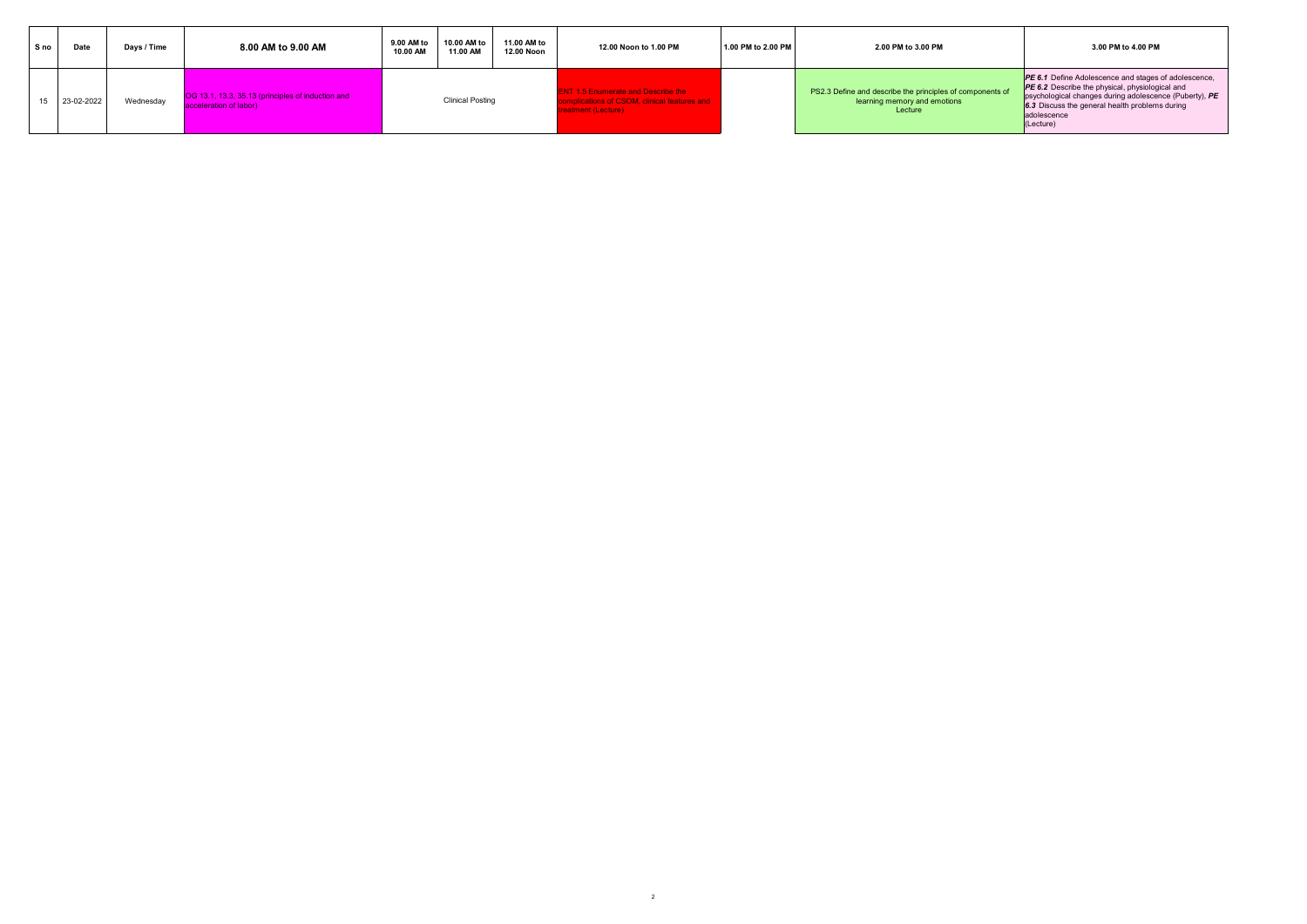| S no | Date       | Days / Time | 8.00 AM to 9.00 AM                                                          | 9.00 AM to<br>10.00 AM | 10.00 AM to<br>11.00 AM to<br>11.00 AM<br>12.00 Noon | 12.00 Noon to 1.00 PM                                                                                     | 1.00 PM to 2.00 PM | 2.00 PM to 3.00 PM                                                                                   | 3.00 PM to 4.00 PM                                                                                                                                                                                                                                            |
|------|------------|-------------|-----------------------------------------------------------------------------|------------------------|------------------------------------------------------|-----------------------------------------------------------------------------------------------------------|--------------------|------------------------------------------------------------------------------------------------------|---------------------------------------------------------------------------------------------------------------------------------------------------------------------------------------------------------------------------------------------------------------|
|      | 23-02-2022 | Wednesday   | OG 13.1, 13.3, 35.13 (principles of induction and<br>acceleration of labor) |                        | <b>Clinical Posting</b>                              | ANT 1.5 Enumerate and Describe the<br><b>Cations of CSOM, clinical features and A</b><br>atment (Lecture) |                    | PS2.3 Define and describe the principles of components of<br>learning memory and emotions<br>Lecture | <b>PE 6.1</b> Define Adolescence and stages of adolescence,<br><b>PE 6.2</b> Describe the physical, physiological and<br>psychological changes during adolescence (Puberty), PE<br>6.3 Discuss the general health problems during<br>adolescence<br>(Lecture) |

2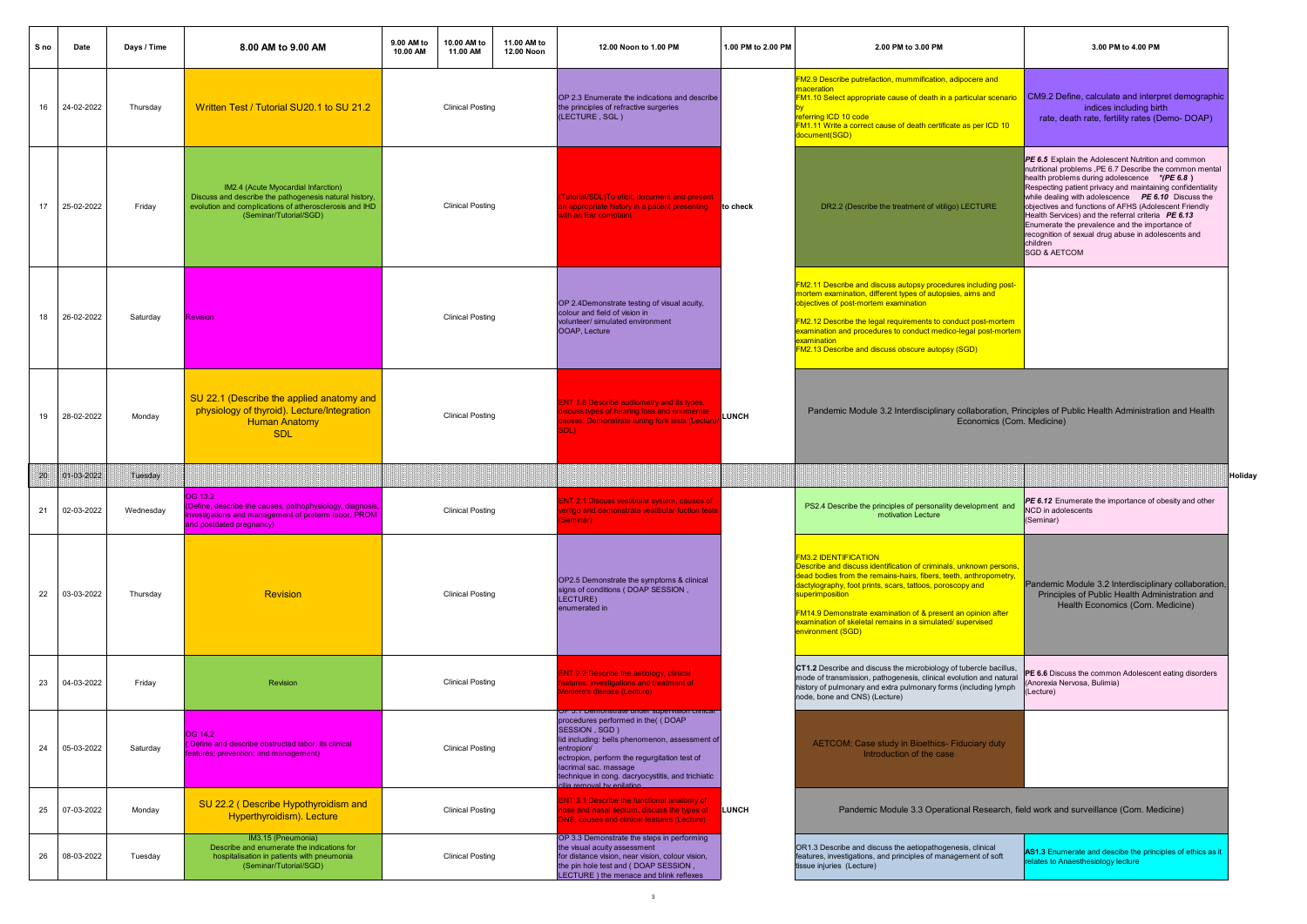| S no | Date       | Days / Time           | 8.00 AM to 9.00 AM                                                                                                                                                                | 9.00 AM to<br>10.00 AM to<br>10.00 AM<br>11.00 AM | 11.00 AM to<br>12.00 Noon | 12.00 Noon to 1.00 PM                                                                                                                                                                                                                                                                              | 1.00 PM to 2.00 PM | 2.00 PM to 3.00 PM                                                                                                                                                                                                                                                                                                                                                                                        | 3.00 PM to 4.00 PM                                                                                                                                                                                                                                                                                                                                                                                                                                                                                                                               |
|------|------------|-----------------------|-----------------------------------------------------------------------------------------------------------------------------------------------------------------------------------|---------------------------------------------------|---------------------------|----------------------------------------------------------------------------------------------------------------------------------------------------------------------------------------------------------------------------------------------------------------------------------------------------|--------------------|-----------------------------------------------------------------------------------------------------------------------------------------------------------------------------------------------------------------------------------------------------------------------------------------------------------------------------------------------------------------------------------------------------------|--------------------------------------------------------------------------------------------------------------------------------------------------------------------------------------------------------------------------------------------------------------------------------------------------------------------------------------------------------------------------------------------------------------------------------------------------------------------------------------------------------------------------------------------------|
| 16   | 24-02-2022 | Thursday              | Written Test / Tutorial SU20.1 to SU 21.2                                                                                                                                         | Clinical Posting                                  |                           | OP 2.3 Enumerate the indications and describe<br>the principles of refractive surgeries<br>(LECTURE, SGL)                                                                                                                                                                                          |                    | FM2.9 Describe putrefaction, mummification, adipocere and<br>maceration<br>FM1.10 Select appropriate cause of death in a particular scenario<br>referring ICD 10 code<br>FM1.11 Write a correct cause of death certificate as per ICD 10<br>document(SGD)                                                                                                                                                 | CM9.2 Define, calculate and interpret demographic<br>indices including birth<br>rate, death rate, fertility rates (Demo-DOAP)                                                                                                                                                                                                                                                                                                                                                                                                                    |
| 17   | 25-02-2022 | Friday                | IM2.4 (Acute Myocardial Infarction)<br>Discuss and describe the pathogenesis natural history,<br>evolution and complications of atherosclerosis and IHD<br>(Seminar/Tutorial/SGD) | <b>Clinical Posting</b>                           |                           | utorial/SDL)To elicit, document and present<br>n appropriate history in a patient presenting<br>ith an Ear complaint                                                                                                                                                                               | to check           | DR2.2 (Describe the treatment of vitiligo) LECTURE                                                                                                                                                                                                                                                                                                                                                        | PE 6.5 Explain the Adolescent Nutrition and common<br>nutritional problems ,PE 6.7 Describe the common mental<br>health problems during adolescence *(PE 6.8)<br>Respecting patient privacy and maintaining confidentiality<br>while dealing with adolescence PE 6.10 Discuss the<br>objectives and functions of AFHS (Adolescent Friendly<br>Health Services) and the referral criteria PE 6.13<br>Enumerate the prevalence and the importance of<br>recognition of sexual drug abuse in adolescents and<br>children<br><b>SGD &amp; AETCOM</b> |
| 18   | 26-02-2022 | Saturday              | Revision                                                                                                                                                                          | Clinical Posting                                  |                           | OP 2.4Demonstrate testing of visual acuity,<br>colour and field of vision in<br>volunteer/ simulated environment<br>OOAP, Lecture                                                                                                                                                                  |                    | FM2.11 Describe and discuss autopsy procedures including post-<br>nortem examination, different types of autopsies, aims and<br>objectives of post-mortem examination<br>FM2.12 Describe the legal requirements to conduct post-mortem<br>examination and procedures to conduct medico-legal post-mortem<br>examination<br>FM2.13 Describe and discuss obscure autopsy (SGD)                              |                                                                                                                                                                                                                                                                                                                                                                                                                                                                                                                                                  |
| 19   | 28-02-2022 | Monday                | SU 22.1 (Describe the applied anatomy and<br>physiology of thyroid). Lecture/Integration<br><b>Human Anatomy</b><br><b>SDL</b>                                                    | <b>Clinical Posting</b>                           |                           | NT 1.6 Describe audiometry and its types,<br>scuss types of hearing loss and enumerate<br>auses. Demonstrate tuning fork tests (Lecture<br>DL).                                                                                                                                                    | <b>LUNCH</b>       | Pandemic Module 3.2 Interdisciplinary collaboration, Principles of Public Health Administration and Health<br>Economics (Com. Medicine)                                                                                                                                                                                                                                                                   |                                                                                                                                                                                                                                                                                                                                                                                                                                                                                                                                                  |
|      |            |                       |                                                                                                                                                                                   |                                                   |                           |                                                                                                                                                                                                                                                                                                    |                    |                                                                                                                                                                                                                                                                                                                                                                                                           |                                                                                                                                                                                                                                                                                                                                                                                                                                                                                                                                                  |
| BS   | 31-33-2322 | <b><i>Tuesday</i></b> |                                                                                                                                                                                   |                                                   |                           |                                                                                                                                                                                                                                                                                                    |                    |                                                                                                                                                                                                                                                                                                                                                                                                           | Holiday                                                                                                                                                                                                                                                                                                                                                                                                                                                                                                                                          |
| 21   | 02-03-2022 | Wednesday             | OG 13.2<br>(Define, describe the causes, pathophysiology, diagnosis,<br>investigations and management of preterm labor, PROM<br>and postdated pregnancy)                          | <b>Clinical Posting</b>                           |                           | NT 2.1 Discuss vestibular system, causes of<br>ertigo and demonstrate vestibular fuction tests<br>eminar)                                                                                                                                                                                          |                    | PS2.4 Describe the principles of personality development and<br>motivation Lecture                                                                                                                                                                                                                                                                                                                        | PE 6.12 Enumerate the importance of obesity and other<br>NCD in adolescents<br>(Seminar)                                                                                                                                                                                                                                                                                                                                                                                                                                                         |
| 22   | 03-03-2022 | Thursday              | <b>Revision</b>                                                                                                                                                                   | <b>Clinical Posting</b>                           |                           | OP2.5 Demonstrate the symptoms & clinical<br>signs of conditions (DOAP SESSION,<br>LECTURE)<br>enumerated in                                                                                                                                                                                       |                    | <b>FM3.2 IDENTIFICATION</b><br>Describe and discuss identification of criminals, unknown persons,<br>dead bodies from the remains-hairs, fibers, teeth, anthropometry,<br>dactylography, foot prints, scars, tattoos, poroscopy and<br>superimposition<br>FM14.9 Demonstrate examination of & present an opinion after<br>examination of skeletal remains in a simulated/ supervised<br>environment (SGD) | Pandemic Module 3.2 Interdisciplinary collaboration,<br>Principles of Public Health Administration and<br>Health Economics (Com. Medicine)                                                                                                                                                                                                                                                                                                                                                                                                       |
| 23   | 04-03-2022 | Friday                | Revision                                                                                                                                                                          | <b>Clinical Posting</b>                           |                           | NT 2.2 Describe the aetiology, clinical<br>atures, investigations and treatment of<br>eniere's disease (Lecture)                                                                                                                                                                                   |                    | CT1.2 Describe and discuss the microbiology of tubercle bacillus,<br>mode of transmission, pathogenesis, clinical evolution and natural<br>history of pulmonary and extra pulmonary forms (including lymph<br>node, bone and CNS) (Lecture)                                                                                                                                                               | PE 6.6 Discuss the common Adolescent eating disorders<br>(Anorexia Nervosa, Bulimia)<br>(Lecture)                                                                                                                                                                                                                                                                                                                                                                                                                                                |
| 24   | 05-03-2022 | Saturday              | OG 14.2<br>Define and describe obstructed labor, its clinical<br>eatures: prevention: and management)                                                                             | <b>Clinical Posting</b>                           |                           | OP 3.1 Demonstrate under supervision clinical<br>procedures performed in the( (DOAP<br>SESSION, SGD)<br>lid including: bells phenomenon, assessment of<br>entropion/<br>ectropion, perform the regurgitation test of<br>lacrimal sac. massage<br>technique in cong. dacryocystitis, and trichiatic |                    | AETCOM: Case study in Bioethics- Fiduciary duty<br>Introduction of the case                                                                                                                                                                                                                                                                                                                               |                                                                                                                                                                                                                                                                                                                                                                                                                                                                                                                                                  |
| 25   | 07-03-2022 | Monday                | SU 22.2 (Describe Hypothyroidism and<br>Hyperthyroidism). Lecture                                                                                                                 | <b>Clinical Posting</b>                           |                           | NT 3.1 Describe the functional anatomy of<br>lose and nasal septum, discuss the types of<br>NS, causes and clinical features (Lecture)                                                                                                                                                             | LUNCH              | Pandemic Module 3.3 Operational Research, field work and surveillance (Com. Medicine)                                                                                                                                                                                                                                                                                                                     |                                                                                                                                                                                                                                                                                                                                                                                                                                                                                                                                                  |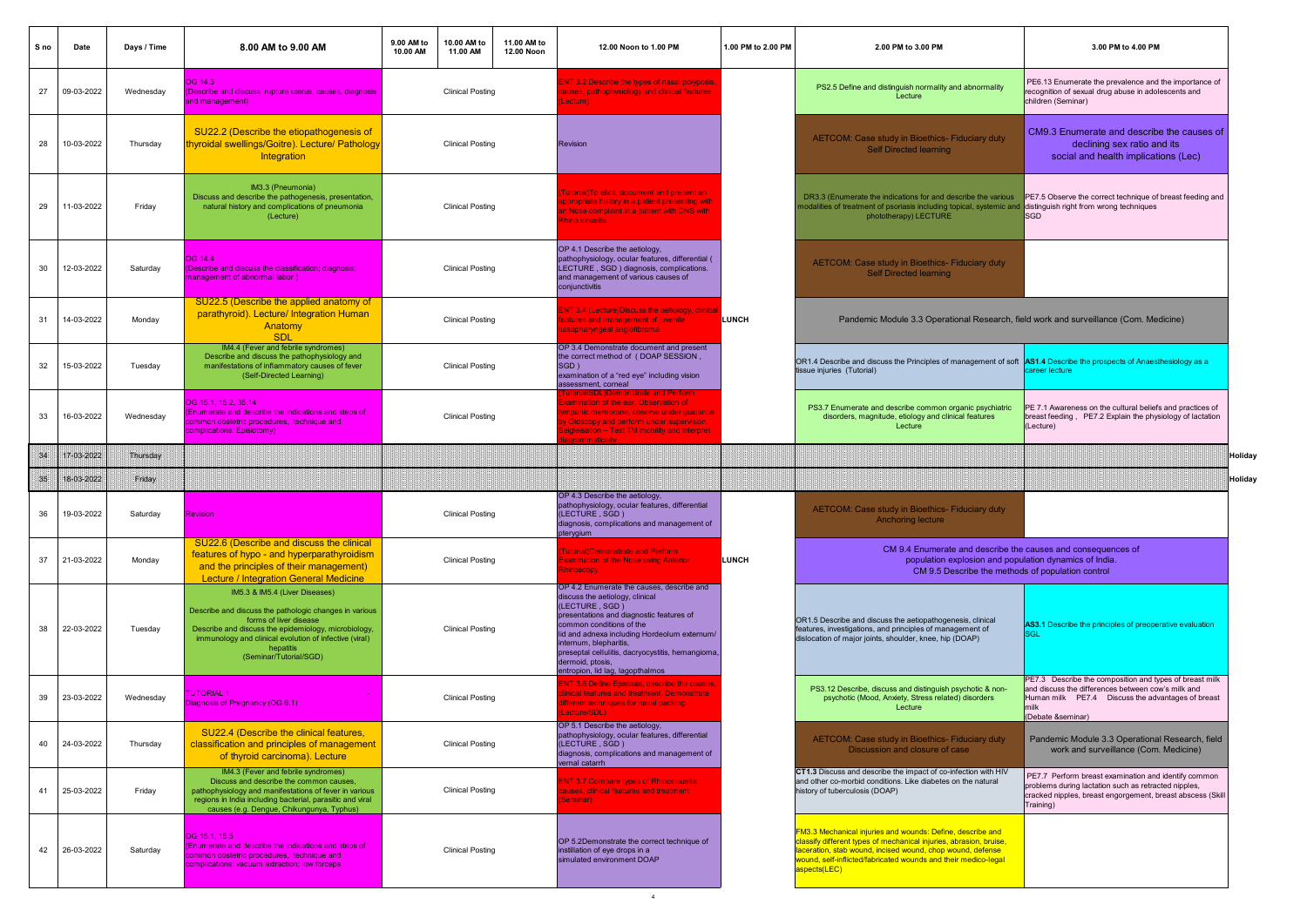| S no | Date       | Days / Time | 8.00 AM to 9.00 AM                                                                                                                                                                                                                                                          | 9.00 AM to<br>10.00 AM | 10.00 AM to<br>11.00 AM | 11.00 AM to<br>12.00 Noon | 12.00 Noon to 1.00 PM                                                                                                                                                                                                                                                                                                                                        | 1.00 PM to 2.00 PM | 2.00 PM to 3.00 PM                                                                                                                                                                                                                                                               | 3.00 PM to 4.00 PM                                                                                                                                                                              |         |
|------|------------|-------------|-----------------------------------------------------------------------------------------------------------------------------------------------------------------------------------------------------------------------------------------------------------------------------|------------------------|-------------------------|---------------------------|--------------------------------------------------------------------------------------------------------------------------------------------------------------------------------------------------------------------------------------------------------------------------------------------------------------------------------------------------------------|--------------------|----------------------------------------------------------------------------------------------------------------------------------------------------------------------------------------------------------------------------------------------------------------------------------|-------------------------------------------------------------------------------------------------------------------------------------------------------------------------------------------------|---------|
| 27   | 09-03-2022 | Wednesday   | <b>DG 14.3</b><br>(Describe and discuss rupture uterus, causes, diagnosis<br>and management                                                                                                                                                                                 |                        | <b>Clinical Posting</b> |                           | NT 3.2 Describe the types of nasal polyposis<br>auses, pathophysiology and clinical features<br>ecture)                                                                                                                                                                                                                                                      |                    | PS2.5 Define and distinguish normality and abnormality<br>Lecture                                                                                                                                                                                                                | PE6.13 Enumerate the prevalence and the importance of<br>recognition of sexual drug abuse in adolescents and<br>children (Seminar)                                                              |         |
| 28   | 10-03-2022 | Thursday    | SU22.2 (Describe the etiopathogenesis of<br>thyroidal swellings/Goitre). Lecture/ Pathology<br>Integration                                                                                                                                                                  |                        | <b>Clinical Posting</b> |                           | Revision                                                                                                                                                                                                                                                                                                                                                     |                    | AETCOM: Case study in Bioethics- Fiduciary duty<br><b>Self Directed learning</b>                                                                                                                                                                                                 | CM9.3 Enumerate and describe the causes of<br>declining sex ratio and its<br>social and health implications (Lec)                                                                               |         |
| 29   | 11-03-2022 | Friday      | IM3.3 (Pneumonia)<br>Discuss and describe the pathogenesis, presentation,<br>natural history and complications of pneumonia<br>(Lecture)                                                                                                                                    |                        | <b>Clinical Posting</b> |                           | utorial) To elicit, document and present an<br>propriate history in a patient presenting with<br>Nose complaint in a patient with DNS with<br>hino sinusitis                                                                                                                                                                                                 |                    | DR3.3 (Enumerate the indications for and describe the various PE7.5 Observe the correct technique of breast feeding and<br>nodalities of treatment of psoriasis including topical, systemic and distinguish right from wrong techniques<br>phototherapy) LECTURE                 | <b>SGD</b>                                                                                                                                                                                      |         |
| 30   | 12-03-2022 | Saturday    | OG 14.4<br>(Describe and discuss the classification; diagnosis;<br>nanagement of abnormal labor ]                                                                                                                                                                           |                        | <b>Clinical Posting</b> |                           | OP 4.1 Describe the aetiology,<br>pathophysiology, ocular features, differential (<br>LECTURE, SGD) diagnosis, complications.<br>and management of various causes of<br>conjunctivitis                                                                                                                                                                       |                    | <b>AETCOM: Case study in Bioethics- Fiduciary duty</b><br><b>Self Directed learning</b>                                                                                                                                                                                          |                                                                                                                                                                                                 |         |
| 31   | 14-03-2022 | Monday      | SU22.5 (Describe the applied anatomy of<br>parathyroid). Lecture/ Integration Human<br>Anatomy<br><b>SDL</b>                                                                                                                                                                |                        | <b>Clinical Posting</b> |                           | NT 3.4 (Lecture)Discuss the aetiology, clinica<br>atures and management of juvenile<br>asopharyngeal angiofibroma                                                                                                                                                                                                                                            | <b>LUNCH</b>       | Pandemic Module 3.3 Operational Research, field work and surveillance (Com. Medicine)                                                                                                                                                                                            |                                                                                                                                                                                                 |         |
| 32   | 15-03-2022 | Tuesday     | IM4.4 (Fever and febrile syndromes)<br>Describe and discuss the pathophysiology and<br>manifestations of inflammatory causes of fever<br>(Self-Directed Learning)                                                                                                           |                        | <b>Clinical Posting</b> |                           | OP 3.4 Demonstrate document and present<br>the correct method of (DOAP SESSION,<br>SGD)<br>examination of a "red eye" including vision<br>assessment, corneal                                                                                                                                                                                                |                    | OR1.4 Describe and discuss the Principles of management of soft AS1.4 Describe the prospects of Anaesthesiology as a<br>tissue injuries (Tutorial)                                                                                                                               | career lecture                                                                                                                                                                                  |         |
| 33   | 16-03-2022 | Wednesday   | OG 15.1, 15.2, 35.14<br><b>Enumerate and describe the indications and steps of</b><br>common obstetric procedures, technique and<br><b>complications: Episiotomy)</b>                                                                                                       |                        | <b>Clinical Posting</b> |                           | amination of the ear, Observation of<br>npanic membrane, observe under guidance<br>Otoscopy and perform under supervision,<br>igleisation – Test TM mobility and interpret<br><b>urammatically</b>                                                                                                                                                           |                    | PS3.7 Enumerate and describe common organic psychiatric<br>disorders, magnitude, etiology and clinical features<br>Lecture                                                                                                                                                       | PE 7.1 Awareness on the cultural beliefs and practices of<br>breast feeding, PE7.2 Explain the physiology of lactation<br>(Lecture)                                                             |         |
| 44   | VI-03-2022 | Thursday    |                                                                                                                                                                                                                                                                             |                        |                         |                           |                                                                                                                                                                                                                                                                                                                                                              |                    |                                                                                                                                                                                                                                                                                  |                                                                                                                                                                                                 | Holiday |
| 25   | 18-03-2022 | Friday      |                                                                                                                                                                                                                                                                             |                        |                         |                           |                                                                                                                                                                                                                                                                                                                                                              |                    |                                                                                                                                                                                                                                                                                  |                                                                                                                                                                                                 | Holiday |
| 36   | 19-03-2022 | Saturday    | <b>Revision</b>                                                                                                                                                                                                                                                             |                        | <b>Clinical Posting</b> |                           | OP 4.3 Describe the aetiology,<br>athophysiology, ocular features, differential<br>(LECTURE, SGD)<br>diagnosis, complications and management of<br>oterygium                                                                                                                                                                                                 |                    | AETCOM: Case study in Bioethics- Fiduciary duty<br>Anchoring lecture                                                                                                                                                                                                             |                                                                                                                                                                                                 |         |
| 37   | 21-03-2022 | Monday      | SU22.6 (Describe and discuss the clinical<br>features of hypo - and hyperparathyroidism<br>and the principles of their management)<br>Lecture / Integration General Medicine                                                                                                |                        | <b>Clinical Posting</b> |                           | utorial)Demonstrate and Perform<br>xamination of the Nose using Anterior<br>hinoscopy                                                                                                                                                                                                                                                                        | LUNCH              | CM 9.4 Enumerate and describe the causes and consequences of<br>population explosion and population dynamics of India.<br>CM 9.5 Describe the methods of population control                                                                                                      |                                                                                                                                                                                                 |         |
| 38   | 22-03-2022 | Tuesday     | IM5.3 & IM5.4 (Liver Diseases)<br>Describe and discuss the pathologic changes in various<br>forms of liver disease<br>Describe and discuss the epidemiology, microbiology,<br>immunology and clinical evolution of infective (viral)<br>hepatitis<br>(Seminar/Tutorial/SGD) |                        | <b>Clinical Posting</b> |                           | OP 4.2 Enumerate the causes, describe and<br>discuss the aetiology, clinical<br>(LECTURE, SGD)<br>presentations and diagnostic features of<br>common conditions of the<br>lid and adnexa including Hordeolum externum/<br>internum, blepharitis,<br>preseptal cellulitis, dacryocystitis, hemangioma<br>dermoid, ptosis,<br>intropion, lid lag, lagopthalmos |                    | OR1.5 Describe and discuss the aetiopathogenesis, clinical<br>features, investigations, and principles of management of<br>dislocation of major joints, shoulder, knee, hip (DOAP)                                                                                               | AS3.1 Describe the principles of preoperative evaluation<br>SGL                                                                                                                                 |         |
| 39   | 23-03-2022 | Wednesday   | TUTORIAL 1<br>Diagnosis of Pregnancy (OG 6.1)                                                                                                                                                                                                                               |                        | <b>Clinical Posting</b> |                           | NT 3.6 Define Epistaxis, describe the causes<br>nical features and treatment. Demonstrate<br>fferent techniques for nasal packing.<br>ecture/SDL)                                                                                                                                                                                                            |                    | PS3.12 Describe, discuss and distinguish psychotic & non-<br>psychotic (Mood, Anxiety, Stress related) disorders<br>Lecture                                                                                                                                                      | PE7.3 Describe the composition and types of breast milk<br>and discuss the differences between cow's milk and<br>Human milk PE7.4 Discuss the advantages of breast<br>milk<br>(Debate &seminar) |         |
| 40   | 24-03-2022 | Thursday    | SU22.4 (Describe the clinical features,<br>classification and principles of management<br>of thyroid carcinoma). Lecture                                                                                                                                                    |                        | <b>Clinical Posting</b> |                           | OP 5.1 Describe the aetiology,<br>pathophysiology, ocular features, differential<br>(LECTURE, SGD)<br>diagnosis, complications and management of<br>vernal catarrh                                                                                                                                                                                           |                    | AETCOM: Case study in Bioethics- Fiduciary duty<br>Discussion and closure of case                                                                                                                                                                                                | Pandemic Module 3.3 Operational Research, field<br>work and surveillance (Com. Medicine)                                                                                                        |         |
| 41   | 25-03-2022 | Friday      | IM4.3 (Fever and febrile syndromes)<br>Discuss and describe the common causes,<br>pathophysiology and manifestations of fever in various<br>regions in India including bacterial, parasitic and viral<br>causes (e.g. Dengue, Chikungunya, Typhus)                          |                        | <b>Clinical Posting</b> |                           | <b>NT 3.7 Compare types of Rhinosinusitis,</b><br>auses, clinical features and treatment<br>seminar).                                                                                                                                                                                                                                                        |                    | CT1.3 Discuss and describe the impact of co-infection with HIV<br>and other co-morbid conditions. Like diabetes on the natural<br>history of tuberculosis (DOAP)                                                                                                                 | PE7.7 Perform breast examination and identify common<br>problems during lactation such as retracted nipples,<br>cracked nipples, breast engorgement, breast abscess (Skill<br>Training)         |         |
| 42   | 26-03-2022 | Saturday    | OG 15.1, 15.5<br>Enumerate and describe the indications and steps of<br>common obstetric procedures, technique and<br>complications: vacuum extraction: low forceps                                                                                                         |                        | <b>Clinical Posting</b> |                           | OP 5.2Demonstrate the correct technique of<br>nstillation of eye drops in a<br>simulated environment DOAP                                                                                                                                                                                                                                                    |                    | FM3.3 Mechanical injuries and wounds: Define, describe and<br>classify different types of mechanical injuries, abrasion, bruise,<br>laceration, stab wound, incised wound, chop wound, defense<br>wound, self-inflicted/fabricated wounds and their medico-legal<br>aspects(LEC) |                                                                                                                                                                                                 |         |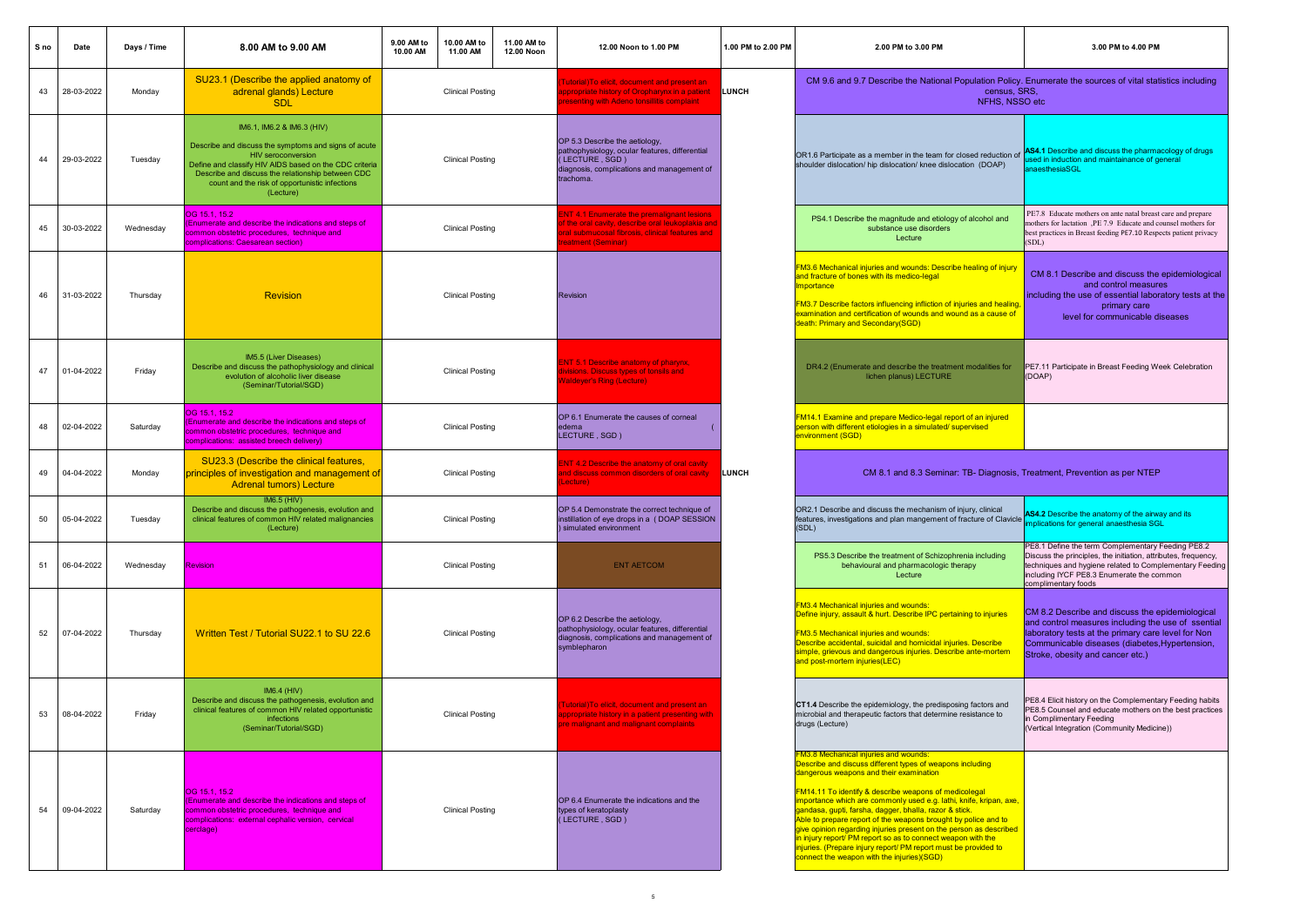| S no | Date       | Days / Time | 8.00 AM to 9.00 AM                                                                                                                                                                                                                                                                            | 9.00 AM to<br>10.00 AM | 10.00 AM to<br>11.00 AM | 11.00 AM to<br>12.00 Noon | 12.00 Noon to 1.00 PM                                                                                                                                                        | 1.00 PM to 2.00 PM | 2.00 PM to 3.00 PM                                                                                                                                                                                                                                                                                                                                                                                                                                                                                                                                                                                                                                                                | 3.00 PM to 4.00 PM                                                                                                                                                                                                                                 |
|------|------------|-------------|-----------------------------------------------------------------------------------------------------------------------------------------------------------------------------------------------------------------------------------------------------------------------------------------------|------------------------|-------------------------|---------------------------|------------------------------------------------------------------------------------------------------------------------------------------------------------------------------|--------------------|-----------------------------------------------------------------------------------------------------------------------------------------------------------------------------------------------------------------------------------------------------------------------------------------------------------------------------------------------------------------------------------------------------------------------------------------------------------------------------------------------------------------------------------------------------------------------------------------------------------------------------------------------------------------------------------|----------------------------------------------------------------------------------------------------------------------------------------------------------------------------------------------------------------------------------------------------|
| 43   | 28-03-2022 | Monday      | SU23.1 (Describe the applied anatomy of<br>adrenal glands) Lecture<br><b>SDL</b>                                                                                                                                                                                                              |                        | <b>Clinical Posting</b> |                           | Futorial)To elicit, document and present an<br>ppropriate history of Oropharynx in a patient<br>esenting with Adeno tonsillitis complaint                                    | LUNCH              | CM 9.6 and 9.7 Describe the National Population Policy. Enumerate the sources of vital statistics including<br>census, SRS.<br>NFHS, NSSO etc                                                                                                                                                                                                                                                                                                                                                                                                                                                                                                                                     |                                                                                                                                                                                                                                                    |
| 44   | 29-03-2022 | Tuesday     | IM6.1, IM6.2 & IM6.3 (HIV)<br>Describe and discuss the symptoms and signs of acute<br><b>HIV</b> seroconversion<br>Define and classify HIV AIDS based on the CDC criteria<br>Describe and discuss the relationship between CDC<br>count and the risk of opportunistic infections<br>(Lecture) |                        | <b>Clinical Posting</b> |                           | OP 5.3 Describe the aetiology,<br>pathophysiology, ocular features, differential<br>(LECTURE, SGD)<br>diagnosis, complications and management of<br>trachoma.                |                    | OR1.6 Participate as a member in the team for closed reduction of<br>shoulder dislocation/ hip dislocation/ knee dislocation (DOAP)                                                                                                                                                                                                                                                                                                                                                                                                                                                                                                                                               | AS4.1 Describe and discuss the pharmacology of drugs<br>used in induction and maintainance of general<br><b>naesthesiaSGL</b>                                                                                                                      |
| 45   | 30-03-2022 | Wednesday   | OG 15.1.15.2<br>(Enumerate and describe the indications and steps of<br>common obstetric procedures, technique and<br>complications: Caesarean section)                                                                                                                                       |                        | <b>Clinical Posting</b> |                           | <b>ENT 4.1 Enumerate the premalignant lesions</b><br>f the oral cavity, describe oral leukoplakia and<br>ral submucosal fibrosis, clinical features and<br>eatment (Seminar) |                    | PS4.1 Describe the magnitude and etiology of alcohol and<br>substance use disorders<br>Lecture                                                                                                                                                                                                                                                                                                                                                                                                                                                                                                                                                                                    | PE7.8 Educate mothers on ante natal breast care and prepare<br>mothers for lactation ,PE 7.9 Educate and counsel mothers for<br>best practices in Breast feeding PE7.10 Respects patient privacy<br>(SDL)                                          |
| 46   | 31-03-2022 | Thursday    | <b>Revision</b>                                                                                                                                                                                                                                                                               |                        | <b>Clinical Posting</b> |                           | Revision                                                                                                                                                                     |                    | FM3.6 Mechanical injuries and wounds: Describe healing of injury<br>and fracture of bones with its medico-legal<br>Importance<br>FM3.7 Describe factors influencing infliction of injuries and healing<br>examination and certification of wounds and wound as a cause of<br>death: Primary and Secondary(SGD)                                                                                                                                                                                                                                                                                                                                                                    | CM 8.1 Describe and discuss the epidemiological<br>and control measures<br>including the use of essential laboratory tests at the<br>primary care<br>level for communicable diseases                                                               |
| 47   | 01-04-2022 | Friday      | IM5.5 (Liver Diseases)<br>Describe and discuss the pathophysiology and clinical<br>evolution of alcoholic liver disease<br>(Seminar/Tutorial/SGD)                                                                                                                                             |                        | <b>Clinical Posting</b> |                           | <b>NT 5.1 Describe anatomy of pharynx,</b><br>ivisions. Discuss types of tonsils and<br>Valdeyer's Ring (Lecture)                                                            |                    | DR4.2 (Enumerate and describe the treatment modalities for<br>lichen planus) LECTURE                                                                                                                                                                                                                                                                                                                                                                                                                                                                                                                                                                                              | PE7.11 Participate in Breast Feeding Week Celebration<br>(DOAP)                                                                                                                                                                                    |
| 48   | 02-04-2022 | Saturday    | OG 15.1, 15.2<br>(Enumerate and describe the indications and steps of<br>common obstetric procedures, technique and<br>complications: assisted breech delivery)                                                                                                                               |                        | <b>Clinical Posting</b> |                           | OP 6.1 Enumerate the causes of corneal<br>edema<br>LECTURE, SGD)                                                                                                             |                    | FM14.1 Examine and prepare Medico-legal report of an injured<br>person with different etiologies in a simulated/ supervised<br>environment (SGD)                                                                                                                                                                                                                                                                                                                                                                                                                                                                                                                                  |                                                                                                                                                                                                                                                    |
| 49   | 04-04-2022 | Monday      | SU23.3 (Describe the clinical features,<br>principles of investigation and management of<br><b>Adrenal tumors) Lecture</b>                                                                                                                                                                    |                        | <b>Clinical Posting</b> |                           | <b>NT 4.2 Describe the anatomy of oral cavity</b><br>nd discuss common disorders of oral cavity<br>Lecture)                                                                  | LUNCH              | CM 8.1 and 8.3 Seminar: TB- Diagnosis, Treatment, Prevention as per NTEP                                                                                                                                                                                                                                                                                                                                                                                                                                                                                                                                                                                                          |                                                                                                                                                                                                                                                    |
| 50   | 05-04-2022 | Tuesday     | $IM6.5$ (HIV)<br>Describe and discuss the pathogenesis, evolution and<br>clinical features of common HIV related malignancies<br>(Lecture)                                                                                                                                                    |                        | <b>Clinical Posting</b> |                           | OP 5.4 Demonstrate the correct technique of<br>instillation of eye drops in a (DOAP SESSION<br>simulated environment                                                         |                    | OR2.1 Describe and discuss the mechanism of injury, clinical<br>features, investigations and plan mangement of fracture of Clavicle<br>(SDL)                                                                                                                                                                                                                                                                                                                                                                                                                                                                                                                                      | AS4.2 Describe the anatomy of the airway and its<br>mplications for general anaesthesia SGL                                                                                                                                                        |
| 51   | 06-04-2022 | Wednesday   | Revision                                                                                                                                                                                                                                                                                      |                        | <b>Clinical Posting</b> |                           | <b>ENT AETCOM</b>                                                                                                                                                            |                    | PS5.3 Describe the treatment of Schizophrenia including<br>behavioural and pharmacologic therapy<br>Lecture                                                                                                                                                                                                                                                                                                                                                                                                                                                                                                                                                                       | PE8.1 Define the term Complementary Feeding PE8.2<br>Discuss the principles, the initiation, attributes, frequency,<br>techniques and hygiene related to Complementary Feeding<br>including IYCF PE8.3 Enumerate the common<br>complimentary foods |
| 52   | 07-04-2022 | Thursday    | Written Test / Tutorial SU22.1 to SU 22.6                                                                                                                                                                                                                                                     |                        | <b>Clinical Posting</b> |                           | OP 6.2 Describe the aetiology,<br>pathophysiology, ocular features, differential<br>diagnosis, complications and management of<br>symblepharon                               |                    | <b>FM3.4 Mechanical injuries and wounds:</b><br>Define injury, assault & hurt. Describe IPC pertaining to injuries<br><b>FM3.5 Mechanical injuries and wounds:</b><br>Describe accidental, suicidal and homicidal injuries. Describe<br>simple, grievous and dangerous injuries. Describe ante-mortem<br>and post-mortem injuries(LEC)                                                                                                                                                                                                                                                                                                                                            | CM 8.2 Describe and discuss the epidemiological<br>and control measures including the use of ssential<br>aboratory tests at the primary care level for Non<br>Communicable diseases (diabetes, Hypertension,<br>Stroke, obesity and cancer etc.)   |
| 53   | 08-04-2022 | Friday      | IM6.4 (HIV)<br>Describe and discuss the pathogenesis, evolution and<br>clinical features of common HIV related opportunistic<br>infections<br>(Seminar/Tutorial/SGD)                                                                                                                          |                        | <b>Clinical Posting</b> |                           | Futorial)To elicit, document and present an<br>ppropriate history in a patient presenting with                                                                               |                    | CT1.4 Describe the epidemiology, the predisposing factors and<br>microbial and therapeutic factors that determine resistance to<br>drugs (Lecture)                                                                                                                                                                                                                                                                                                                                                                                                                                                                                                                                | PE8.4 Elicit history on the Complementary Feeding habits<br>PE8.5 Counsel and educate mothers on the best practices<br>in Complimentary Feeding<br>(Vertical Integration (Community Medicine))                                                     |
| 54   | 09-04-2022 | Saturday    | OG 15.1, 15.2<br>(Enumerate and describe the indications and steps of<br>common obstetric procedures, technique and<br>complications: external cephalic version, cervical<br>cerclage)                                                                                                        |                        | <b>Clinical Posting</b> |                           | OP 6.4 Enumerate the indications and the<br>types of keratoplasty<br>(LECTURE, SGD)                                                                                          |                    | <b>FM3.8 Mechanical injuries and wounds:</b><br>Describe and discuss different types of weapons including<br>dangerous weapons and their examination<br><b>FM14.11 To identify &amp; describe weapons of medicolegal</b><br>importance which are commonly used e.g. lathi, knife, kripan, axe,<br>gandasa, gupti, farsha, dagger, bhalla, razor & stick.<br>Able to prepare report of the weapons brought by police and to<br>give opinion regarding injuries present on the person as described<br>in injury report/ PM report so as to connect weapon with the<br>injuries. (Prepare injury report/ PM report must be provided to<br>connect the weapon with the injuries)(SGD) |                                                                                                                                                                                                                                                    |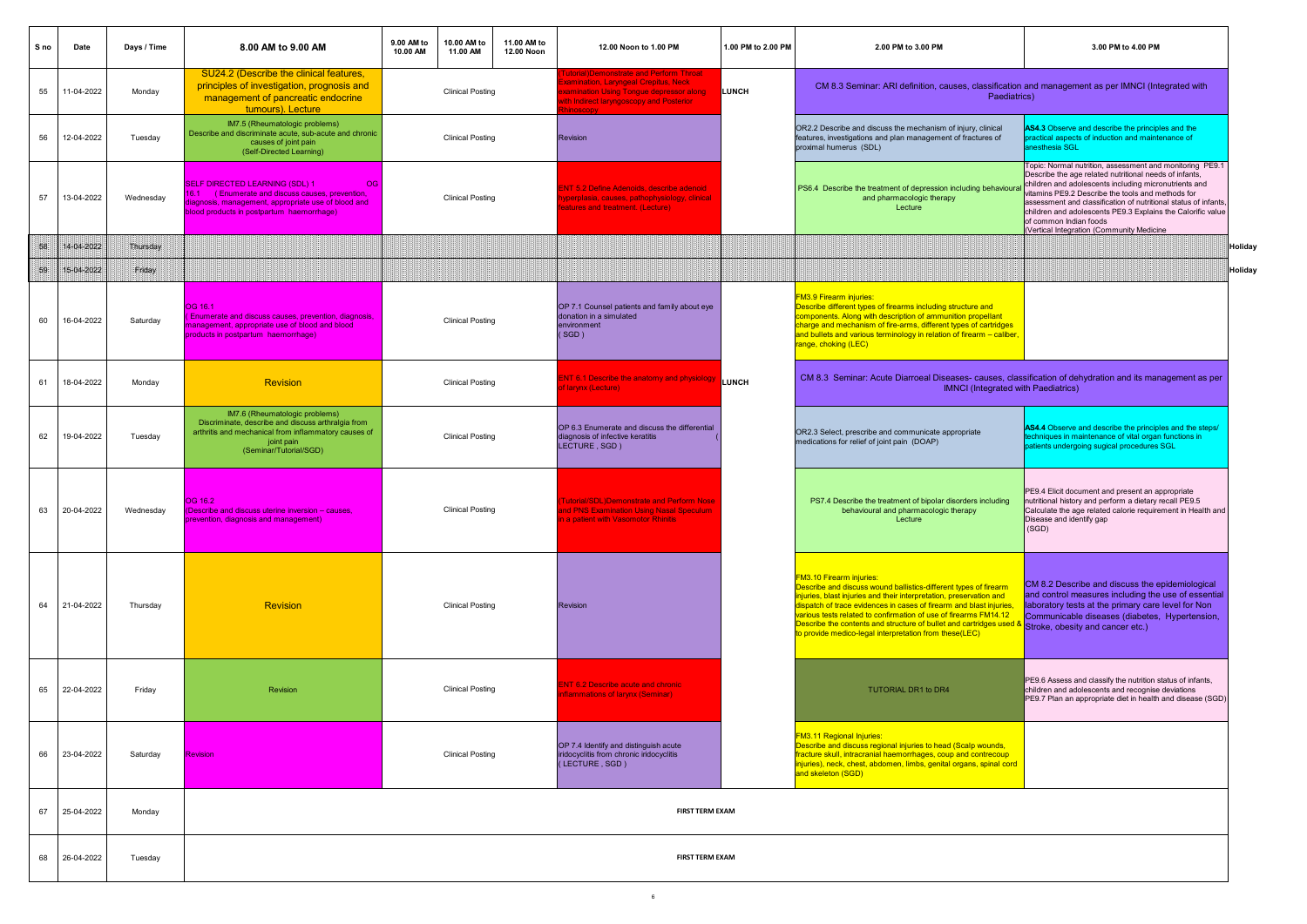| S no | Date       | Days / Time | 8.00 AM to 9.00 AM                                                                                                                                                                                           | 9.00 AM to<br>10.00 AM to<br>10.00 AM<br>11.00 AM | 11.00 AM to<br>12.00 Noon | 12.00 Noon to 1.00 PM                                                                                                                                               | 1.00 PM to 2.00 PM | 2.00 PM to 3.00 PM                                                                                                                                                                                                                                                                                                                                                                                                                                  | 3.00 PM to 4.00 PM                                                                                                                                                                                                                                                                                                                                                                                                                        |         |
|------|------------|-------------|--------------------------------------------------------------------------------------------------------------------------------------------------------------------------------------------------------------|---------------------------------------------------|---------------------------|---------------------------------------------------------------------------------------------------------------------------------------------------------------------|--------------------|-----------------------------------------------------------------------------------------------------------------------------------------------------------------------------------------------------------------------------------------------------------------------------------------------------------------------------------------------------------------------------------------------------------------------------------------------------|-------------------------------------------------------------------------------------------------------------------------------------------------------------------------------------------------------------------------------------------------------------------------------------------------------------------------------------------------------------------------------------------------------------------------------------------|---------|
| 55   | 11-04-2022 | Monday      | SU24.2 (Describe the clinical features,<br>principles of investigation, prognosis and<br>management of pancreatic endocrine<br>tumours). Lecture                                                             | <b>Clinical Posting</b>                           |                           | utorial)Demonstrate and Perform Throat<br>xamination, Laryngeal Crepitus, Neckl<br>amination Using Tongue depressor along<br>th Indirect laryngoscopy and Posterior | <b>LUNCH</b>       | CM 8.3 Seminar: ARI definition, causes, classification and management as per IMNCI (Integrated with<br>Paediatrics)                                                                                                                                                                                                                                                                                                                                 |                                                                                                                                                                                                                                                                                                                                                                                                                                           |         |
| 56   | 12-04-2022 | Tuesday     | IM7.5 (Rheumatologic problems)<br>Describe and discriminate acute, sub-acute and chronic<br>causes of joint pain<br>(Self-Directed Learning)                                                                 | Clinical Posting                                  |                           | Revision                                                                                                                                                            |                    | OR2.2 Describe and discuss the mechanism of injury, clinical<br>features, investigations and plan management of fractures of<br>proximal humerus (SDL)                                                                                                                                                                                                                                                                                              | AS4.3 Observe and describe the principles and the<br>practical aspects of induction and maintenance of<br>anesthesia SGL                                                                                                                                                                                                                                                                                                                  |         |
| 57   | 13-04-2022 | Wednesday   | <b>SELF DIRECTED LEARNING (SDL) 1</b><br><b>OG</b><br>(Enumerate and discuss causes, prevention,<br>16.1<br>diagnosis, management, appropriate use of blood and<br>olood products in postpartum haemorrhage) | <b>Clinical Posting</b>                           |                           | NT 5.2 Define Adenoids, describe adenoid<br>/perplasia, causes, pathophysiology, clinical<br>atures and treatment. (Lecture)                                        |                    | PS6.4 Describe the treatment of depression including behavioural<br>and pharmacologic therapy<br>Lecture                                                                                                                                                                                                                                                                                                                                            | Topic: Normal nutrition, assessment and monitoring PE9.1<br>Describe the age related nutritional needs of infants,<br>children and adolescents including micronutrients and<br>vitamins PE9.2 Describe the tools and methods for<br>assessment and classification of nutritional status of infants.<br>children and adolescents PE9.3 Explains the Calorific value<br>of common Indian foods<br>(Vertical Integration (Community Medicine |         |
| 58   | 14-04-2022 | Thursday    |                                                                                                                                                                                                              |                                                   |                           |                                                                                                                                                                     |                    |                                                                                                                                                                                                                                                                                                                                                                                                                                                     |                                                                                                                                                                                                                                                                                                                                                                                                                                           | Holiday |
| 29   | 15-04-2022 | Friday      |                                                                                                                                                                                                              |                                                   |                           |                                                                                                                                                                     |                    |                                                                                                                                                                                                                                                                                                                                                                                                                                                     |                                                                                                                                                                                                                                                                                                                                                                                                                                           | Holiday |
| 60   | 16-04-2022 | Saturday    | OG 16.1<br>Enumerate and discuss causes, prevention, diagnosis,<br>management, appropriate use of blood and blood<br>products in postpartum haemorrhage)                                                     | <b>Clinical Posting</b>                           |                           | OP 7.1 Counsel patients and family about eye<br>donation in a simulated<br>environment<br>(SGD)                                                                     |                    | <b>FM3.9 Firearm injuries:</b><br>Describe different types of firearms including structure and<br>components. Along with description of ammunition propellant<br>charge and mechanism of fire-arms, different types of cartridges<br>and bullets and various terminology in relation of firearm - caliber,<br>range, choking (LEC)                                                                                                                  |                                                                                                                                                                                                                                                                                                                                                                                                                                           |         |
| 61   | 18-04-2022 | Monday      | <b>Revision</b>                                                                                                                                                                                              | <b>Clinical Posting</b>                           |                           | NT 6.1 Describe the anatomy and physiology<br>larynx (Lecture)                                                                                                      | LUNCH              | CM 8.3 Seminar: Acute Diarroeal Diseases- causes, classification of dehydration and its management as per<br><b>IMNCI</b> (Integrated with Paediatrics)                                                                                                                                                                                                                                                                                             |                                                                                                                                                                                                                                                                                                                                                                                                                                           |         |
| 62   | 19-04-2022 | Tuesday     | IM7.6 (Rheumatologic problems)<br>Discriminate, describe and discuss arthralgia from<br>arthritis and mechanical from inflammatory causes of<br>joint pain<br>(Seminar/Tutorial/SGD)                         | <b>Clinical Posting</b>                           |                           | OP 6.3 Enumerate and discuss the differential<br>diagnosis of infective keratitis<br>LECTURE, SGD)                                                                  |                    | OR2.3 Select, prescribe and communicate appropriate<br>medications for relief of joint pain (DOAP)                                                                                                                                                                                                                                                                                                                                                  | AS4.4 Observe and describe the principles and the steps/<br>techniques in maintenance of vital organ functions in<br>patients undergoing sugical procedures SGL                                                                                                                                                                                                                                                                           |         |
| 63   | 20-04-2022 | Wednesday   | OG 16.2<br>(Describe and discuss uterine inversion - causes,<br>prevention, diagnosis and management)                                                                                                        | <b>Clinical Posting</b>                           |                           | utorial/SDL)Demonstrate and Perform Nose<br><b>nd PNS Examination Using Nasal Speculum</b><br>a patient with Vasomotor Rhinitis                                     |                    | PS7.4 Describe the treatment of bipolar disorders including<br>behavioural and pharmacologic therapy<br>Lecture                                                                                                                                                                                                                                                                                                                                     | PE9.4 Elicit document and present an appropriate<br>nutritional history and perform a dietary recall PE9.5<br>Calculate the age related calorie requirement in Health and<br>Disease and identify gap<br>(SGD)                                                                                                                                                                                                                            |         |
| 64   | 21-04-2022 | Thursday    | <b>Revision</b>                                                                                                                                                                                              | <b>Clinical Posting</b>                           |                           | Revision                                                                                                                                                            |                    | <b>FM3.10 Firearm injuries:</b><br>Describe and discuss wound ballistics-different types of firearm<br>njuries, blast injuries and their interpretation, preservation and<br>dispatch of trace evidences in cases of firearm and blast injuries,<br>various tests related to confirmation of use of firearms FM14.12<br>Describe the contents and structure of bullet and cartridges used<br>to provide medico-legal interpretation from these(LEC) | CM 8.2 Describe and discuss the epidemiological<br>and control measures including the use of essential<br>laboratory tests at the primary care level for Non<br>Communicable diseases (diabetes, Hypertension,<br>Stroke, obesity and cancer etc.)                                                                                                                                                                                        |         |
| 65   | 22-04-2022 | Friday      | Revision                                                                                                                                                                                                     | <b>Clinical Posting</b>                           |                           | NT 6.2 Describe acute and chronic<br>lammations of larynx (Seminar)                                                                                                 |                    | TUTORIAL DR1 to DR4                                                                                                                                                                                                                                                                                                                                                                                                                                 | PE9.6 Assess and classify the nutrition status of infants,<br>children and adolescents and recognise deviations<br>PE9.7 Plan an appropriate diet in health and disease (SGD)                                                                                                                                                                                                                                                             |         |
| 66   | 23-04-2022 | Saturday    | Revision                                                                                                                                                                                                     | <b>Clinical Posting</b>                           |                           | OP 7.4 Identify and distinguish acute<br>iridocyclitis from chronic iridocyclitis<br>(LECTURE, SGD)                                                                 |                    | <b>FM3.11 Regional Injuries:</b><br>Describe and discuss regional injuries to head (Scalp wounds,<br>fracture skull, intracranial haemorrhages, coup and contrecoup_<br>injuries), neck, chest, abdomen, limbs, genital organs, spinal cord<br>and skeleton (SGD)                                                                                                                                                                                   |                                                                                                                                                                                                                                                                                                                                                                                                                                           |         |
| 67   | 25-04-2022 | Monday      |                                                                                                                                                                                                              |                                                   |                           | <b>FIRST TERM EXAM</b>                                                                                                                                              |                    |                                                                                                                                                                                                                                                                                                                                                                                                                                                     |                                                                                                                                                                                                                                                                                                                                                                                                                                           |         |
| 68   | 26-04-2022 | Tuesday     |                                                                                                                                                                                                              |                                                   |                           | <b>FIRST TERM EXAM</b>                                                                                                                                              |                    |                                                                                                                                                                                                                                                                                                                                                                                                                                                     |                                                                                                                                                                                                                                                                                                                                                                                                                                           |         |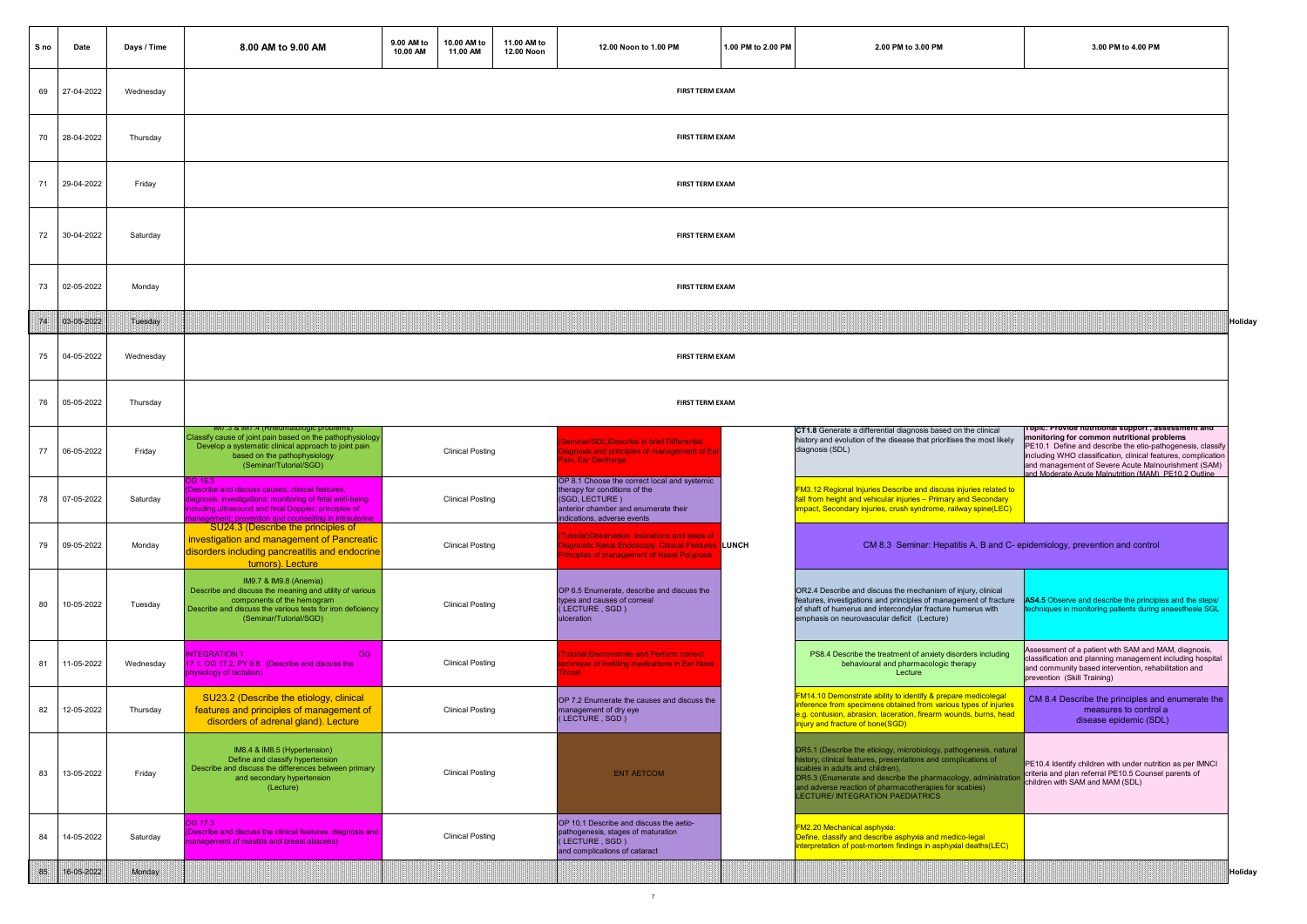| S <sub>no</sub> | Date       | Days / Time | 8.00 AM to 9.00 AM                                                                                                                                                                                                                           | 9.00 AM to<br>10.00 AM | 10.00 AM to<br>11.00 AM | 11.00 AM to<br>12.00 Noon | 12.00 Noon to 1.00 PM                                                                                                                                                  | 1.00 PM to 2.00 PM | 2.00 PM to 3.00 PM                                                                                                                                                                                                                                                                                                                     | 3.00 PM to 4.00 PM                                                                                                                                                                                                                                                                                                                               |         |
|-----------------|------------|-------------|----------------------------------------------------------------------------------------------------------------------------------------------------------------------------------------------------------------------------------------------|------------------------|-------------------------|---------------------------|------------------------------------------------------------------------------------------------------------------------------------------------------------------------|--------------------|----------------------------------------------------------------------------------------------------------------------------------------------------------------------------------------------------------------------------------------------------------------------------------------------------------------------------------------|--------------------------------------------------------------------------------------------------------------------------------------------------------------------------------------------------------------------------------------------------------------------------------------------------------------------------------------------------|---------|
| 69              | 27-04-2022 | Wednesday   |                                                                                                                                                                                                                                              |                        |                         |                           | <b>FIRST TERM EXAM</b>                                                                                                                                                 |                    |                                                                                                                                                                                                                                                                                                                                        |                                                                                                                                                                                                                                                                                                                                                  |         |
| 70              | 28-04-2022 | Thursday    |                                                                                                                                                                                                                                              |                        |                         |                           | <b>FIRST TERM EXAM</b>                                                                                                                                                 |                    |                                                                                                                                                                                                                                                                                                                                        |                                                                                                                                                                                                                                                                                                                                                  |         |
| 71              | 29-04-2022 | Friday      |                                                                                                                                                                                                                                              |                        |                         |                           | <b>FIRST TERM EXAM</b>                                                                                                                                                 |                    |                                                                                                                                                                                                                                                                                                                                        |                                                                                                                                                                                                                                                                                                                                                  |         |
| 72              | 30-04-2022 | Saturday    |                                                                                                                                                                                                                                              |                        |                         |                           | <b>FIRST TERM EXAM</b>                                                                                                                                                 |                    |                                                                                                                                                                                                                                                                                                                                        |                                                                                                                                                                                                                                                                                                                                                  |         |
| 73              | 02-05-2022 | Monday      |                                                                                                                                                                                                                                              |                        |                         |                           | <b>FIRST TERM EXAM</b>                                                                                                                                                 |                    |                                                                                                                                                                                                                                                                                                                                        |                                                                                                                                                                                                                                                                                                                                                  |         |
| M.              | 33-35-2322 | Tuesday     |                                                                                                                                                                                                                                              |                        |                         |                           |                                                                                                                                                                        |                    |                                                                                                                                                                                                                                                                                                                                        |                                                                                                                                                                                                                                                                                                                                                  | Holiday |
|                 |            |             |                                                                                                                                                                                                                                              |                        |                         |                           |                                                                                                                                                                        |                    |                                                                                                                                                                                                                                                                                                                                        |                                                                                                                                                                                                                                                                                                                                                  |         |
| 75              | 04-05-2022 | Wednesday   |                                                                                                                                                                                                                                              |                        |                         |                           | <b>FIRST TERM EXAM</b>                                                                                                                                                 |                    |                                                                                                                                                                                                                                                                                                                                        |                                                                                                                                                                                                                                                                                                                                                  |         |
| 76              | 05-05-2022 | Thursday    |                                                                                                                                                                                                                                              |                        |                         |                           | <b>FIRST TERM EXAM</b>                                                                                                                                                 |                    |                                                                                                                                                                                                                                                                                                                                        |                                                                                                                                                                                                                                                                                                                                                  |         |
| 77              | 06-05-2022 | Friday      | IM7.3 & IM7.4 (Rheumatologic problems)<br>Classify cause of joint pain based on the pathophysiology<br>Develop a systematic clinical approach to joint pain<br>based on the pathophysiology<br>(Seminar/Tutorial/SGD)                        |                        | <b>Clinical Posting</b> |                           | eminar/SDL)Describe in brief Differential<br>iagnosis and principles of management of Ear<br>ain, Ear Discharge                                                        |                    | CT1.8 Generate a differential diagnosis based on the clinical<br>history and evolution of the disease that prioritises the most likely<br>diagnosis (SDL)                                                                                                                                                                              | i opic: Provide nutritional support , assessment and<br>monitoring for common nutritional problems<br>PE10.1 Define and describe the etio-pathogenesis, classify<br>including WHO classification, clinical features, complication<br>and management of Severe Acute Malnourishment (SAM)<br>and Moderate Acute Malnutrition (MAM) PF10 2 Outline |         |
| 78              | 07-05-2022 | Saturday    | OG 16.3<br>(Describe and discuss causes, clinical features,<br>diagnosis, investigations; monitoring of fetal well-being,<br>including ultrasound and fetal Doppler; principles of<br>management; prevention and counselling in intrauterine |                        | <b>Clinical Posting</b> |                           | OP 8.1 Choose the correct local and systemic<br>therapy for conditions of the<br>(SGD, LECTURE)<br>anterior chamber and enumerate their<br>indications, adverse events |                    | FM3.12 Regional Injuries Describe and discuss injuries related to<br>fall from height and vehicular injuries - Primary and Secondary<br>impact, Secondary injuries, crush syndrome, railway spine(LEC)                                                                                                                                 |                                                                                                                                                                                                                                                                                                                                                  |         |
| 79              | 09-05-2022 | Monday      | SU24.3 (Describe the principles of<br>investigation and management of Pancreatic<br>disorders including pancreatitis and endocrine<br>tumors). Lecture                                                                                       |                        | <b>Clinical Posting</b> |                           | utorial)Observation, Indications and steps of<br>iagnostic Nasal Endoscopy, Clinical Features, LUNCH<br>rinciples of management of Nasal Polyposis                     |                    | CM 8.3 Seminar: Hepatitis A, B and C- epidemiology, prevention and control                                                                                                                                                                                                                                                             |                                                                                                                                                                                                                                                                                                                                                  |         |
| 80              | 10-05-2022 | Tuesday     | IM9.7 & IM9.8 (Anemia)<br>Describe and discuss the meaning and utility of various<br>components of the hemogram<br>Describe and discuss the various tests for iron deficiency<br>(Seminar/Tutorial/SGD)                                      |                        | <b>Clinical Posting</b> |                           | OP 6.5 Enumerate, describe and discuss the<br>types and causes of corneal<br>(LECTURE, SGD)<br>ulceration                                                              |                    | OR2.4 Describe and discuss the mechanism of injury, clinical<br>features, investigations and principles of management of fracture<br>of shaft of humerus and intercondylar fracture humerus with<br>emphasis on neurovascular deficit (Lecture)                                                                                        | AS4.5 Observe and describe the principles and the steps/<br>techniques in monitoring patients during anaesthesia SGL                                                                                                                                                                                                                             |         |
| 81              | 11-05-2022 | Wednesday   | <b>INTEGRATION 1</b><br><b>OG</b><br>17.1, OG 17.2, PY 9.8 (Describe and discuss the<br>physiology of lactation)                                                                                                                             |                        | <b>Clinical Posting</b> |                           | utorial)Demonstrate and Perform correct<br>chnique of Instilling medications in Ear Nose<br>hroat                                                                      |                    | PS8.4 Describe the treatment of anxiety disorders including<br>behavioural and pharmacologic therapy<br>Lecture                                                                                                                                                                                                                        | Assessment of a patient with SAM and MAM, diagnosis,<br>classification and planning management including hospital<br>and community based intervention, rehabilitation and<br>prevention (Skill Training)                                                                                                                                         |         |
| 82              | 12-05-2022 | Thursday    | SU23.2 (Describe the etiology, clinical<br>features and principles of management of<br>disorders of adrenal gland). Lecture                                                                                                                  |                        | <b>Clinical Posting</b> |                           | OP 7.2 Enumerate the causes and discuss the<br>management of dry eye<br>(LECTURE, SGD)                                                                                 |                    | FM14.10 Demonstrate ability to identify & prepare medicolegal<br>inference from specimens obtained from various types of injuries<br>e.g. contusion, abrasion, laceration, firearm wounds, burns, head<br>injury and fracture of bone(SGD)                                                                                             | CM 8.4 Describe the principles and enumerate the<br>measures to control a<br>disease epidemic (SDL)                                                                                                                                                                                                                                              |         |
| 83              | 13-05-2022 | Friday      | IM8.4 & IM8.5 (Hypertension)<br>Define and classify hypertension<br>Describe and discuss the differences between primary<br>and secondary hypertension<br>(Lecture)                                                                          |                        | <b>Clinical Posting</b> |                           | <b>ENT AETCOM</b>                                                                                                                                                      |                    | DR5.1 (Describe the etiology, microbiology, pathogenesis, natural<br>history, clinical features, presentations and complications of<br>cabies in adults and children),<br>DR5.3 (Enumerate and describe the pharmacology, administration<br>and adverse reaction of pharmacotherapies for scabies)<br>LECTURE/ INTEGRATION PAEDIATRICS | PE10.4 Identify children with under nutrition as per IMNCI<br>criteria and plan referral PE10.5 Counsel parents of<br>children with SAM and MAM (SDL)                                                                                                                                                                                            |         |
| 84              | 14-05-2022 | Saturday    | OG 17.3<br>(Describe and discuss the clinical features, diagnosis and<br>management of mastitis and breast abscess)                                                                                                                          |                        | <b>Clinical Posting</b> |                           | OP 10.1 Describe and discuss the aetio-<br>pathogenesis, stages of maturation<br>(LECTURE, SGD)<br>and complications of cataract                                       |                    | FM2.20 Mechanical asphyxia:<br>Define, classify and describe asphyxia and medico-legal<br>interpretation of post-mortem findings in asphyxial deaths(LEC)                                                                                                                                                                              |                                                                                                                                                                                                                                                                                                                                                  |         |
| 25              | 16-05-2022 | Monday      |                                                                                                                                                                                                                                              |                        |                         |                           |                                                                                                                                                                        |                    |                                                                                                                                                                                                                                                                                                                                        |                                                                                                                                                                                                                                                                                                                                                  | Holiday |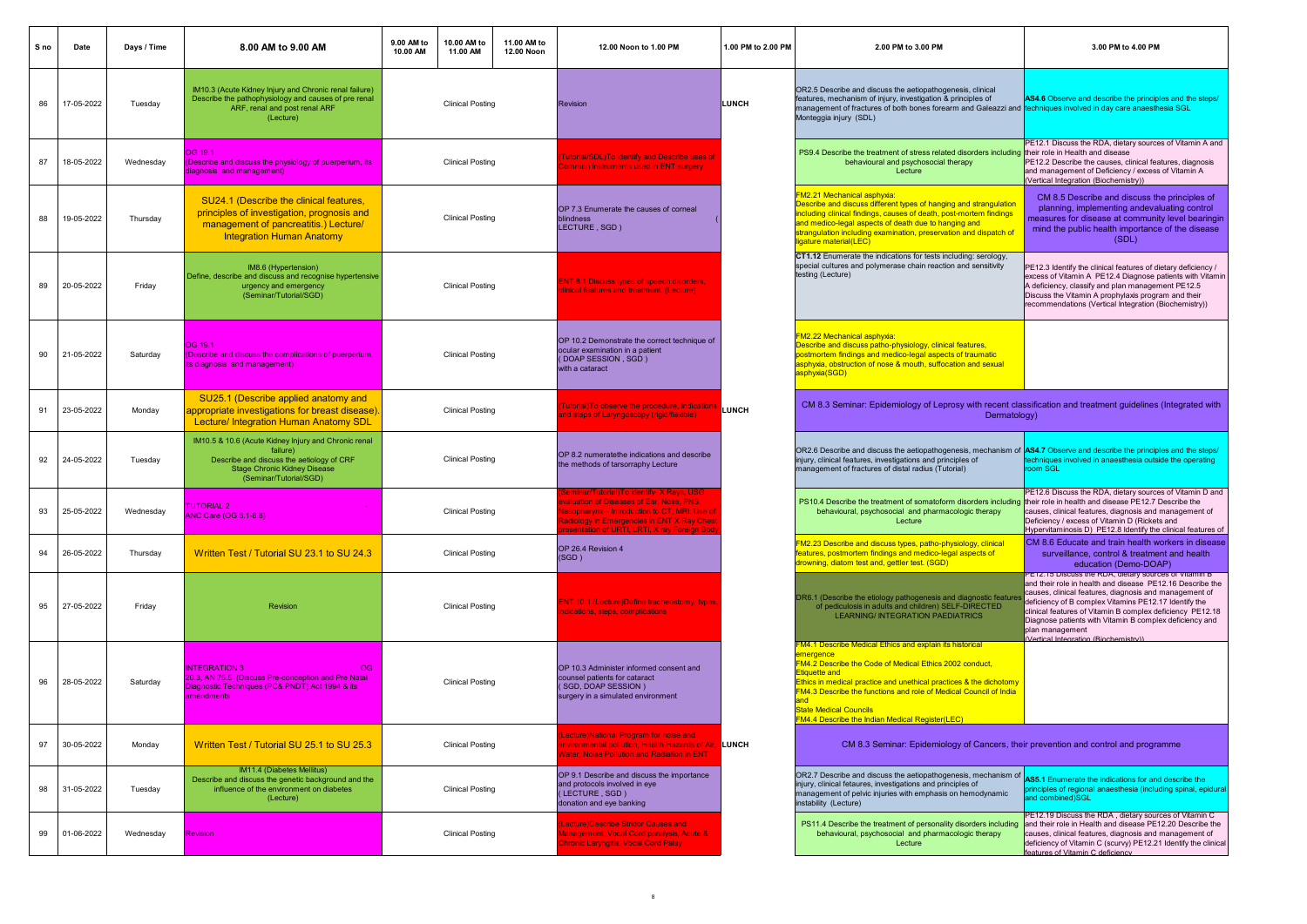| S no | Date       | Days / Time | 8.00 AM to 9.00 AM                                                                                                                                                             | 9.00 AM to<br>10.00 AM | 10.00 AM to<br>11.00 AM | 11.00 AM to<br>12.00 Noon | 12.00 Noon to 1.00 PM                                                                                                                                                             | 1.00 PM to 2.00 PM | 2.00 PM to 3.00 PM                                                                                                                                                                                                                                                                                                                                                                                           | 3.00 PM to 4.00 PM                                                                                                                                                                                                                                                                                                                                              |
|------|------------|-------------|--------------------------------------------------------------------------------------------------------------------------------------------------------------------------------|------------------------|-------------------------|---------------------------|-----------------------------------------------------------------------------------------------------------------------------------------------------------------------------------|--------------------|--------------------------------------------------------------------------------------------------------------------------------------------------------------------------------------------------------------------------------------------------------------------------------------------------------------------------------------------------------------------------------------------------------------|-----------------------------------------------------------------------------------------------------------------------------------------------------------------------------------------------------------------------------------------------------------------------------------------------------------------------------------------------------------------|
| 86   | 17-05-2022 | Tuesday     | IM10.3 (Acute Kidney Injury and Chronic renal failure)<br>Describe the pathophysiology and causes of pre renal<br>ARF, renal and post renal ARF<br>(Lecture)                   |                        | <b>Clinical Posting</b> |                           | <b>Revision</b>                                                                                                                                                                   | LUNCH              | OR2.5 Describe and discuss the aetiopathogenesis, clinical<br>features, mechanism of injury, investigation & principles of<br>management of fractures of both bones forearm and Galeazzi and techniques involved in day care anaesthesia SGL<br>Monteggia injury (SDL)                                                                                                                                       | AS4.6 Observe and describe the principles and the steps/                                                                                                                                                                                                                                                                                                        |
| 87   | 18-05-2022 | Wednesday   | OG 19.1<br>(Describe and discuss the physiology of puerperium, its<br>diagnosis and management)                                                                                |                        | <b>Clinical Posting</b> |                           | utorial/SDL)To identify and Describe uses of<br>mmon instruments used in ENT surgery                                                                                              |                    | PS9.4 Describe the treatment of stress related disorders including their role in Health and disease<br>behavioural and psychosocial therapy<br>Lecture                                                                                                                                                                                                                                                       | PE12.1 Discuss the RDA, dietary sources of Vitamin A and<br>PE12.2 Describe the causes, clinical features, diagnosis<br>and management of Deficiency / excess of Vitamin A<br>(Vertical Integration (Biochemistry))                                                                                                                                             |
| 88   | 19-05-2022 | Thursday    | SU24.1 (Describe the clinical features.<br>principles of investigation, prognosis and<br>management of pancreatitis.) Lecture/<br><b>Integration Human Anatomy</b>             |                        | <b>Clinical Posting</b> |                           | OP 7.3 Enumerate the causes of corneal<br><b>blindness</b><br>LECTURE, SGD)                                                                                                       |                    | FM2.21 Mechanical asphyxia:<br>Describe and discuss different types of hanging and strangulation<br>including clinical findings, causes of death, post-mortem findings<br>and medico-legal aspects of death due to hanging and<br>strangulation including examination, preservation and dispatch of<br>ligature material(LEC)                                                                                | CM 8.5 Describe and discuss the principles of<br>planning, implementing andevaluating control<br>neasures for disease at community level bearingin<br>mind the public health importance of the disease<br>(SDL)                                                                                                                                                 |
| 89   | 20-05-2022 | Friday      | IM8.6 (Hypertension)<br>Define, describe and discuss and recognise hypertensive<br>urgency and emergency<br>(Seminar/Tutorial/SGD)                                             |                        | <b>Clinical Posting</b> |                           | <b>INT 8.1 Discuss types of speech disorders,</b><br>inical features and treatment. (Lecture)                                                                                     |                    | CT1.12 Enumerate the indications for tests including: serology,<br>special cultures and polymerase chain reaction and sensitivity<br>testing (Lecture)                                                                                                                                                                                                                                                       | PE12.3 Identify the clinical features of dietary deficiency /<br>excess of Vitamin A PE12.4 Diagnose patients with Vitamin<br>A deficiency, classify and plan management PE12.5<br>Discuss the Vitamin A prophylaxis program and their<br>recommendations (Vertical Integration (Biochemistry))                                                                 |
| 90   | 21-05-2022 | Saturday    | OG 19.1<br>(Describe and discuss the complications of puerperium<br>its diagnosis and management)                                                                              |                        | Clinical Posting        |                           | OP 10.2 Demonstrate the correct technique of<br>ocular examination in a patient<br>(DOAP SESSION, SGD)<br>with a cataract                                                         |                    | <b>FM2.22 Mechanical asphyxia:</b><br>Describe and discuss patho-physiology, clinical features,<br>postmortem findings and medico-legal aspects of traumatic<br>asphyxia, obstruction of nose & mouth, suffocation and sexual<br>asphyxia(SGD)                                                                                                                                                               |                                                                                                                                                                                                                                                                                                                                                                 |
| 91   | 23-05-2022 | Monday      | SU25.1 (Describe applied anatomy and<br>appropriate investigations for breast disease)<br><b>Lecture/Integration Human Anatomy SDL</b>                                         |                        | <b>Clinical Posting</b> |                           | Tutorial)To observe the procedure, Indications<br>nd steps of Laryngoscopy (rigid/flexible)                                                                                       | LUNCH              | CM 8.3 Seminar: Epidemiology of Leprosy with recent classification and treatment guidelines (Integrated with<br>Dermatology)                                                                                                                                                                                                                                                                                 |                                                                                                                                                                                                                                                                                                                                                                 |
| 92   | 24-05-2022 | Tuesday     | IM10.5 & 10.6 (Acute Kidney Injury and Chronic renal<br>failure)<br>Describe and discuss the aetiology of CRF<br><b>Stage Chronic Kidney Disease</b><br>(Seminar/Tutorial/SGD) |                        | <b>Clinical Posting</b> |                           | OP 8.2 numeratethe indications and describe<br>the methods of tarsorraphy Lecture                                                                                                 |                    | OR2.6 Describe and discuss the aetiopathogenesis, mechanism of AS4.7 Observe and describe the principles and the steps/<br>injury, clinical features, investigations and principles of<br>management of fractures of distal radius (Tutorial)                                                                                                                                                                | echniques involved in anaesthesia outside the operating<br>room SGL                                                                                                                                                                                                                                                                                             |
| 93   | 25-05-2022 | Wednesday   | TUTORIAL 2<br>ANC Care (OG 8.1-8.8)                                                                                                                                            |                        | <b>Clinical Posting</b> |                           | eminar/Tutorial)To identify- X Ravs. USG<br>raluation of Diseases of Ear, Nose, PNS,<br>asopharynx – Introduction to CT, MRI. Use of<br>diology in Emergencies in ENT X Ray Chest |                    | PS10.4 Describe the treatment of somatoform disorders including their role in health and disease PE12.7 Describe the<br>behavioural, psychosocial and pharmacologic therapy<br>Lecture                                                                                                                                                                                                                       | PE12.6 Discuss the RDA, dietary sources of Vitamin D and<br>causes, clinical features, diagnosis and management of<br>Deficiency / excess of Vitamin D (Rickets and<br>Hypervitaminosis D) PE12.8 Identify the clinical features of                                                                                                                             |
| 94   | 26-05-2022 | Thursday    | Written Test / Tutorial SU 23.1 to SU 24.3                                                                                                                                     |                        | <b>Clinical Posting</b> |                           | OP 26.4 Revision 4<br>(SGD)                                                                                                                                                       |                    | FM2.23 Describe and discuss types, patho-physiology, clinical<br>features, postmortem findings and medico-legal aspects of<br>drowning, diatom test and, gettler test. (SGD)                                                                                                                                                                                                                                 | CM 8.6 Educate and train health workers in disease<br>surveillance, control & treatment and health<br>education (Demo-DOAP)<br><b>PETZ. T5 Discuss the RDA, dietary sources of Vitamin B</b>                                                                                                                                                                    |
| 95   | 27-05-2022 | Friday      | Revision                                                                                                                                                                       |                        | <b>Clinical Posting</b> |                           | ENT 10.1 (Lecture)Define tracheostomy, types,<br>dications, steps, complications                                                                                                  |                    | DR6.1 (Describe the etiology pathogenesis and diagnostic features<br>of pediculosis in adults and children) SELF-DIRECTED<br><b>LEARNING/ INTEGRATION PAEDIATRICS</b>                                                                                                                                                                                                                                        | and their role in health and disease PE12.16 Describe the<br>causes, clinical features, diagnosis and management of<br>deficiency of B complex Vitamins PE12.17 Identify the<br>clinical features of Vitamin B complex deficiency PE12.18<br>Diagnose patients with Vitamin B complex deficiency and<br>plan management<br>Vertical Integration (Riochemistry)) |
| 96   | 28-05-2022 | Saturday    | <b>INTEGRATION 3</b><br>20.3, AN 75.5 (Discuss Pre-conception and Pre Natal<br>Diagnostic Techniques (PC& PNDT) Act 1994 & its<br>mendments                                    |                        | <b>Clinical Posting</b> |                           | OP 10.3 Administer informed consent and<br>counsel patients for cataract<br>(SGD, DOAP SESSION)<br>surgery in a simulated environment                                             |                    | <b>FM4.1 Describe Medical Ethics and explain its historical</b><br>emergence<br>FM4.2 Describe the Code of Medical Ethics 2002 conduct,<br><b>Etiquette and</b><br>Ethics in medical practice and unethical practices & the dichotomy<br>FM4.3 Describe the functions and role of Medical Council of India<br>and<br><b>State Medical Councils</b><br><b>FM4.4 Describe the Indian Medical Register(LEC)</b> |                                                                                                                                                                                                                                                                                                                                                                 |
| 97   | 30-05-2022 | Monday      | Written Test / Tutorial SU 25.1 to SU 25.3                                                                                                                                     |                        | <b>Clinical Posting</b> |                           | Lecture)National Program for noise and<br>nvironmental pollution, Health Hazards of Air, LUNCH<br><b>Jater, Noise Pollution and Radiation in ENT</b>                              |                    | CM 8.3 Seminar: Epidemiology of Cancers, their prevention and control and programme                                                                                                                                                                                                                                                                                                                          |                                                                                                                                                                                                                                                                                                                                                                 |
| 98   | 31-05-2022 | Tuesday     | IM11.4 (Diabetes Mellitus)<br>Describe and discuss the genetic background and the<br>influence of the environment on diabetes<br>(Lecture)                                     |                        | <b>Clinical Posting</b> |                           | OP 9.1 Describe and discuss the importance<br>and protocols involved in eye<br>(LECTURE, SGD)<br>donation and eye banking                                                         |                    | OR2.7 Describe and discuss the aetiopathogenesis, mechanism of AS5.1 Enumerate the indications for and describe the<br>injury, clinical fetaures, investigations and principles of<br>management of pelvic injuries with emphasis on hemodynamic<br>instability (Lecture)                                                                                                                                    | principles of regional anaesthesia (including spinal, epidural<br>and combined)SGL                                                                                                                                                                                                                                                                              |
| 99   | 01-06-2022 | Wednesday   | <b>Revision</b>                                                                                                                                                                |                        | <b>Clinical Posting</b> |                           | ecture)Describe Stridor Causes and<br>lanagement, Vocal Cord paralysis, Acute &<br><b>Infonic Laryngitis, Vocal Cord Palsy</b>                                                    |                    | PS11.4 Describe the treatment of personality disorders including and their role in Health and disease PE12.20 Describe the<br>behavioural, psychosocial and pharmacologic therapy<br>Lecture                                                                                                                                                                                                                 | PE12.19 Discuss the RDA , dietary sources of Vitamin C<br>causes, clinical features, diagnosis and management of<br>deficiency of Vitamin C (scurvy) PE12.21 Identify the clinical<br>features of Vitamin C deficiency                                                                                                                                          |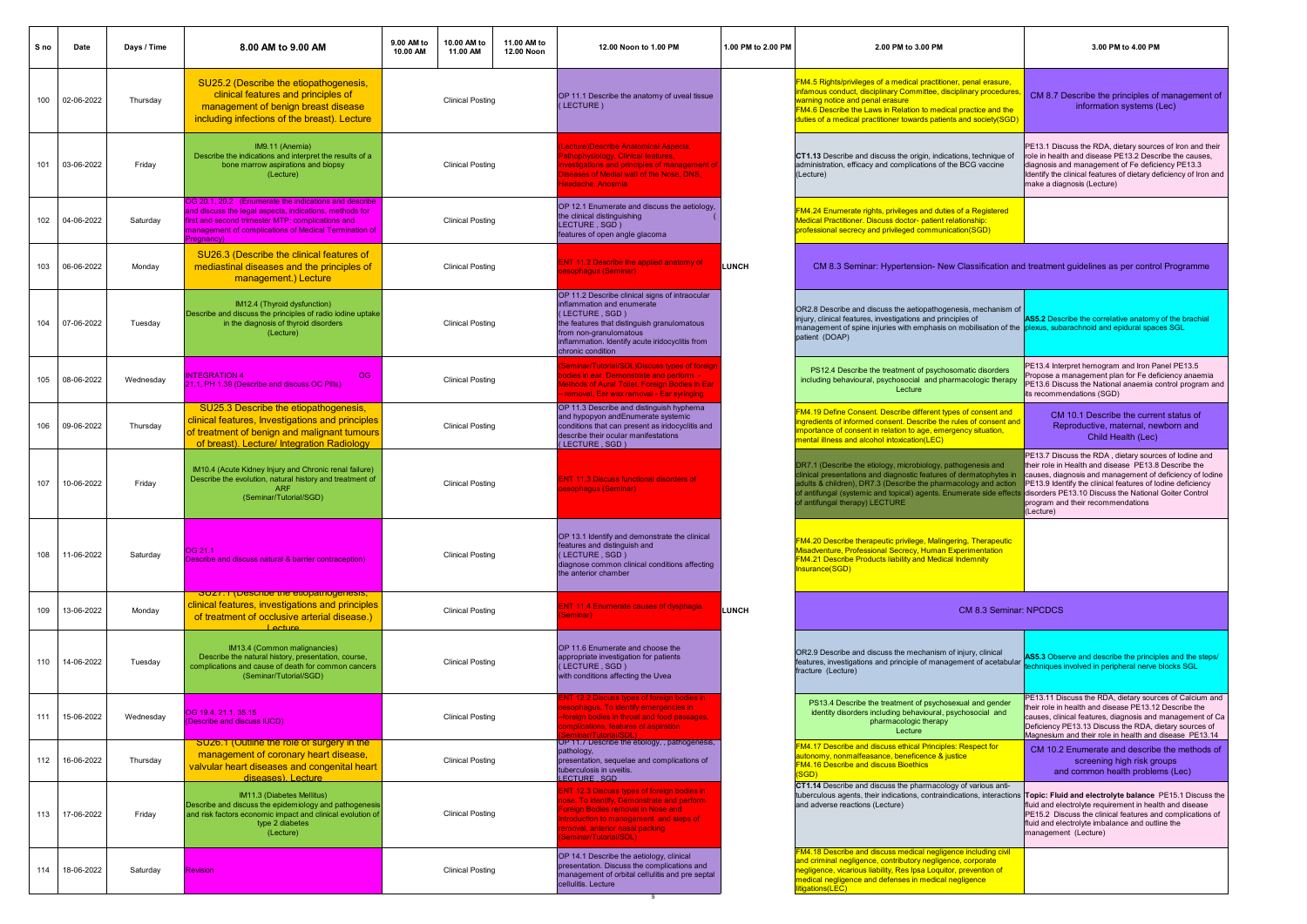| S no | Date       | Days / Time | 8.00 AM to 9.00 AM                                                                                                                                                                                                                           | 9.00 AM to<br>10.00 AM | 10.00 AM to<br>11.00 AM | 11.00 AM to<br>12.00 Noon | 12.00 Noon to 1.00 PM                                                                                                                                                                                                                           | 1.00 PM to 2.00 PM | 2.00 PM to 3.00 PM                                                                                                                                                                                                                                                                                                                                              | 3.00 PM to 4.00 PM                                                                                                                                                                                                                                                                                |
|------|------------|-------------|----------------------------------------------------------------------------------------------------------------------------------------------------------------------------------------------------------------------------------------------|------------------------|-------------------------|---------------------------|-------------------------------------------------------------------------------------------------------------------------------------------------------------------------------------------------------------------------------------------------|--------------------|-----------------------------------------------------------------------------------------------------------------------------------------------------------------------------------------------------------------------------------------------------------------------------------------------------------------------------------------------------------------|---------------------------------------------------------------------------------------------------------------------------------------------------------------------------------------------------------------------------------------------------------------------------------------------------|
| 100  | 02-06-2022 | Thursday    | SU25.2 (Describe the etiopathogenesis,<br>clinical features and principles of<br>management of benign breast disease<br>including infections of the breast). Lecture                                                                         |                        | <b>Clinical Posting</b> |                           | OP 11.1 Describe the anatomy of uveal tissue<br>(LECTURE)                                                                                                                                                                                       |                    | FM4.5 Rights/privileges of a medical practitioner, penal erasure,<br>infamous conduct, disciplinary Committee, disciplinary procedures,<br>warning notice and penal erasure<br>FM4.6 Describe the Laws in Relation to medical practice and the<br>duties of a medical practitioner towards patients and society(SGD)                                            | CM 8.7 Describe the principles of management of<br>information systems (Lec)                                                                                                                                                                                                                      |
| 101  | 03-06-2022 | Friday      | IM9.11 (Anemia)<br>Describe the indications and interpret the results of a<br>bone marrow aspirations and biopsy<br>(Lecture)                                                                                                                |                        | <b>Clinical Posting</b> |                           | ecture) Describe Anatomical Aspects,<br>athophysiology, Clinical features,<br>vestigations and principles of management o<br>iseases of Medial wall of the Nose, DNS,<br>eadache, Anosmia                                                       |                    | CT1.13 Describe and discuss the origin, indications, technique of<br>administration, efficacy and complications of the BCG vaccine<br>(Lecture)                                                                                                                                                                                                                 | PE13.1 Discuss the RDA, dietary sources of Iron and their<br>ole in health and disease PE13.2 Describe the causes,<br>diagnosis and management of Fe deficiency PE13.3<br>Identify the clinical features of dietary deficiency of Iron and<br>make a diagnosis (Lecture)                          |
| 102  | 04-06-2022 | Saturday    | OG 20.1, 20.2 (Enumerate the indications and describe<br>and discuss the legal aspects, indications, methods for<br>first and second trimester MTP; complications and<br>management of complications of Medical Termination of<br>'regnancy) |                        | Clinical Posting        |                           | OP 12.1 Enumerate and discuss the aetiology.<br>the clinical distinguishing<br>LECTURE, SGD)<br>features of open angle glacoma                                                                                                                  |                    | FM4.24 Enumerate rights, privileges and duties of a Registered<br>Medical Practitioner, Discuss doctor- patient relationship:<br>professional secrecy and privileged communication(SGD)                                                                                                                                                                         |                                                                                                                                                                                                                                                                                                   |
| 103  | 06-06-2022 | Monday      | SU26.3 (Describe the clinical features of<br>mediastinal diseases and the principles of<br>management.) Lecture                                                                                                                              |                        | <b>Clinical Posting</b> |                           | <b>ENT 11.2 Describe the applied anatomy of</b><br>esophagus (Seminar)                                                                                                                                                                          | <b>LUNCH</b>       | CM 8.3 Seminar: Hypertension- New Classification and treatment guidelines as per control Programme                                                                                                                                                                                                                                                              |                                                                                                                                                                                                                                                                                                   |
| 104  | 07-06-2022 | Tuesday     | IM12.4 (Thyroid dysfunction)<br>Describe and discuss the principles of radio iodine uptake<br>in the diagnosis of thyroid disorders<br>(Lecture)                                                                                             |                        | <b>Clinical Posting</b> |                           | OP 11.2 Describe clinical signs of intraocular<br>inflammation and enumerate<br>(LECTURE, SGD)<br>the features that distinguish granulomatous<br>from non-granulomatous<br>inflammation. Identify acute iridocyclitis from<br>chronic condition |                    | OR2.8 Describe and discuss the aetiopathogenesis, mechanism of<br>injury, clinical features, investigations and principles of<br>management of spine injuries with emphasis on mobilisation of the plexus, subarachnoid and epidural spaces SGL<br>patient (DOAP)                                                                                               | AS5.2 Describe the correlative anatomy of the brachial                                                                                                                                                                                                                                            |
| 105  | 08-06-2022 | Wednesday   | <b>INTEGRATION 4</b><br>OG.<br>21.1, PH 1.39 (Describe and discuss OC Pills)                                                                                                                                                                 |                        | <b>Clinical Posting</b> |                           | <b>Seminar/Tutorial/SDL)Discuss types of foreign</b><br>odies in ear. Demonstrate and perform -<br>lethods of Aural Toilet, Foreign Bodies in Ear<br>removal, Ear wax removal - Ear syringing                                                   |                    | PS12.4 Describe the treatment of psychosomatic disorders<br>including behavioural, psychosocial and pharmacologic therapy<br>Lecture                                                                                                                                                                                                                            | PE13.4 Interpret hemogram and Iron Panel PE13.5<br>Propose a management plan for Fe deficiency anaemia<br>PE13.6 Discuss the National anaemia control program and<br>its recommendations (SGD)                                                                                                    |
| 106  | 09-06-2022 | Thursday    | SU25.3 Describe the etiopathogenesis,<br>clinical features, Investigations and principles<br>of treatment of benign and malignant tumours<br>of breast). Lecture/ Integration Radiology                                                      |                        | Clinical Posting        |                           | OP 11.3 Describe and distinguish hyphema<br>and hypopyon and Enumerate systemic<br>conditions that can present as iridocyclitis and<br>describe their ocular manifestations<br>(LECTURE, SGD)                                                   |                    | FM4.19 Define Consent. Describe different types of consent and<br>ingredients of informed consent. Describe the rules of consent and<br>mportance of consent in relation to age, emergency situation,<br>mental illness and alcohol intoxication(LEC)                                                                                                           | CM 10.1 Describe the current status of<br>Reproductive, maternal, newborn and<br>Child Health (Lec)                                                                                                                                                                                               |
| 107  | 10-06-2022 | Friday      | IM10.4 (Acute Kidney Injury and Chronic renal failure)<br>Describe the evolution, natural history and treatment of<br><b>ARF</b><br>(Seminar/Tutorial/SGD)                                                                                   |                        | <b>Clinical Posting</b> |                           | <b>ENT 11.3 Discuss functional disorders of</b><br><b><u>besophagus (Seminar)</u></b>                                                                                                                                                           |                    | DR7.1 (Describe the etiology, microbiology, pathogenesis and<br>inical presentations and diagnostic features of dermatophytes in<br>dults & children), DR7.3 (Describe the pharmacology and action<br>f antifungal (systemic and topical) agents. Enumerate side effects disorders PE13.10 Discuss the National Goiter Control<br>f antifungal therapy) LECTURE | PE13.7 Discuss the RDA, dietary sources of lodine and<br>their role in Health and disease PE13.8 Describe the<br>causes, diagnosis and management of deficiency of lodine<br>PE13.9 Identify the clinical features of lodine deficiency<br>program and their recommendations<br>(Lecture)         |
| 108  | 11-06-2022 | Saturday    | OG 21.1<br>Describe and discuss natural & barrier contraception)                                                                                                                                                                             |                        | <b>Clinical Posting</b> |                           | OP 13.1 Identify and demonstrate the clinical<br>features and distinguish and<br>(LECTURE, SGD)<br>iagnose common clinical conditions affecting<br>the anterior chamber                                                                         |                    | <b>FM4.20 Describe therapeutic privilege, Malingering, Therapeutic</b><br>Misadventure, Professional Secrecy, Human Experimentation<br><b>FM4.21 Describe Products liability and Medical Indemnity</b><br>Insurance(SGD)                                                                                                                                        |                                                                                                                                                                                                                                                                                                   |
| 109  | 13-06-2022 | Monday      | SUZT. I (Describe the etiopathogenesis,<br>clinical features, investigations and principles<br>of treatment of occlusive arterial disease.)<br>Lecture                                                                                       |                        | <b>Clinical Posting</b> |                           | <b>ENT 11.4 Enumerate causes of dysphagia</b><br><b>Seminar</b> )                                                                                                                                                                               | LUNCH              | CM 8.3 Seminar: NPCDCS                                                                                                                                                                                                                                                                                                                                          |                                                                                                                                                                                                                                                                                                   |
| 110  | 14-06-2022 | Tuesday     | IM13.4 (Common malignancies)<br>Describe the natural history, presentation, course,<br>complications and cause of death for common cancers<br>(Seminar/Tutorial/SGD)                                                                         |                        | <b>Clinical Posting</b> |                           | OP 11.6 Enumerate and choose the<br>appropriate investigation for patients<br>(LECTURE, SGD)<br>with conditions affecting the Uvea                                                                                                              |                    | features, investigations and principle of management of acetabular <b>AS5.3</b> Observe and describe the principles and the steps/<br>fracture (Lecture)                                                                                                                                                                                                        | techniques involved in peripheral nerve blocks SGL                                                                                                                                                                                                                                                |
| 111  | 15-06-2022 | Wednesday   | OG 19.4, 21.1, 35.15<br>and discuss ILICD)                                                                                                                                                                                                   |                        | <b>Clinical Posting</b> |                           | NT 12.2 Discuss types of foreign bodies in<br>esophagus. To identify emergencies in l<br>oreign bodies in throat and food passages<br>ations, features of aspiration                                                                            |                    | PS13.4 Describe the treatment of psychosexual and gender<br>identity disorders including behavioural, psychosocial and<br>pharmacologic therapy<br>Lecture                                                                                                                                                                                                      | PE13.11 Discuss the RDA, dietary sources of Calcium and<br>their role in health and disease PE13.12 Describe the<br>causes, clinical features, diagnosis and management of Ca<br>Deficiency PE13.13 Discuss the RDA, dietary sources of<br>Magnesium and their role in health and disease PE13.14 |
| 112  | 16-06-2022 | Thursday    | SU26.1 (Outline the role of surgery in the<br>management of coronary heart disease,<br>valvular heart diseases and congenital heart<br>diseases) Lecture                                                                                     |                        | Clinical Posting        |                           | OP 11.7 Describe the etiology, , pathogenesis,<br>pathology,<br>presentation, sequelae and complications of<br>tuberculosis in uveitis.<br>LECTURE SGD                                                                                          |                    | <b>FM4.17 Describe and discuss ethical Principles: Respect for</b><br>autonomy, nonmalfeasance, beneficence & justice<br><b>FM4.16 Describe and discuss Bioethics</b><br>(SGD)                                                                                                                                                                                  | CM 10.2 Enumerate and describe the methods of<br>screening high risk groups<br>and common health problems (Lec)                                                                                                                                                                                   |
| 113  | 17-06-2022 | Friday      | IM11.3 (Diabetes Mellitus)<br>Describe and discuss the epidemiology and pathogenesis<br>and risk factors economic impact and clinical evolution of<br>type 2 diabetes<br>(Lecture)                                                           |                        | <b>Clinical Posting</b> |                           | ENT 12.3 Discuss types of foreign bodies in<br>nose. To identify, Demonstrate and perform<br>Foreign Bodies removal in Nose and<br><b>ntroduction to management and steps of</b><br>emoval, anterior nasal packing<br>Seminar/Tutorial/SDL)     |                    | CT1.14 Describe and discuss the pharmacology of various anti-<br>tuberculous agents, their indications, contraindications, interactions Topic: Fluid and electrolyte balance PE15.1 Discuss the<br>and adverse reactions (Lecture)                                                                                                                              | fluid and electrolyte requirement in health and disease<br>PE15.2 Discuss the clinical features and complications of<br>fluid and electrolyte imbalance and outline the<br>management (Lecture)                                                                                                   |
| 114  | 18-06-2022 | Saturday    | <b>Revision</b>                                                                                                                                                                                                                              |                        | Clinical Posting        |                           | OP 14.1 Describe the aetiology, clinical<br>presentation. Discuss the complications and<br>management of orbital cellulitis and pre septal<br>cellulitis. Lecture<br>9                                                                          |                    | FM4.18 Describe and discuss medical negligence including civil<br>and criminal negligence, contributory negligence, corporate<br>negligence, vicarious liability, Res Ipsa Loquitor, prevention of<br>medical negligence and defenses in medical negligence<br>litigations(LEC)                                                                                 |                                                                                                                                                                                                                                                                                                   |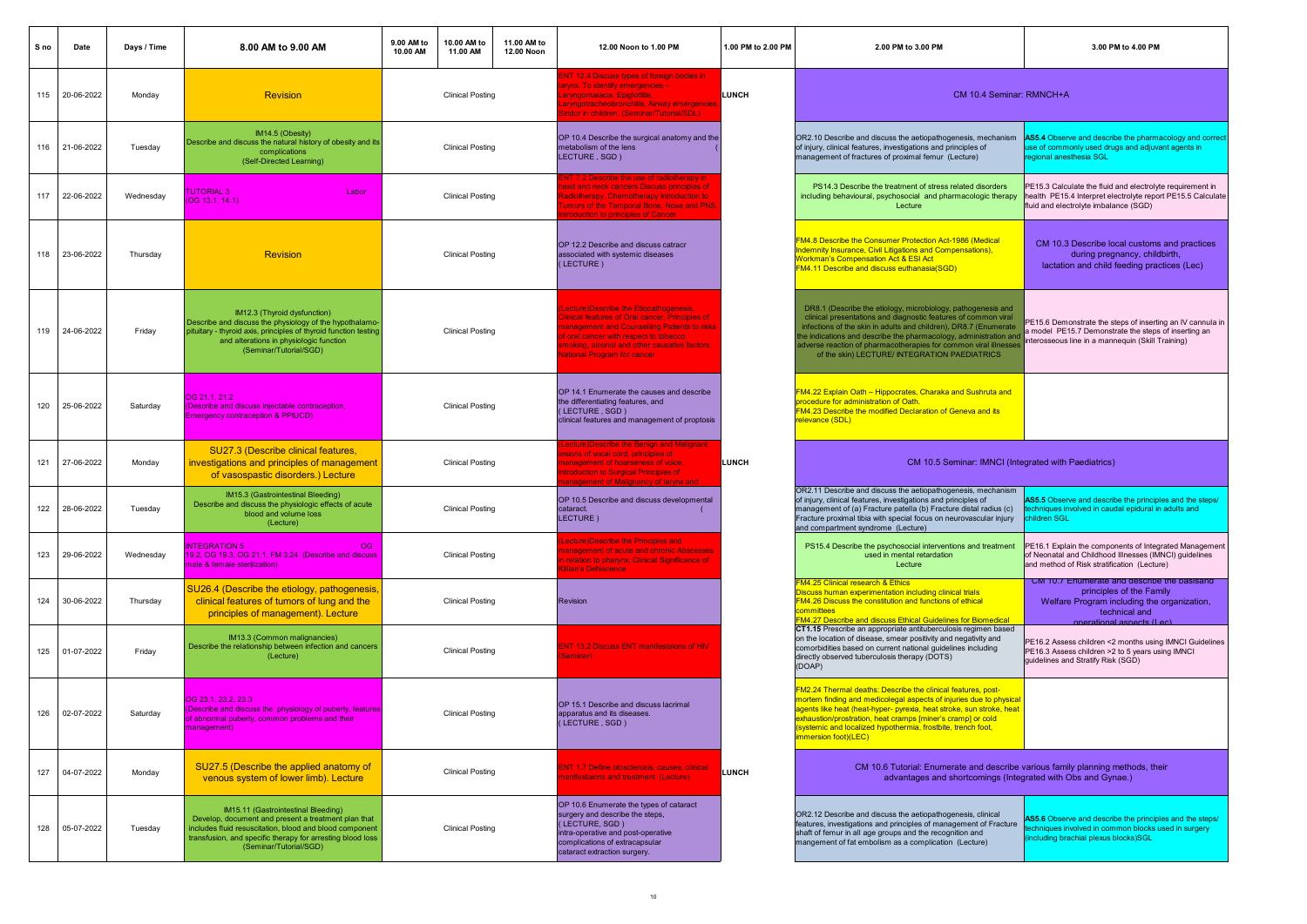| S no | Date       | Days / Time | 8.00 AM to 9.00 AM                                                                                                                                                                                                                            | 9.00 AM to<br>10.00 AM | 10.00 AM to<br>11.00 AM | 11.00 AM to<br><b>12.00 Noon</b> | 12.00 Noon to 1.00 PM                                                                                                                                                                                                                                                        | 1.00 PM to 2.00 PM | 2.00 PM to 3.00 PM                                                                                                                                                                                                                                                                                                                                                                         | 3.00 PM to 4.00 PM                                                                                                                                                     |
|------|------------|-------------|-----------------------------------------------------------------------------------------------------------------------------------------------------------------------------------------------------------------------------------------------|------------------------|-------------------------|----------------------------------|------------------------------------------------------------------------------------------------------------------------------------------------------------------------------------------------------------------------------------------------------------------------------|--------------------|--------------------------------------------------------------------------------------------------------------------------------------------------------------------------------------------------------------------------------------------------------------------------------------------------------------------------------------------------------------------------------------------|------------------------------------------------------------------------------------------------------------------------------------------------------------------------|
| 115  | 20-06-2022 | Monday      | <b>Revision</b>                                                                                                                                                                                                                               |                        | <b>Clinical Posting</b> |                                  | NT 12.4 Discuss types of foreign bodies in<br>rynx. To identify emergencies -<br>aryngomalacia, Epiglottitis,<br>iryngotracheobronchitis, Airway emergencie<br>ridor in children, (Seminar/Tutorial/SDL)                                                                     | LUNCH              | CM 10.4 Seminar: RMNCH+A                                                                                                                                                                                                                                                                                                                                                                   |                                                                                                                                                                        |
| 116  | 21-06-2022 | Tuesday     | IM14.5 (Obesity)<br>Describe and discuss the natural history of obesity and its<br>complications<br>(Self-Directed Learning)                                                                                                                  |                        | <b>Clinical Posting</b> |                                  | OP 10.4 Describe the surgical anatomy and the<br>metabolism of the lens<br>LECTURE, SGD)                                                                                                                                                                                     |                    | OR2.10 Describe and discuss the aetiopathogenesis, mechanism<br>of injury, clinical features, investigations and principles of<br>management of fractures of proximal femur (Lecture)                                                                                                                                                                                                      | AS5.4 Observe and describe the pharmacology and correct<br>use of commonly used drugs and adjuvant agents in<br>regional anesthesia SGL                                |
| 117  | 22-06-2022 | Wednesday   | <b>TUTORIAL 3</b><br>Labor<br>(OG 13.1, 14.1)                                                                                                                                                                                                 |                        | <b>Clinical Posting</b> |                                  | 7.2 Describe the use of radiotheraby in<br>ead and neck cancers Discuss principles of<br><b>Radiotherapy, Chemotherapy Introduction to</b><br>umors of the Temporal Bone, Nose and PNS<br>oduction to principles of Cancer                                                   |                    | PS14.3 Describe the treatment of stress related disorders<br>including behavioural, psychosocial and pharmacologic therapy<br>Lecture                                                                                                                                                                                                                                                      | PE15.3 Calculate the fluid and electrolyte requirement in<br>health PE15.4 Interpret electrolyte report PE15.5 Calculate<br>fluid and electrolyte imbalance (SGD)      |
| 118  | 23-06-2022 | Thursday    | Revision                                                                                                                                                                                                                                      |                        | <b>Clinical Posting</b> |                                  | OP 12.2 Describe and discuss catracr<br>associated with systemic diseases<br>(LECTURE)                                                                                                                                                                                       |                    | FM4.8 Describe the Consumer Protection Act-1986 (Medical<br><b>Indemnity Insurance, Civil Litigations and Compensations),</b><br><b>Norkman's Compensation Act &amp; ESI Act</b><br>FM4.11 Describe and discuss euthanasia(SGD)                                                                                                                                                            | CM 10.3 Describe local customs and practices<br>during pregnancy, childbirth,<br>lactation and child feeding practices (Lec)                                           |
| 119  | 24-06-2022 | Friday      | IM12.3 (Thyroid dysfunction)<br>Describe and discuss the physiology of the hypothalamo-<br>pituitary - thyroid axis, principles of thyroid function testing<br>and alterations in physiologic function<br>(Seminar/Tutorial/SGD)              |                        | <b>Clinical Posting</b> |                                  | ecture)Describe the Etiopathogenesis,<br><b>Clinical features of Oral cancer, Principles of</b><br>anagement and Counselling Patients to risks<br>oral cancer with respect to tobacco,<br>moking, alcohol and other causative factors,<br><b>Vational Program for cancer</b> |                    | DR8.1 (Describe the etiology, microbiology, pathogenesis and<br>clinical presentations and diagnostic features of common viral<br>infections of the skin in adults and children), DR8.7 (Enumerate<br>he indications and describe the pharmacology, administration and<br>dverse reaction of pharmacotherapies for common viral illnesses<br>of the skin) LECTURE/ INTEGRATION PAEDIATRICS | PE15.6 Demonstrate the steps of inserting an IV cannula in<br>a model PE15.7 Demonstrate the steps of inserting an<br>nterosseous line in a mannequin (Skill Training) |
| 120  | 25-06-2022 | Saturday    | OG 21.1, 21.2<br>(Describe and discuss Injectable contraception,<br>mergency contraception & PPIUCD)                                                                                                                                          |                        | <b>Clinical Posting</b> |                                  | OP 14.1 Enumerate the causes and describe<br>the differentiating features, and<br>(LECTURE, SGD)<br>clinical features and management of proptosis                                                                                                                            |                    | FM4.22 Explain Oath - Hippocrates, Charaka and Sushruta and<br>procedure for administration of Oath.<br>FM4.23 Describe the modified Declaration of Geneva and its<br>relevance (SDL)                                                                                                                                                                                                      |                                                                                                                                                                        |
| 121  | 27-06-2022 | Monday      | SU27.3 (Describe clinical features.<br>investigations and principles of management<br>of vasospastic disorders.) Lecture                                                                                                                      |                        | <b>Clinical Posting</b> |                                  | ecture)Describe the Benign and Malignant<br>sions of vocal cord, principles of<br>anagement of hoarseness of voice,<br>troduction to Surgical Principles of                                                                                                                  | LUNCH              | CM 10.5 Seminar: IMNCI (Integrated with Paediatrics)                                                                                                                                                                                                                                                                                                                                       |                                                                                                                                                                        |
| 122  | 28-06-2022 | Tuesday     | IM15.3 (Gastrointestinal Bleeding)<br>Describe and discuss the physiologic effects of acute<br>blood and volume loss<br>(Lecture)                                                                                                             |                        | <b>Clinical Posting</b> |                                  | OP 10.5 Describe and discuss developmental<br>cataract.<br><b>LECTURE</b> )                                                                                                                                                                                                  |                    | OR2.11 Describe and discuss the aetiopathogenesis, mechanism<br>of injury, clinical features, investigations and principles of<br>management of (a) Fracture patella (b) Fracture distal radius (c)<br>Fracture proximal tibia with special focus on neurovascular injury<br>and compartment syndrome (Lecture)                                                                            | AS5.5 Observe and describe the principles and the steps/<br>chniques involved in caudal epidural in adults and<br>hildren SGL                                          |
| 123  | 29-06-2022 | Wednesday   | <b>INTEGRATION 5</b><br>OG<br>19.2, OG 19.3, OG 21.1, FM 3.24 (Describe and discuss<br>male & female sterilization)                                                                                                                           |                        | <b>Clinical Posting</b> |                                  | ecture)Describe the Principles and<br>anagement of acute and chronic Abscesses<br>relation to pharynx, Clinical Significance of<br>illian's Dehiscence                                                                                                                       |                    | PS15.4 Describe the psychosocial interventions and treatment<br>used in mental retardation<br>Lecture                                                                                                                                                                                                                                                                                      | PE16.1 Explain the components of Integrated Management<br>of Neonatal and Childhood Illnesses (IMNCI) guidelines<br>and method of Risk stratification (Lecture)        |
| 124  | 30-06-2022 | Thursday    | SU26.4 (Describe the etiology, pathogenesis,<br>clinical features of tumors of lung and the<br>principles of management). Lecture                                                                                                             |                        | <b>Clinical Posting</b> |                                  | <b>Revision</b>                                                                                                                                                                                                                                                              |                    | <b>FM4.25 Clinical research &amp; Ethics</b><br>Discuss human experimentation including clinical trials<br>FM4.26 Discuss the constitution and functions of ethical<br>committees<br>FM4.27 Describe and discuss Ethical Guidelines for Biomedical                                                                                                                                         | UM 10.7 Enumerate and describe the basisand<br>principles of the Family<br>Welfare Program including the organization,<br>technical and<br>onerational aspects (Lec)   |
| 125  | 01-07-2022 | Friday      | IM13.3 (Common malignancies)<br>Describe the relationship between infection and cancers<br>(Lecture)                                                                                                                                          |                        | <b>Clinical Posting</b> |                                  | ENT 13.2 Discuss ENT manifestaions of HIV<br>Seminar)                                                                                                                                                                                                                        |                    | CT1.15 Prescribe an appropriate antituberculosis regimen based<br>on the location of disease, smear positivity and negativity and<br>comorbidities based on current national guidelines including<br>directly observed tuberculosis therapy (DOTS)<br>(DOAP)                                                                                                                               | PE16.2 Assess children <2 months using IMNCI Guidelines<br>PE16.3 Assess children >2 to 5 years using IMNCI<br>guidelines and Stratify Risk (SGD)                      |
| 126  | 02-07-2022 | Saturday    | OG 23.1, 23.2, 23.3<br>(Describe and discuss the physiology of puberty, features<br>of abnormal puberty, common problems and their<br>management)                                                                                             |                        | <b>Clinical Posting</b> |                                  | OP 15.1 Describe and discuss lacrimal<br>apparatus and its diseases.<br>(LECTURE, SGD)                                                                                                                                                                                       |                    | <b>FM2.24 Thermal deaths: Describe the clinical features, post-</b><br>mortem finding and medicolegal aspects of injuries due to physical<br>agents like heat (heat-hyper- pyrexia, heat stroke, sun stroke, heat<br>exhaustion/prostration, heat cramps [miner's cramp] or cold<br>(systemic and localized hypothermia, frostbite, trench foot,<br>immersion foot)(LEC)                   |                                                                                                                                                                        |
| 127  | 04-07-2022 | Monday      | SU27.5 (Describe the applied anatomy of<br>venous system of lower limb). Lecture                                                                                                                                                              |                        | <b>Clinical Posting</b> |                                  | <b>ENT 1.7 Define otosclerosis, causes, clinical</b><br>anifestaions and treatment (Lecture)                                                                                                                                                                                 | <b>LUNCH</b>       | CM 10.6 Tutorial: Enumerate and describe various family planning methods, their<br>advantages and shortcomings (Integrated with Obs and Gynae.)                                                                                                                                                                                                                                            |                                                                                                                                                                        |
| 128  | 05-07-2022 | Tuesday     | IM15.11 (Gastrointestinal Bleeding)<br>Develop, document and present a treatment plan that<br>includes fluid resuscitation, blood and blood component<br>transfusion, and specific therapy for arresting blood loss<br>(Seminar/Tutorial/SGD) |                        | <b>Clinical Posting</b> |                                  | OP 10.6 Enumerate the types of cataract<br>surgery and describe the steps,<br>(LECTURE, SGD)<br>intra-operative and post-operative<br>complications of extracapsular<br>cataract extraction surgery.                                                                         |                    | OR2.12 Describe and discuss the aetiopathogenesis, clinical<br>features, investigations and principles of management of Fracture<br>shaft of femur in all age groups and the recognition and<br>mangement of fat embolism as a complication (Lecture)                                                                                                                                      | S5.6 Observe and describe the principles and the steps/<br>echniques involved in common blocks used in surgery<br>including brachial plexus blocks)SGL                 |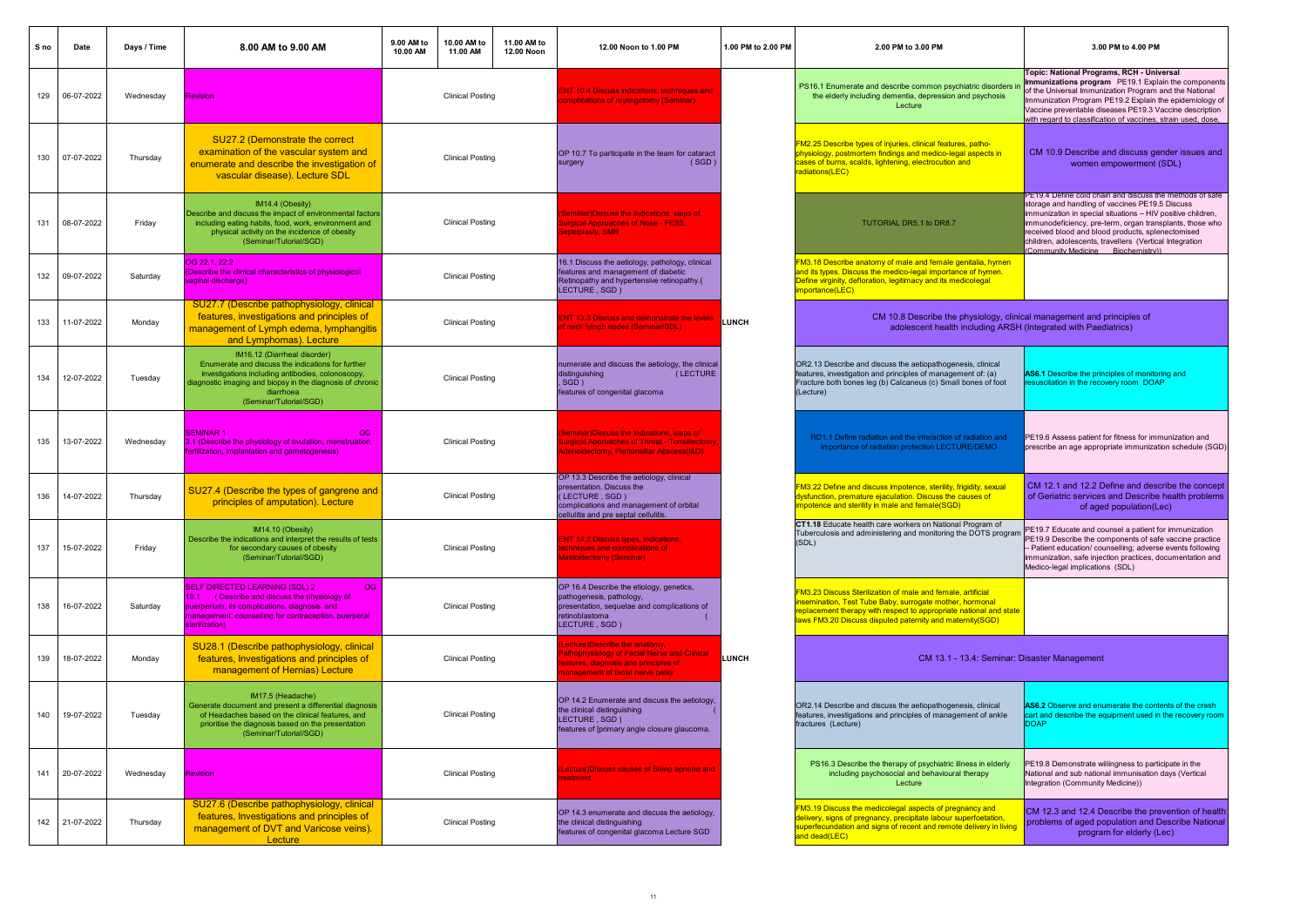| S no | Date       | Days / Time | 8.00 AM to 9.00 AM                                                                                                                                                                                                                         | 9.00 AM to<br>10.00 AM | 10.00 AM to<br>11.00 AM | 11.00 AM to<br>12.00 Noon | 12.00 Noon to 1.00 PM                                                                                                                                                       | 1.00 PM to 2.00 PM | 2.00 PM to 3.00 PM                                                                                                                                                                                                                                        | 3.00 PM to 4.00 PM                                                                                                                                                                                                                                                                                                                                                                         |
|------|------------|-------------|--------------------------------------------------------------------------------------------------------------------------------------------------------------------------------------------------------------------------------------------|------------------------|-------------------------|---------------------------|-----------------------------------------------------------------------------------------------------------------------------------------------------------------------------|--------------------|-----------------------------------------------------------------------------------------------------------------------------------------------------------------------------------------------------------------------------------------------------------|--------------------------------------------------------------------------------------------------------------------------------------------------------------------------------------------------------------------------------------------------------------------------------------------------------------------------------------------------------------------------------------------|
| 129  | 06-07-2022 | Wednesday   | Revision                                                                                                                                                                                                                                   |                        | <b>Clinical Posting</b> |                           | <b>NT 10.4 Discuss indications, techniques and</b><br>omplications of myringotomy (Seminar) _                                                                               |                    | PS16.1 Enumerate and describe common psychiatric disorders<br>the elderly including dementia, depression and psychosis<br>Lecture                                                                                                                         | Topic: National Programs, RCH - Universal<br>Immunizations program PE19.1 Explain the components<br>of the Universal Immunization Program and the National<br>Immunization Program PE19.2 Explain the epidemiology of<br>Vaccine preventable diseases PE19.3 Vaccine description<br>with regard to classification of vaccines, strain used, dose,                                          |
| 130  | 07-07-2022 | Thursday    | SU27.2 (Demonstrate the correct<br>examination of the vascular system and<br>enumerate and describe the investigation of<br>vascular disease). Lecture SDL                                                                                 |                        | <b>Clinical Posting</b> |                           | OP 10.7 To participate in the team for cataract<br>(SGD)<br>surgery                                                                                                         |                    | FM2.25 Describe types of injuries, clinical features, patho-<br>physiology, postmortem findings and medico-legal aspects in<br>cases of burns, scalds, lightening, electrocution and<br>radiations(LEC)                                                   | CM 10.9 Describe and discuss gender issues and<br>women empowerment (SDL)                                                                                                                                                                                                                                                                                                                  |
| 131  | 08-07-2022 | Friday      | IM14.4 (Obesity)<br>Describe and discuss the impact of environmental factors<br>including eating habits, food, work, environment and<br>physical activity on the incidence of obesity<br>(Seminar/Tutorial/SGD)                            |                        | <b>Clinical Posting</b> |                           | eminar)Discuss the Indications, steps of<br><b>urgical Approaches of Nose - FESS,</b><br>eptoplasty, SMR                                                                    |                    | TUTORIAL DR5.1 to DR8.7                                                                                                                                                                                                                                   | PE19.4 Define cold chain and discuss the methods of safe<br>storage and handling of vaccines PE19.5 Discuss<br>immunization in special situations - HIV positive children,<br>immunodeficiency, pre-term, organ transplants, those who<br>received blood and blood products, splenectomised<br>children, adolescents, travellers (Vertical Integration<br>Community Medicine Biochemistry) |
| 132  | 09-07-2022 | Saturday    | OG 22.1, 22.2<br>(Describe the clinical characteristics of physiological<br>vaginal discharge)                                                                                                                                             |                        | <b>Clinical Posting</b> |                           | 16.1 Discuss the aetiology, pathology, clinical<br>features and management of diabetic<br>Retinopathy and hypertensive retinopathy.(<br>LECTURE, SGD)                       |                    | FM3.18 Describe anatomy of male and female genitalia, hymen<br>and its types. Discuss the medico-legal importance of hymen.<br>Define virginity, defloration, legitimacy and its medicolegal<br>importance(LEC)                                           |                                                                                                                                                                                                                                                                                                                                                                                            |
| 133  | 11-07-2022 | Monday      | SU27.7 (Describe pathophysiology, clinical<br>features, investigations and principles of<br>management of Lymph edema, lymphangitis<br>and Lymphomas). Lecture                                                                             |                        | <b>Clinical Posting</b> |                           | NT 13.3 Discuss and demonstrate the levels<br>f neck lymph nodes (Seminar/SDL)                                                                                              | <b>LUNCH</b>       | CM 10.8 Describe the physiology, clinical management and principles of<br>adolescent health including ARSH (Integrated with Paediatrics)                                                                                                                  |                                                                                                                                                                                                                                                                                                                                                                                            |
| 134  | 12-07-2022 | Tuesday     | IM16.12 (Diarrheal disorder)<br>Enumerate and discuss the indications for further<br>investigations including antibodies, colonoscopy,<br>liagnostic imaging and biopsy in the diagnosis of chronic<br>diarrhoea<br>(Seminar/Tutorial/SGD) |                        | <b>Clinical Posting</b> |                           | numerate and discuss the aetiology, the clinical<br>(LECTURE<br>distinguishing<br>SGD)<br>features of congenital glacoma                                                    |                    | OR2.13 Describe and discuss the aetiopathogenesis, clinical<br>features, investigation and principles of management of: (a)<br>Fracture both bones leg (b) Calcaneus (c) Small bones of foot<br>(Lecture)                                                 | AS6.1 Describe the principles of monitoring and<br>suscitation in the recovery room DOAP                                                                                                                                                                                                                                                                                                   |
| 135  | 13-07-2022 | Wednesday   | <b>SEMINAR1</b><br>OG<br>3.1 (Describe the physiology of ovulation, menstruation,<br>fertilization, implantation and gametogenesis)                                                                                                        |                        | <b>Clinical Posting</b> |                           | eminar)Discuss the Indications, steps of<br><b>urgical Approaches of Throat - Tonsillectom</b><br>lenoidectomy, Peritonsillar Abscess(I&D)                                  |                    | RD1.1 Define radiation and the interaction of radiation and<br>importance of radiation protection LECTURE/DEMO                                                                                                                                            | PE19.6 Assess patient for fitness for immunization and<br>prescribe an age appropriate immunization schedule (SGD)                                                                                                                                                                                                                                                                         |
| 136  | 14-07-2022 | Thursday    | SU27.4 (Describe the types of gangrene and<br>principles of amputation). Lecture                                                                                                                                                           |                        | <b>Clinical Posting</b> |                           | OP 13.3 Describe the aetiology, clinical<br>presentation. Discuss the<br>(LECTURE, SGD)<br>complications and management of orbital<br>cellulitis and pre septal cellulitis. |                    | FM3.22 Define and discuss impotence, sterility, frigidity, sexual<br>dysfunction, premature ejaculation. Discuss the causes of<br>impotence and sterility in male and female(SGD)                                                                         | CM 12.1 and 12.2 Define and describe the concept<br>of Geriatric services and Describe health problems<br>of aged population(Lec)                                                                                                                                                                                                                                                          |
| 137  | 15-07-2022 | Friday      | IM14.10 (Obesity)<br>Describe the indications and interpret the results of tests<br>for secondary causes of obesity<br>(Seminar/Tutorial/SGD)                                                                                              |                        | <b>Clinical Posting</b> |                           | <b>NT 14.2 Discuss types, indications,</b><br>chniques and complications of<br>astoidectomy (Seminar)                                                                       |                    | CT1.18 Educate health care workers on National Program of<br>Tuberculosis and administering and monitoring the DOTS program<br>(SDL)                                                                                                                      | PE19.7 Educate and counsel a patient for immunization<br>PE19.9 Describe the components of safe vaccine practice<br>- Patient education/ counselling; adverse events following<br>immunization, safe injection practices, documentation and<br>Medico-legal implications (SDL)                                                                                                             |
| 138  | 16-07-2022 | Saturday    | SELF DIRECTED LEARNING (SDL) 2<br>OG<br>19.1<br>(Describe and discuss the physiology of<br>puerperium, its complications, diagnosis and<br>management; counselling for contraception, puerperal<br>sterilization)                          |                        | <b>Clinical Posting</b> |                           | OP 16.4 Describe the etiology, genetics,<br>pathogenesis, pathology,<br>presentation, sequelae and complications of<br>etinoblastoma<br>LECTURE, SGD)                       |                    | FM3.23 Discuss Sterilization of male and female, artificial<br>nsemination, Test Tube Baby, surrogate mother, hormonal<br>replacement therapy with respect to appropriate national and state<br>laws FM3.20 Discuss disputed paternity and maternity(SGD) |                                                                                                                                                                                                                                                                                                                                                                                            |
| 139  | 18-07-2022 | Monday      | SU28.1 (Describe pathophysiology, clinical<br>features, Investigations and principles of<br>management of Hernias) Lecture                                                                                                                 |                        | <b>Clinical Posting</b> |                           | ecture)Describe the anatomy,<br>athophysiology of Facial Nerve and Clinical<br>atures, diagnosis and principles of<br>anagement of facial nerve palsy                       | <b>LUNCH</b>       | CM 13.1 - 13.4: Seminar: Disaster Management                                                                                                                                                                                                              |                                                                                                                                                                                                                                                                                                                                                                                            |
| 140  | 19-07-2022 | Tuesday     | IM17.5 (Headache)<br>Generate document and present a differential diagnosis<br>of Headaches based on the clinical features, and<br>prioritise the diagnosis based on the presentation<br>(Seminar/Tutorial/SGD)                            |                        | <b>Clinical Posting</b> |                           | OP 14.2 Enumerate and discuss the aetiology,<br>the clinical distinguishing<br>LECTURE, SGD)<br>features of [primary angle closure glaucoma.                                |                    | OR2.14 Describe and discuss the aetiopathogenesis, clinical<br>features, investigations and principles of management of ankle<br>fractures (Lecture)                                                                                                      | AS6.2 Observe and enumerate the contents of the crash<br>cart and describe the equipment used in the recovery room                                                                                                                                                                                                                                                                         |
| 141  | 20-07-2022 | Wednesday   | <b>Revision</b>                                                                                                                                                                                                                            |                        | <b>Clinical Posting</b> |                           | ecture)Discuss causes of Sleep apnoea and<br>eatment                                                                                                                        |                    | PS16.3 Describe the therapy of psychiatric illness in elderly<br>including psychosocial and behavioural therapy<br>Lecture                                                                                                                                | PE19.8 Demonstrate willingness to participate in the<br>National and sub national immunisation days (Vertical<br>Integration (Community Medicine))                                                                                                                                                                                                                                         |
| 142  | 21-07-2022 | Thursday    | SU27.6 (Describe pathophysiology, clinical<br>features, Investigations and principles of<br>management of DVT and Varicose veins).<br>Lecture                                                                                              |                        | <b>Clinical Posting</b> |                           | OP 14.3 enumerate and discuss the aetiology,<br>the clinical distinguishing<br>features of congenital glacoma Lecture SGD                                                   |                    | FM3.19 Discuss the medicolegal aspects of pregnancy and<br>delivery, signs of pregnancy, precipitate labour superfoetation,<br>superfecundation and signs of recent and remote delivery in living<br>and dead(LEC)                                        | CM 12.3 and 12.4 Describe the prevention of health<br>problems of aged population and Describe National<br>program for elderly (Lec)                                                                                                                                                                                                                                                       |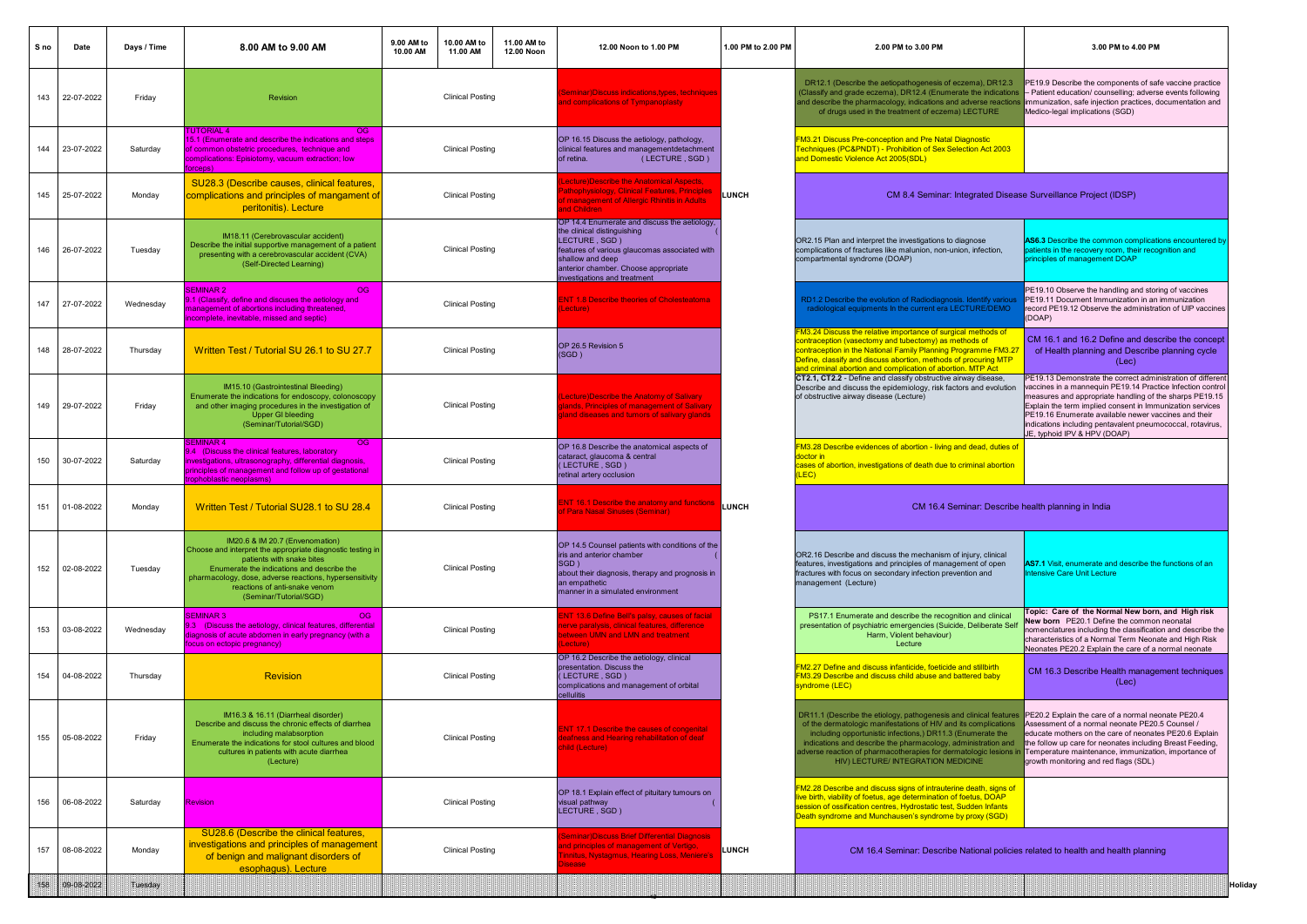| S no | Date       | Days / Time    | 8.00 AM to 9.00 AM                                                                                                                                                                                                                                                                             | 9.00 AM to<br>10.00 AM | 10.00 AM to<br>11.00 AM | 11.00 AM to<br>12.00 Noon | 12.00 Noon to 1.00 PM                                                                                                                                                                                                                    | 1.00 PM to 2.00 PM | 2.00 PM to 3.00 PM                                                                                                                                                                                                                                                                                                                                                                                                                                                                                                                                                                                | 3.00 PM to 4.00 PM                                                                                                                                                                                                                                                                                                                                                                                      |
|------|------------|----------------|------------------------------------------------------------------------------------------------------------------------------------------------------------------------------------------------------------------------------------------------------------------------------------------------|------------------------|-------------------------|---------------------------|------------------------------------------------------------------------------------------------------------------------------------------------------------------------------------------------------------------------------------------|--------------------|---------------------------------------------------------------------------------------------------------------------------------------------------------------------------------------------------------------------------------------------------------------------------------------------------------------------------------------------------------------------------------------------------------------------------------------------------------------------------------------------------------------------------------------------------------------------------------------------------|---------------------------------------------------------------------------------------------------------------------------------------------------------------------------------------------------------------------------------------------------------------------------------------------------------------------------------------------------------------------------------------------------------|
| 143  | 22-07-2022 | Friday         | Revision                                                                                                                                                                                                                                                                                       |                        | <b>Clinical Posting</b> |                           | <b>Seminar)Discuss indications,types, techniques</b><br>nd complications of Tympanoplasty                                                                                                                                                |                    | DR12.1 (Describe the aetiopathogenesis of eczema), DR12.3<br>Classify and grade eczema), DR12.4 (Enumerate the indications<br>nd describe the pharmacology, indications and adverse reactions<br>of drugs used in the treatment of eczema) LECTURE                                                                                                                                                                                                                                                                                                                                                | PE19.9 Describe the components of safe vaccine practice<br>- Patient education/ counselling; adverse events following<br>immunization, safe injection practices, documentation and<br>Medico-legal implications (SGD)                                                                                                                                                                                   |
| 144  | 23-07-2022 | Saturday       | TUTORIAL 4<br>OG<br>15.1 (Enumerate and describe the indications and steps<br>of common obstetric procedures, technique and<br>complications: Episiotomy, vacuum extraction; low<br>'orceps)                                                                                                   |                        | <b>Clinical Posting</b> |                           | OP 16.15 Discuss the aetiology, pathology,<br>clinical features and managementdetachment<br>(LECTURE, SGD)<br>of retina.                                                                                                                 |                    | M3.21 Discuss Pre-conception and Pre Natal Diagnostic<br><b>Techniques (PC&amp;PNDT) - Prohibition of Sex Selection Act 2003</b><br>and Domestic Violence Act 2005(SDL)                                                                                                                                                                                                                                                                                                                                                                                                                           |                                                                                                                                                                                                                                                                                                                                                                                                         |
| 145  | 25-07-2022 | Monday         | SU28.3 (Describe causes, clinical features,<br>complications and principles of mangament of<br>peritonitis). Lecture                                                                                                                                                                           |                        | Clinical Posting        |                           | ecture)Describe the Anatomical Aspects.<br>athophysiology, Clinical Features, Principles<br>f management of Allergic Rhinitis in Adults<br>nd Children                                                                                   | <b>LUNCH</b>       | CM 8.4 Seminar: Integrated Disease Surveillance Project (IDSP)                                                                                                                                                                                                                                                                                                                                                                                                                                                                                                                                    |                                                                                                                                                                                                                                                                                                                                                                                                         |
| 146  | 26-07-2022 | Tuesday        | IM18.11 (Cerebrovascular accident)<br>Describe the initial supportive management of a patient<br>presenting with a cerebrovascular accident (CVA)<br>(Self-Directed Learning)                                                                                                                  |                        | <b>Clinical Posting</b> |                           | OP 14.4 Enumerate and discuss the aetiology,<br>the clinical distinguishing<br>LECTURE, SGD)<br>eatures of various glaucomas associated with<br>shallow and deep<br>anterior chamber. Choose appropriate<br>investigations and treatment |                    | OR2.15 Plan and interpret the investigations to diagnose<br>complications of fractures like malunion, non-union, infection,<br>compartmental syndrome (DOAP)                                                                                                                                                                                                                                                                                                                                                                                                                                      | AS6.3 Describe the common complications encountered by<br>patients in the recovery room, their recognition and<br>principles of management DOAP                                                                                                                                                                                                                                                         |
| 147  | 27-07-2022 | Wednesday      | <b>SEMINAR 2</b><br>OG<br>0.1 (Classify, define and discuses the aetiology and<br>nanagement of abortions including threatened.<br>ncomplete, inevitable, missed and septic)                                                                                                                   |                        | <b>Clinical Posting</b> |                           | NT 1.8 Describe theories of Cholesteatoma<br>ecture)                                                                                                                                                                                     |                    | RD1.2 Describe the evolution of Radiodiagnosis. Identify various<br>radiological equipments In the current era LECTURE/DEMO                                                                                                                                                                                                                                                                                                                                                                                                                                                                       | PE19.10 Observe the handling and storing of vaccines<br>PE19.11 Document Immunization in an immunization<br>record PE19.12 Observe the administration of UIP vaccines<br>(DOAP)                                                                                                                                                                                                                         |
| 148  | 28-07-2022 | Thursday       | Written Test / Tutorial SU 26.1 to SU 27.7                                                                                                                                                                                                                                                     |                        | <b>Clinical Posting</b> |                           | OP 26.5 Revision 5<br>(SGD)                                                                                                                                                                                                              |                    | M3.24 Discuss the relative importance of surgical methods of<br>ontraception (vasectomy and tubectomy) as methods of<br>ontraception in the National Family Planning Programme FM3.2<br>Define, classify and discuss abortion, methods of procuring MTP<br>and criminal abortion and complication of abortion. MTP Act                                                                                                                                                                                                                                                                            | CM 16.1 and 16.2 Define and describe the concept<br>of Health planning and Describe planning cycle<br>(Lec)                                                                                                                                                                                                                                                                                             |
| 149  | 29-07-2022 | Friday         | IM15.10 (Gastrointestinal Bleeding)<br>Enumerate the indications for endoscopy, colonoscopy<br>and other imaging procedures in the investigation of<br><b>Upper GI bleeding</b><br>(Seminar/Tutorial/SGD)                                                                                      |                        | <b>Clinical Posting</b> |                           | ecture)Describe the Anatomy of Salivary<br>lands, Principles of management of Salivary<br>and diseases and tumors of salivary glands                                                                                                     |                    | CT2.1, CT2.2 - Define and classify obstructive airway disease,<br>Describe and discuss the epidemiology, risk factors and evolution<br>of obstructive airway disease (Lecture)                                                                                                                                                                                                                                                                                                                                                                                                                    | PE19.13 Demonstrate the correct administration of different<br>vaccines in a mannequin PE19.14 Practice Infection control<br>neasures and appropriate handling of the sharps PE19.15<br>Explain the term implied consent in Immunization services<br>PE19.16 Enumerate available newer vaccines and their<br>indications including pentavalent pneumococcal, rotavirus,<br>JE, typhoid IPV & HPV (DOAP) |
| 150  | 30-07-2022 | Saturday       | <b>SEMINAR 4</b><br><b>OG</b><br>9.4 (Discuss the clinical features, laboratory<br><mark>nvestigations, ultrasonography, differential diagnosis,</mark><br>principles of management and follow up of gestational<br>ophoblastic neoplasms)                                                     |                        | <b>Clinical Posting</b> |                           | OP 16.8 Describe the anatomical aspects of<br>cataract, glaucoma & central<br>(LECTURE, SGD)<br>retinal artery occlusion                                                                                                                 |                    | M3.28 Describe evidences of abortion - living and dead, duties of<br>doctor in<br>cases of abortion, investigations of death due to criminal abortion<br>LEC)                                                                                                                                                                                                                                                                                                                                                                                                                                     |                                                                                                                                                                                                                                                                                                                                                                                                         |
| 151  | 01-08-2022 | Monday         | Written Test / Tutorial SU28.1 to SU 28.4                                                                                                                                                                                                                                                      |                        | <b>Clinical Posting</b> |                           | <b>NT 16.1 Describe the anatomy and functions</b><br>f Para Nasal Sinuses (Seminar)                                                                                                                                                      | <b>LUNCH</b>       | CM 16.4 Seminar: Describe health planning in India                                                                                                                                                                                                                                                                                                                                                                                                                                                                                                                                                |                                                                                                                                                                                                                                                                                                                                                                                                         |
| 152  | 02-08-2022 | Tuesday        | IM20.6 & IM 20.7 (Envenomation)<br>Choose and interpret the appropriate diagnostic testing in<br>patients with snake bites<br>Enumerate the indications and describe the<br>pharmacology, dose, adverse reactions, hypersensitivity<br>reactions of anti-snake venom<br>(Seminar/Tutorial/SGD) |                        | <b>Clinical Posting</b> |                           | OP 14.5 Counsel patients with conditions of the<br>iris and anterior chamber<br>SGD)<br>about their diagnosis, therapy and prognosis in<br>an empathetic<br>manner in a simulated environment                                            |                    | OR2.16 Describe and discuss the mechanism of injury, clinical<br>features, investigations and principles of management of open<br>fractures with focus on secondary infection prevention and<br>management (Lecture)                                                                                                                                                                                                                                                                                                                                                                              | AS7.1 Visit, enumerate and describe the functions of an<br>ntensive Care Unit Lecture                                                                                                                                                                                                                                                                                                                   |
| 153  | 03-08-2022 | Wednesday      | <b>SEMINAR3</b><br>9.3 (Discuss the aetiology, clinical features, differential<br>diagnosis of acute abdomen in early pregnancy (with a<br>ocus on ectopic pregnancy)                                                                                                                          |                        | <b>Clinical Posting</b> |                           | NT 13.6 Define Bell's palsy, causes of facial<br>erve paralysis, clinical features, difference<br>etween UMN and LMN and treatment<br>ecture)                                                                                            |                    | PS17.1 Enumerate and describe the recognition and clinical<br>presentation of psychiatric emergencies (Suicide, Deliberate Self<br>Harm, Violent behaviour)<br>Lecture                                                                                                                                                                                                                                                                                                                                                                                                                            | Topic: Care of the Normal New born, and High risk<br>New born PE20.1 Define the common neonatal<br>nomenclatures including the classification and describe the<br>characteristics of a Normal Term Neonate and High Risk<br>Neonates PE20.2 Explain the care of a normal neonate                                                                                                                        |
| 154  | 04-08-2022 | Thursday       | <b>Revision</b>                                                                                                                                                                                                                                                                                |                        | <b>Clinical Posting</b> |                           | OP 16.2 Describe the aetiology, clinical<br>presentation. Discuss the<br>(LECTURE, SGD)<br>complications and management of orbital<br>ellulitis                                                                                          |                    | M2.27 Define and discuss infanticide, foeticide and stillbirth<br>FM3.29 Describe and discuss child abuse and battered baby<br>syndrome (LEC)                                                                                                                                                                                                                                                                                                                                                                                                                                                     | CM 16.3 Describe Health management techniques<br>(Lec)                                                                                                                                                                                                                                                                                                                                                  |
| 155  | 05-08-2022 | Friday         | IM16.3 & 16.11 (Diarrheal disorder)<br>Describe and discuss the chronic effects of diarrhea<br>including malabsorption<br>Enumerate the indications for stool cultures and blood<br>cultures in patients with acute diarrhea<br>(Lecture)                                                      |                        | <b>Clinical Posting</b> |                           | <b>ENT 17.1 Describe the causes of congenital</b><br>leafness and Hearing rehabilitation of deaf<br>child (Lecture)                                                                                                                      |                    | DR11.1 (Describe the etiology, pathogenesis and clinical features PE20.2 Explain the care of a normal neonate PE20.4<br>of the dermatologic manifestations of HIV and its complications     Assessment of a normal neonate PE20.5 Counsel<br>including opportunistic infections,) DR11.3 (Enumerate the<br>indications and describe the pharmacology, administration and the follow up care for neonates including Breast Feeding,<br>lverse reaction of pharmacotherapies for dermatologic lesions in Temperature maintenance, immunization, importance of<br>HIV) LECTURE/ INTEGRATION MEDICINE | educate mothers on the care of neonates PE20.6 Explain<br>growth monitoring and red flags (SDL)                                                                                                                                                                                                                                                                                                         |
| 156  | 06-08-2022 | Saturday       | <b>Revision</b>                                                                                                                                                                                                                                                                                |                        | Clinical Posting        |                           | OP 18.1 Explain effect of pituitary tumours on<br>visual pathway<br>LECTURE, SGD)                                                                                                                                                        |                    | M2.28 Describe and discuss signs of intrauterine death, signs of<br>ive birth, viability of foetus, age determination of foetus, DOAP<br>session of ossification centres, Hydrostatic test, Sudden Infants<br>Death syndrome and Munchausen's syndrome by proxy (SGD)                                                                                                                                                                                                                                                                                                                             |                                                                                                                                                                                                                                                                                                                                                                                                         |
| 157  | 08-08-2022 | Monday         | SU28.6 (Describe the clinical features,<br>investigations and principles of management<br>of benign and malignant disorders of<br>esophagus). Lecture                                                                                                                                          |                        | <b>Clinical Posting</b> |                           | <b>Seminar)Discuss Brief Differential Diagnosis</b><br>and principles of management of Vertigo,<br>innitus, Nystagmus, Hearing Loss, Meniere's<br><b>isease</b>                                                                          | LUNCH              | CM 16.4 Seminar: Describe National policies related to health and health planning                                                                                                                                                                                                                                                                                                                                                                                                                                                                                                                 |                                                                                                                                                                                                                                                                                                                                                                                                         |
| 158  | 09-08-2022 | <b>Tuesday</b> |                                                                                                                                                                                                                                                                                                |                        |                         |                           |                                                                                                                                                                                                                                          |                    |                                                                                                                                                                                                                                                                                                                                                                                                                                                                                                                                                                                                   | Holiday                                                                                                                                                                                                                                                                                                                                                                                                 |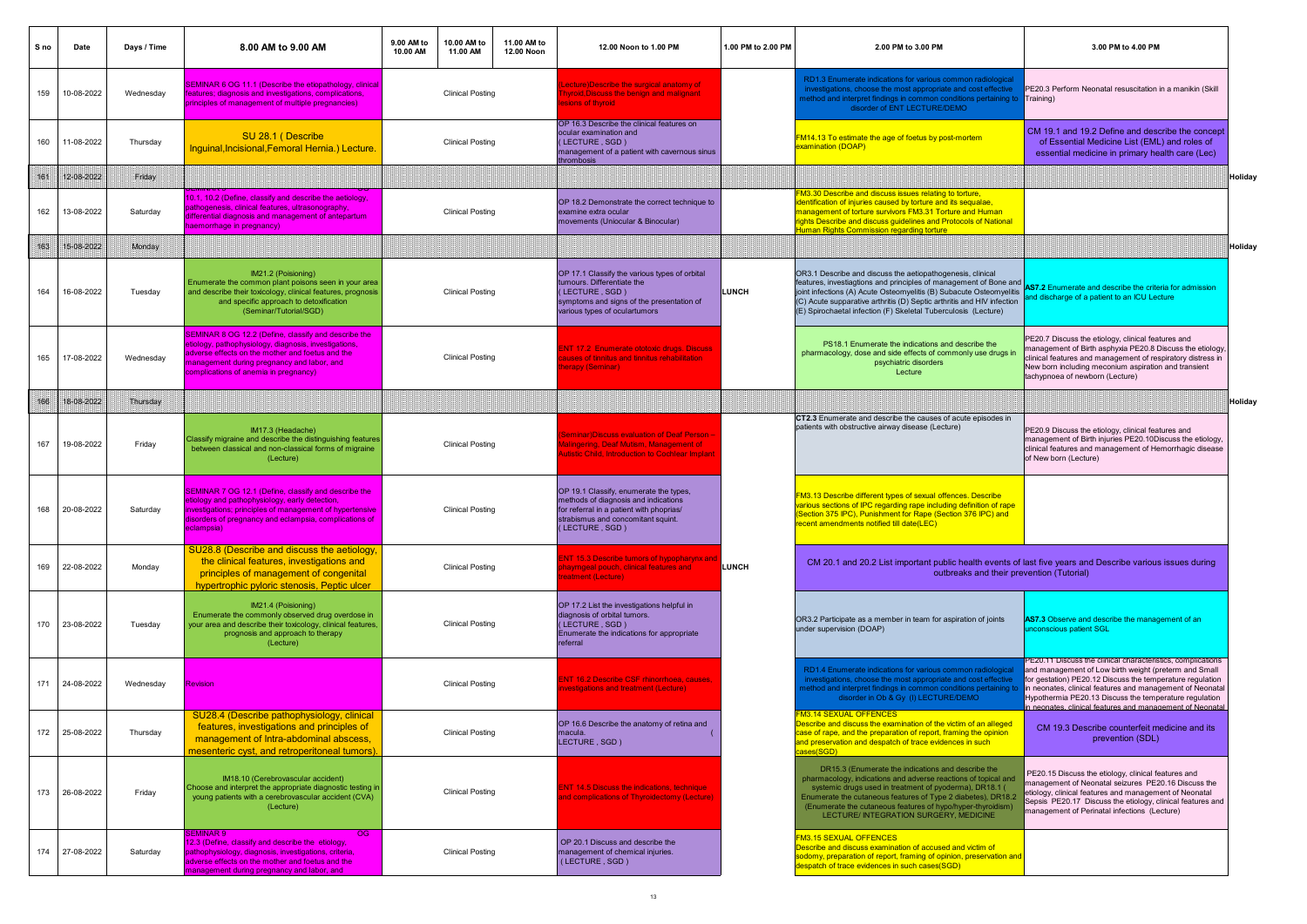| S no | Date           | Days / Time | 8.00 AM to 9.00 AM                                                                                                                                                                                                                                             | 9.00 AM to<br>10.00 AM | 10.00 AM to<br>11.00 AM | 11.00 AM to<br>12.00 Noon | 12.00 Noon to 1.00 PM                                                                                                                                                              | 1.00 PM to 2.00 PM | 2.00 PM to 3.00 PM                                                                                                                                                                                                                                                                                                                                       | 3.00 PM to 4.00 PM                                                                                                                                                                                                                                                                                                                                                    |                |
|------|----------------|-------------|----------------------------------------------------------------------------------------------------------------------------------------------------------------------------------------------------------------------------------------------------------------|------------------------|-------------------------|---------------------------|------------------------------------------------------------------------------------------------------------------------------------------------------------------------------------|--------------------|----------------------------------------------------------------------------------------------------------------------------------------------------------------------------------------------------------------------------------------------------------------------------------------------------------------------------------------------------------|-----------------------------------------------------------------------------------------------------------------------------------------------------------------------------------------------------------------------------------------------------------------------------------------------------------------------------------------------------------------------|----------------|
| 159  | 10-08-2022     | Wednesday   | <b>SEMINAR 6 OG 11.1 (Describe the etiopathology, clinical</b><br>features; diagnosis and investigations, complications,<br>principles of management of multiple pregnancies)                                                                                  |                        | <b>Clinical Posting</b> |                           | ecture)Describe the surgical anatomy of<br>hyroid, Discuss the benign and malignant<br>sions of thyroid                                                                            |                    | RD1.3 Enumerate indications for various common radiologica<br>investigations, choose the most appropriate and cost effective<br>nethod and interpret findings in common conditions pertaining to<br>disorder of ENT LECTURE/DEMO                                                                                                                         | PE20.3 Perform Neonatal resuscitation in a manikin (Skill<br>Training)                                                                                                                                                                                                                                                                                                |                |
| 160  | 11-08-2022     | Thursday    | SU 28.1 (Describe<br>Inguinal,Incisional,Femoral Hernia.) Lecture.                                                                                                                                                                                             |                        | <b>Clinical Posting</b> |                           | OP 16.3 Describe the clinical features on<br>ocular examination and<br>(LECTURE, SGD)<br>management of a patient with cavernous sinus<br>thrombosis                                |                    | FM14.13 To estimate the age of foetus by post-mortem<br>examination (DOAP)                                                                                                                                                                                                                                                                               | CM 19.1 and 19.2 Define and describe the concept<br>of Essential Medicine List (EML) and roles of<br>essential medicine in primary health care (Lec)                                                                                                                                                                                                                  |                |
| 368  | 12-08-2022     | Friday      |                                                                                                                                                                                                                                                                |                        |                         |                           |                                                                                                                                                                                    |                    |                                                                                                                                                                                                                                                                                                                                                          |                                                                                                                                                                                                                                                                                                                                                                       | <b>Holiday</b> |
| 162  | 13-08-2022     | Saturday    | 10.1, 10.2 (Define, classify and describe the aetiology,<br>pathogenesis, clinical features, ultrasonography,<br>differential diagnosis and management of antepartum<br>haemorrhage in pregnancy)                                                              |                        | <b>Clinical Posting</b> |                           | OP 18.2 Demonstrate the correct technique to<br>examine extra ocular<br>movements (Uniocular & Binocular)                                                                          |                    | M3.30 Describe and discuss issues relating to torture,<br>identification of injuries caused by torture and its sequalae,<br>management of torture survivors FM3.31 Torture and Human<br>rights Describe and discuss guidelines and Protocols of National<br>Juman Rights Commission regarding torture                                                    |                                                                                                                                                                                                                                                                                                                                                                       |                |
| 163  | 15-08-2022     | Monday      |                                                                                                                                                                                                                                                                |                        |                         |                           |                                                                                                                                                                                    |                    |                                                                                                                                                                                                                                                                                                                                                          |                                                                                                                                                                                                                                                                                                                                                                       | Holiday        |
| 164  | 16-08-2022     | Tuesday     | IM21.2 (Poisioning)<br>Enumerate the common plant poisons seen in your area<br>and describe their toxicology, clinical features, prognosis<br>and specific approach to detoxification<br>(Seminar/Tutorial/SGD)                                                |                        | <b>Clinical Posting</b> |                           | OP 17.1 Classify the various types of orbital<br>tumours. Differentiate the<br>(LECTURE, SGD)<br>symptoms and signs of the presentation of<br>various types of oculartumors        | LUNCH              | OR3.1 Describe and discuss the aetiopathogenesis, clinical<br>features, investiagtions and principles of management of Bone and<br>joint infections (A) Acute Osteomyelitis (B) Subacute Osteomyelitis<br>(C) Acute supparative arthritis (D) Septic arthritis and HIV infection<br>(E) Spirochaetal infection (F) Skeletal Tuberculosis (Lecture)       | AS7.2 Enumerate and describe the criteria for admission<br>and discharge of a patient to an ICU Lecture                                                                                                                                                                                                                                                               |                |
| 165  | 17-08-2022     | Wednesday   | <b>SEMINAR 8 OG 12.2 (Define, classify and describe the</b><br>etiology, pathophysiology, diagnosis, investigations<br>adverse effects on the mother and foetus and the<br>management during pregnancy and labor, and<br>complications of anemia in pregnancy) |                        | Clinical Posting        |                           | <b>NT 17.2 Enumerate ototoxic drugs. Discuss</b><br>uses of tinnitus and tinnitus rehabilitation<br>erapy (Seminar)                                                                |                    | PS18.1 Enumerate the indications and describe the<br>pharmacology, dose and side effects of commonly use drugs in<br>psychiatric disorders<br>Lecture                                                                                                                                                                                                    | PE20.7 Discuss the etiology, clinical features and<br>management of Birth asphyxia PE20.8 Discuss the etiology<br>clinical features and management of respiratory distress in<br>New born including meconium aspiration and transient<br>tachypnoea of newborn (Lecture)                                                                                              |                |
| 166  | 18-08-2022     | Thursday    |                                                                                                                                                                                                                                                                |                        |                         |                           |                                                                                                                                                                                    |                    |                                                                                                                                                                                                                                                                                                                                                          |                                                                                                                                                                                                                                                                                                                                                                       | Holiday        |
| 167  | 19-08-2022     | Friday      | IM17.3 (Headache)<br>Classify migraine and describe the distinguishing features<br>between classical and non-classical forms of migraine<br>(Lecture)                                                                                                          |                        | <b>Clinical Posting</b> |                           | eminar)Discuss evaluation of Deaf Person -<br>alingering, Deaf Mutism, Management of<br><b>utistic Child, Introduction to Cochlear Implant</b>                                     |                    | CT2.3 Enumerate and describe the causes of acute episodes in<br>patients with obstructive airway disease (Lecture)                                                                                                                                                                                                                                       | PE20.9 Discuss the etiology, clinical features and<br>management of Birth injuries PE20.10Discuss the etiology,<br>clinical features and management of Hemorrhagic disease<br>of New born (Lecture)                                                                                                                                                                   |                |
| 168  | 20-08-2022     | Saturday    | SEMINAR 7 OG 12.1 (Define, classify and describe the<br>etiology and pathophysiology, early detection<br>investigations; principles of management of hypertensive<br>disorders of pregnancy and eclampsia, complications of<br>eclampsia)                      |                        | <b>Clinical Posting</b> |                           | OP 19.1 Classify, enumerate the types,<br>methods of diagnosis and indications<br>for referral in a patient with phoprias/<br>strabismus and concomitant squint.<br>(LECTURE, SGD) |                    | FM3.13 Describe different types of sexual offences. Describe<br>various sections of IPC regarding rape including definition of rape<br>(Section 375 IPC), Punishment for Rape (Section 376 IPC) and<br><mark>recent amendments notified till date(LEC)</mark>                                                                                            |                                                                                                                                                                                                                                                                                                                                                                       |                |
| 169  | 22-08-2022     | Monday      | SU28.8 (Describe and discuss the aetiology,<br>the clinical features, investigations and<br>principles of management of congenital<br><b>hypertrophic pyloric stenosis, Peptic ulcer</b>                                                                       |                        | <b>Clinical Posting</b> |                           | NT 15.3 Describe tumors of hypopharynx an<br>nayrngeal pouch, clinical features and<br>eatment (Lecture)                                                                           | <b>LUNCH</b>       | CM 20.1 and 20.2 List important public health events of last five years and Describe various issues during<br>outbreaks and their prevention (Tutorial)                                                                                                                                                                                                  |                                                                                                                                                                                                                                                                                                                                                                       |                |
| 170  | 23-08-2022     | Tuesday     | IM21.4 (Poisioning)<br>Enumerate the commonly observed drug overdose in<br>your area and describe their toxicology, clinical features,<br>prognosis and approach to therapy<br>(Lecture)                                                                       |                        | <b>Clinical Posting</b> |                           | OP 17.2 List the investigations helpful in<br>diagnosis of orbital tumors.<br>(LECTURE, SGD)<br>Enumerate the indications for appropriate<br>referral                              |                    | OR3.2 Participate as a member in team for aspiration of joints<br>under supervision (DOAP)                                                                                                                                                                                                                                                               | AS7.3 Observe and describe the management of an<br>unconscious patient SGL                                                                                                                                                                                                                                                                                            |                |
| 171  | 24-08-2022     | Wednesday   | Revision                                                                                                                                                                                                                                                       |                        | <b>Clinical Posting</b> |                           | NT 16.2 Describe CSF rhinorrhoea, causes,<br>vestigations and treatment (Lecture)                                                                                                  |                    | RD1.4 Enumerate indications for various common radiological<br>investigations, choose the most appropriate and cost effective<br>ethod and interpret findings in common conditions pertaining to<br>disorder in Ob & Gy (I) LECTURE/DEMO                                                                                                                 | PE20.11 Discuss the clinical characteristics, complications<br>and management of Low birth weight (preterm and Small<br>for gestation) PE20.12 Discuss the temperature regulation<br>in neonates, clinical features and management of Neonatal<br>Hypothermia PE20.13 Discuss the temperature regulation<br>in neonates, clinical features and management of Neonatal |                |
| 172  | 25-08-2022     | Thursday    | SU28.4 (Describe pathophysiology, clinical<br>features, investigations and principles of<br>management of Intra-abdominal abscess<br>mesenteric cyst, and retroperitoneal tumors)                                                                              |                        | <b>Clinical Posting</b> |                           | OP 16.6 Describe the anatomy of retina and<br>macula.<br>LECTURE, SGD)                                                                                                             |                    | M3.14 SEXUAL OFFENCES<br>escribe and discuss the examination of the victim of an alleged<br>case of rape, and the preparation of report, framing the opinion<br>and preservation and despatch of trace evidences in such<br>ases(SGD)                                                                                                                    | CM 19.3 Describe counterfeit medicine and its<br>prevention (SDL)                                                                                                                                                                                                                                                                                                     |                |
|      | 173 26-08-2022 | Friday      | IM18.10 (Cerebrovascular accident)<br>Choose and interpret the appropriate diagnostic testing in<br>young patients with a cerebrovascular accident (CVA)<br>(Lecture)                                                                                          |                        | <b>Clinical Posting</b> |                           | NT 14.5 Discuss the indications, technique<br>nd complications of Thyroidectomy (Lecture)                                                                                          |                    | DR15.3 (Enumerate the indications and describe the<br>pharmacology, indications and adverse reactions of topical and<br>systemic drugs used in treatment of pyoderma), DR18.1 (<br>Enumerate the cutaneous features of Type 2 diabetes), DR18.2<br>(Enumerate the cutaneous features of hypo/hyper-thyroidism)<br>LECTURE/ INTEGRATION SURGERY, MEDICINE | PE20.15 Discuss the etiology, clinical features and<br>management of Neonatal seizures PE20.16 Discuss the<br>etiology, clinical features and management of Neonatal<br>Sepsis PE20.17 Discuss the etiology, clinical features and<br>management of Perinatal infections (Lecture)                                                                                    |                |
| 174  | 27-08-2022     | Saturday    | OG<br><b>SEMINAR 9</b><br>12.3 (Define, classify and describe the etiology.<br>pathophysiology, diagnosis, investigations, criteria,<br>adverse effects on the mother and foetus and the<br>management during pregnancy and labor, and                         |                        | <b>Clinical Posting</b> |                           | OP 20.1 Discuss and describe the<br>management of chemical injuries.<br>(LECTURE, SGD)                                                                                             |                    | M3.15 SEXUAL OFFENCES<br>Describe and discuss examination of accused and victim of<br>sodomy, preparation of report, framing of opinion, preservation and<br>despatch of trace evidences in such cases(SGD)                                                                                                                                              |                                                                                                                                                                                                                                                                                                                                                                       |                |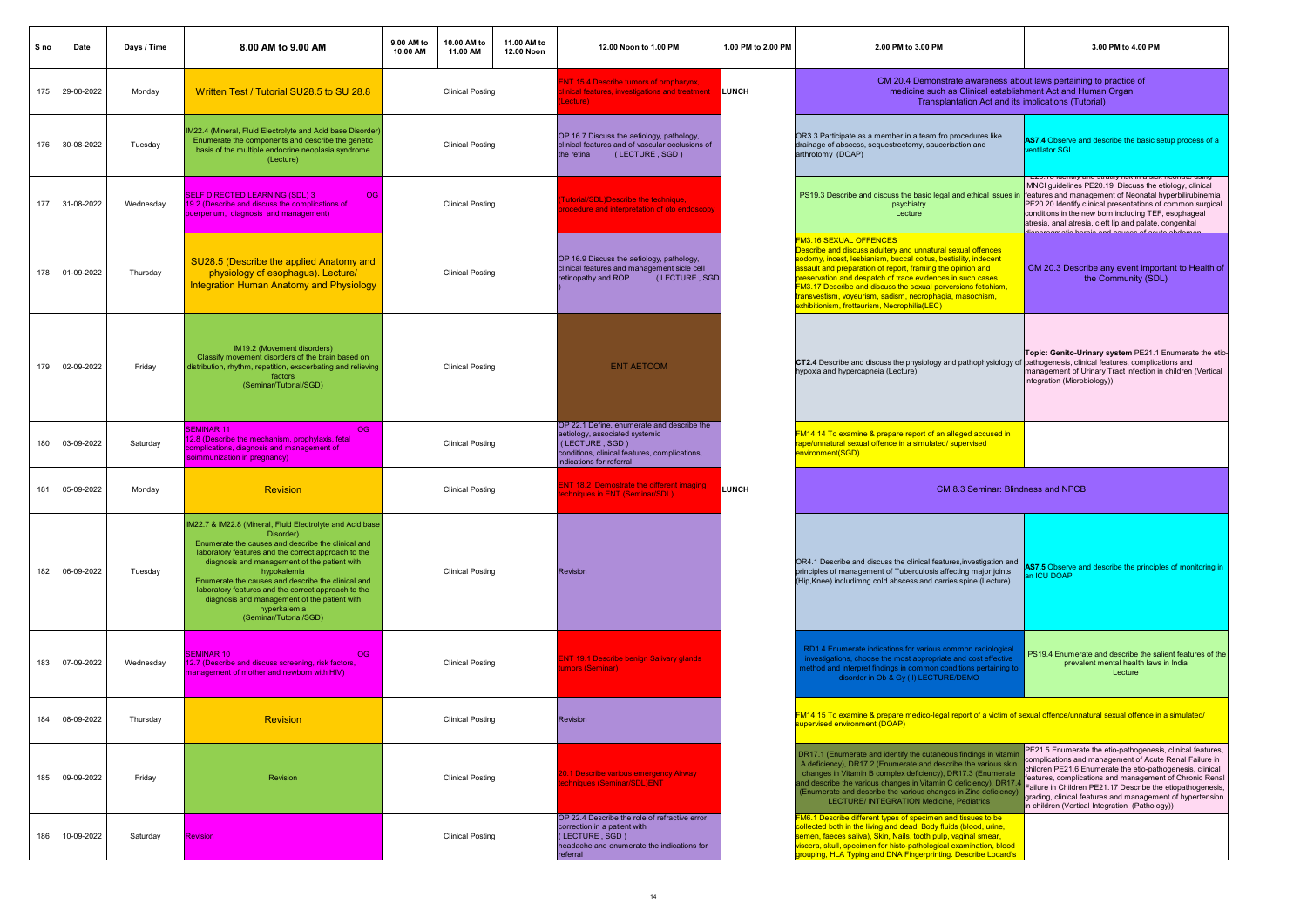| S no | Date       | Days / Time | 8.00 AM to 9.00 AM                                                                                                                                                                                                                                                                                                                                                                                                                                        | 9.00 AM to<br>10.00 AM | 10.00 AM to<br>11.00 AM | 11.00 AM to<br>12.00 Noon | 12.00 Noon to 1.00 PM                                                                                                                                                      | 1.00 PM to 2.00 PM | 2.00 PM to 3.00 PM                                                                                                                                                                                                                                                                                                                                                                                                                                                              | 3.00 PM to 4.00 PM                                                                                                                                                                                                                                                                                                                                                                                                       |
|------|------------|-------------|-----------------------------------------------------------------------------------------------------------------------------------------------------------------------------------------------------------------------------------------------------------------------------------------------------------------------------------------------------------------------------------------------------------------------------------------------------------|------------------------|-------------------------|---------------------------|----------------------------------------------------------------------------------------------------------------------------------------------------------------------------|--------------------|---------------------------------------------------------------------------------------------------------------------------------------------------------------------------------------------------------------------------------------------------------------------------------------------------------------------------------------------------------------------------------------------------------------------------------------------------------------------------------|--------------------------------------------------------------------------------------------------------------------------------------------------------------------------------------------------------------------------------------------------------------------------------------------------------------------------------------------------------------------------------------------------------------------------|
| 175  | 29-08-2022 | Monday      | Written Test / Tutorial SU28.5 to SU 28.8                                                                                                                                                                                                                                                                                                                                                                                                                 |                        | <b>Clinical Posting</b> |                           | <b>ENT 15.4 Describe tumors of oropharynx,</b><br>inical features, investigations and treatment<br>ecture)                                                                 | LUNCH              | CM 20.4 Demonstrate awareness about laws pertaining to practice of<br>medicine such as Clinical establishment Act and Human Organ<br>Transplantation Act and its implications (Tutorial)                                                                                                                                                                                                                                                                                        |                                                                                                                                                                                                                                                                                                                                                                                                                          |
| 176  | 30-08-2022 | Tuesday     | M22.4 (Mineral, Fluid Electrolyte and Acid base Disorder<br>Enumerate the components and describe the genetic<br>basis of the multiple endocrine neoplasia syndrome<br>(Lecture)                                                                                                                                                                                                                                                                          |                        | <b>Clinical Posting</b> |                           | OP 16.7 Discuss the aetiology, pathology,<br>clinical features and of vascular occlusions of<br>(LECTURE, SGD)<br>the retina                                               |                    | OR3.3 Participate as a member in a team fro procedures like<br>drainage of abscess, sequestrectomy, saucerisation and<br>arthrotomy (DOAP)                                                                                                                                                                                                                                                                                                                                      | AS7.4 Observe and describe the basic setup process of a<br>ventilator SGL                                                                                                                                                                                                                                                                                                                                                |
| 177  | 31-08-2022 | Wednesday   | <b>SELF DIRECTED LEARNING (SDL) 3</b><br>OG.<br>19.2 (Describe and discuss the complications of<br>puerperium, diagnosis and management)                                                                                                                                                                                                                                                                                                                  |                        | <b>Clinical Posting</b> |                           | Tutorial/SDL)Describe the technique,<br>rocedure and interpretation of oto endoscopy                                                                                       |                    | PS19.3 Describe and discuss the basic legal and ethical issues in features and management of Neonatal hyperbilirubinemia<br>psychiatry<br>Lecture                                                                                                                                                                                                                                                                                                                               | itiry and stratiry risk in a sick neonate dsing<br>IMNCI guidelines PE20.19 Discuss the etiology, clinical<br>PE20.20 Identify clinical presentations of common surgical<br>conditions in the new born including TEF, esophageal<br>atresia, anal atresia, cleft lip and palate, congenital                                                                                                                              |
| 178  | 01-09-2022 | Thursday    | SU28.5 (Describe the applied Anatomy and<br>physiology of esophagus). Lecture/<br><b>Integration Human Anatomy and Physiology</b>                                                                                                                                                                                                                                                                                                                         |                        | <b>Clinical Posting</b> |                           | OP 16.9 Discuss the aetiology, pathology,<br>clinical features and management sicle cell<br>(LECTURE, SGD<br>etinopathy and ROP                                            |                    | <b>FM3.16 SEXUAL OFFENCES</b><br>Describe and discuss adultery and unnatural sexual offences<br>sodomy, incest, lesbianism, buccal coitus, bestiality, indecent<br>assault and preparation of report, framing the opinion and<br>preservation and despatch of trace evidences in such cases<br><b>FM3.17 Describe and discuss the sexual perversions fetishism,</b><br>transvestism, voyeurism, sadism, necrophagia, masochism,<br>exhibitionism, frotteurism, Necrophilia(LEC) | CM 20.3 Describe any event important to Health of<br>the Community (SDL)                                                                                                                                                                                                                                                                                                                                                 |
| 179  | 02-09-2022 | Friday      | IM19.2 (Movement disorders)<br>Classify movement disorders of the brain based on<br>distribution, rhythm, repetition, exacerbating and relieving<br>factors<br>(Seminar/Tutorial/SGD)                                                                                                                                                                                                                                                                     |                        | <b>Clinical Posting</b> |                           | <b>ENT AETCOM</b>                                                                                                                                                          |                    | CT2.4 Describe and discuss the physiology and pathophysiology of pathogenesis, clinical features, complications and<br>hypoxia and hypercapneia (Lecture)                                                                                                                                                                                                                                                                                                                       | Topic: Genito-Urinary system PE21.1 Enumerate the etio-<br>management of Urinary Tract infection in children (Vertical<br>Integration (Microbiology))                                                                                                                                                                                                                                                                    |
| 180  | 03-09-2022 | Saturday    | <b>SEMINAR 11</b><br>OG<br>12.8 (Describe the mechanism, prophylaxis, fetal<br>complications, diagnosis and management of<br>soimmunization in pregnancy)                                                                                                                                                                                                                                                                                                 |                        | <b>Clinical Posting</b> |                           | OP 22.1 Define, enumerate and describe the<br>aetiology, associated systemic<br>(LECTURE, SGD)<br>conditions, clinical features, complications,<br>ndications for referral |                    | FM14.14 To examine & prepare report of an alleged accused in<br>rape/unnatural sexual offence in a simulated/ supervised<br>environment(SGD)                                                                                                                                                                                                                                                                                                                                    |                                                                                                                                                                                                                                                                                                                                                                                                                          |
| 181  | 05-09-2022 | Monday      | Revision                                                                                                                                                                                                                                                                                                                                                                                                                                                  |                        | <b>Clinical Posting</b> |                           | NT 18.2 Demostrate the different imaging<br>chniques in ENT (Seminar/SDL)                                                                                                  | LUNCH              | CM 8.3 Seminar: Blindness and NPCB                                                                                                                                                                                                                                                                                                                                                                                                                                              |                                                                                                                                                                                                                                                                                                                                                                                                                          |
| 182  | 06-09-2022 | Tuesday     | IM22.7 & IM22.8 (Mineral, Fluid Electrolyte and Acid base<br>Disorder)<br>Enumerate the causes and describe the clinical and<br>laboratory features and the correct approach to the<br>diagnosis and management of the patient with<br>hypokalemia<br>Enumerate the causes and describe the clinical and<br>laboratory features and the correct approach to the<br>diagnosis and management of the patient with<br>hyperkalemia<br>(Seminar/Tutorial/SGD) |                        | <b>Clinical Posting</b> |                           | <b>Revision</b>                                                                                                                                                            |                    | OR4.1 Describe and discuss the clinical features, investigation and<br>principles of management of Tuberculosis affecting major joints<br>(Hip, Knee) includimng cold abscess and carries spine (Lecture)                                                                                                                                                                                                                                                                       | AS7.5 Observe and describe the principles of monitoring in<br><b>In ICU DOAP</b>                                                                                                                                                                                                                                                                                                                                         |
| 183  | 07-09-2022 | Wednesday   | <b>SEMINAR 10</b><br>OG.<br>12.7 (Describe and discuss screening, risk factors,<br>management of mother and newborn with HIV)                                                                                                                                                                                                                                                                                                                             |                        | <b>Clinical Posting</b> |                           | <b>INT 19.1 Describe benign Salivary glands</b><br>umors (Seminar) :                                                                                                       |                    | RD1.4 Enumerate indications for various common radiological<br>investigations, choose the most appropriate and cost effective<br>nethod and interpret findings in common conditions pertaining to<br>disorder in Ob & Gy (II) LECTURE/DEMO                                                                                                                                                                                                                                      | PS19.4 Enumerate and describe the salient features of the<br>prevalent mental health laws in India<br>Lecture                                                                                                                                                                                                                                                                                                            |
| 184  | 08-09-2022 | Thursday    | Revision                                                                                                                                                                                                                                                                                                                                                                                                                                                  |                        | <b>Clinical Posting</b> |                           | <b>Revision</b>                                                                                                                                                            |                    | FM14.15 To examine & prepare medico-legal report of a victim of sexual offence/unnatural sexual offence in a simulated/<br>supervised environment (DOAP)                                                                                                                                                                                                                                                                                                                        |                                                                                                                                                                                                                                                                                                                                                                                                                          |
| 185  | 09-09-2022 | Friday      | Revision                                                                                                                                                                                                                                                                                                                                                                                                                                                  |                        | <b>Clinical Posting</b> |                           | 0.1 Describe various emergency Airway<br>echniques (Seminar/SDL)ENT                                                                                                        |                    | DR17.1 (Enumerate and identify the cutaneous findings in vitamin<br>A deficiency), DR17.2 (Enumerate and describe the various skin<br>changes in Vitamin B complex deficiency), DR17.3 (Enumerate<br>and describe the various changes in Vitamin C deficiency), DR17.<br>(Enumerate and describe the various changes in Zinc deficiency)<br>LECTURE/ INTEGRATION Medicine, Pediatrics                                                                                           | PE21.5 Enumerate the etio-pathogenesis, clinical features,<br>complications and management of Acute Renal Failure in<br>children PE21.6 Enumerate the etio-pathogenesis, clinical<br>features, complications and management of Chronic Renal<br>Failure in Children PE21.17 Describe the etiopathogenesis,<br>grading, clinical features and management of hypertension<br>n children (Vertical Integration (Pathology)) |
| 186  | 10-09-2022 | Saturday    | <b>Revision</b>                                                                                                                                                                                                                                                                                                                                                                                                                                           |                        | <b>Clinical Posting</b> |                           | OP 22.4 Describe the role of refractive error<br>correction in a patient with<br>(LECTURE, SGD)<br>headache and enumerate the indications for<br>eferral                   |                    | FM6.1 Describe different types of specimen and tissues to be<br>collected both in the living and dead: Body fluids (blood, urine,<br>semen, faeces saliva), Skin, Nails, tooth pulp, vaginal smear,<br>viscera, skull, specimen for histo-pathological examination, blood<br>rouping, HLA Typing and DNA Fingerprinting. Describe Locard's                                                                                                                                      |                                                                                                                                                                                                                                                                                                                                                                                                                          |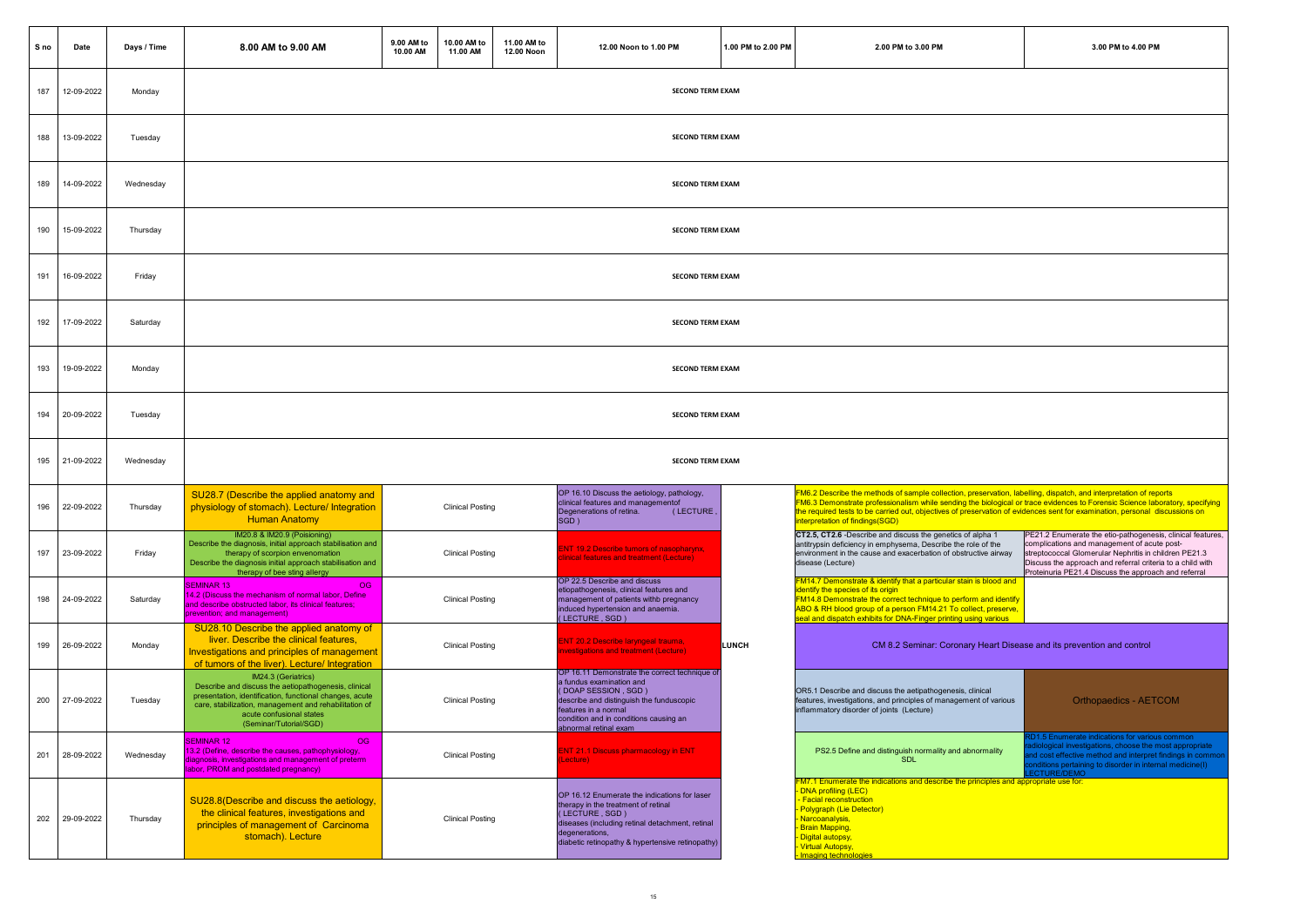| S no | Date       | Days / Time | 8.00 AM to 9.00 AM                                                                                                                                                                                                                                    | 9.00 AM to<br>10.00 AM | 10.00 AM to<br>11.00 AM | 11.00 AM to<br>12.00 Noon | 12.00 Noon to 1.00 PM                                                                                                                                                                                                                   | 1.00 PM to 2.00 PM | 2.00 PM to 3.00 PM                                                                                                                                                                                                                                                                                                                                                                                                  | 3.00 PM to 4.00 PM                                                                                                                                                                                                                                                                       |
|------|------------|-------------|-------------------------------------------------------------------------------------------------------------------------------------------------------------------------------------------------------------------------------------------------------|------------------------|-------------------------|---------------------------|-----------------------------------------------------------------------------------------------------------------------------------------------------------------------------------------------------------------------------------------|--------------------|---------------------------------------------------------------------------------------------------------------------------------------------------------------------------------------------------------------------------------------------------------------------------------------------------------------------------------------------------------------------------------------------------------------------|------------------------------------------------------------------------------------------------------------------------------------------------------------------------------------------------------------------------------------------------------------------------------------------|
| 187  | 12-09-2022 | Monday      |                                                                                                                                                                                                                                                       |                        |                         |                           | <b>SECOND TERM EXAM</b>                                                                                                                                                                                                                 |                    |                                                                                                                                                                                                                                                                                                                                                                                                                     |                                                                                                                                                                                                                                                                                          |
| 188  | 13-09-2022 | Tuesday     |                                                                                                                                                                                                                                                       |                        |                         |                           | <b>SECOND TERM EXAM</b>                                                                                                                                                                                                                 |                    |                                                                                                                                                                                                                                                                                                                                                                                                                     |                                                                                                                                                                                                                                                                                          |
| 189  | 14-09-2022 | Wednesday   |                                                                                                                                                                                                                                                       |                        |                         |                           | <b>SECOND TERM EXAM</b>                                                                                                                                                                                                                 |                    |                                                                                                                                                                                                                                                                                                                                                                                                                     |                                                                                                                                                                                                                                                                                          |
| 190  | 15-09-2022 | Thursday    |                                                                                                                                                                                                                                                       |                        |                         |                           | <b>SECOND TERM EXAM</b>                                                                                                                                                                                                                 |                    |                                                                                                                                                                                                                                                                                                                                                                                                                     |                                                                                                                                                                                                                                                                                          |
| 191  | 16-09-2022 | Friday      |                                                                                                                                                                                                                                                       |                        |                         |                           | <b>SECOND TERM EXAM</b>                                                                                                                                                                                                                 |                    |                                                                                                                                                                                                                                                                                                                                                                                                                     |                                                                                                                                                                                                                                                                                          |
| 192  | 17-09-2022 | Saturday    |                                                                                                                                                                                                                                                       |                        |                         |                           | <b>SECOND TERM EXAM</b>                                                                                                                                                                                                                 |                    |                                                                                                                                                                                                                                                                                                                                                                                                                     |                                                                                                                                                                                                                                                                                          |
| 193  | 19-09-2022 | Monday      |                                                                                                                                                                                                                                                       |                        |                         |                           | <b>SECOND TERM EXAM</b>                                                                                                                                                                                                                 |                    |                                                                                                                                                                                                                                                                                                                                                                                                                     |                                                                                                                                                                                                                                                                                          |
| 194  | 20-09-2022 | Tuesday     |                                                                                                                                                                                                                                                       |                        |                         |                           | <b>SECOND TERM EXAM</b>                                                                                                                                                                                                                 |                    |                                                                                                                                                                                                                                                                                                                                                                                                                     |                                                                                                                                                                                                                                                                                          |
| 195  | 21-09-2022 | Wednesday   |                                                                                                                                                                                                                                                       |                        |                         |                           | <b>SECOND TERM EXAM</b>                                                                                                                                                                                                                 |                    |                                                                                                                                                                                                                                                                                                                                                                                                                     |                                                                                                                                                                                                                                                                                          |
| 196  | 22-09-2022 | Thursday    | SU28.7 (Describe the applied anatomy and<br>physiology of stomach). Lecture/ Integration<br><b>Human Anatomy</b>                                                                                                                                      |                        | <b>Clinical Posting</b> |                           | OP 16.10 Discuss the aetiology, pathology,<br>clinical features and managementof<br>(LECTURE)<br>Degenerations of retina.<br>SGD)                                                                                                       |                    | FM6.2 Describe the methods of sample collection, preservation, labelling, dispatch, and interpretation of reports<br>FM6.3 Demonstrate professionalism while sending the biological or trace evidences to Forensic Science laboratory, specifying<br>the required tests to be carried out, objectives of preservation of evidences sent for examination, personal discussions on<br>interpretation of findings(SGD) |                                                                                                                                                                                                                                                                                          |
| 197  | 23-09-2022 | Friday      | IM20.8 & IM20.9 (Poisioning)<br>Describe the diagnosis, initial approach stabilisation and<br>therapy of scorpion envenomation<br>Describe the diagnosis initial approach stabilisation and<br>therapy of bee sting allergy                           |                        | <b>Clinical Posting</b> |                           | <b>ENT 19.2 Describe tumors of nasopharynx,</b><br>linical features and treatment (Lecture) _                                                                                                                                           |                    | CT2.5, CT2.6 -Describe and discuss the genetics of alpha 1<br>antitrypsin deficiency in emphysema, Describe the role of the<br>environment in the cause and exacerbation of obstructive airway<br>disease (Lecture)                                                                                                                                                                                                 | PE21.2 Enumerate the etio-pathogenesis, clinical features,<br>complications and management of acute post-<br>streptococcal Glomerular Nephritis in children PE21.3<br>Discuss the approach and referral criteria to a child with<br>Proteinuria PE21.4 Discuss the approach and referral |
| 198  | 24-09-2022 | Saturday    | <b>SEMINAR 13</b><br>OG.<br>14.2 (Discuss the mechanism of normal labor, Define<br>and describe obstructed labor, its clinical features;<br>prevention; and management)                                                                               |                        | <b>Clinical Posting</b> |                           | OP 22.5 Describe and discuss<br>etiopathogenesis, clinical features and<br>management of patients withb pregnancy<br>induced hypertension and anaemia.<br>(LECTURE, SGD)                                                                |                    | <b>FM14.7 Demonstrate &amp; identify that a particular stain is blood and</b><br>identify the species of its origin<br>FM14.8 Demonstrate the correct technique to perform and identify<br>ABO & RH blood group of a person FM14.21 To collect, preserve,<br>seal and dispatch exhibits for DNA-Finger printing using various                                                                                       |                                                                                                                                                                                                                                                                                          |
| 199  | 26-09-2022 | Monday      | SU28.10 Describe the applied anatomy of<br>liver. Describe the clinical features,<br>Investigations and principles of management<br>of tumors of the liver). Lecture/ Integration                                                                     |                        | <b>Clinical Posting</b> |                           | ENT 20.2 Describe laryngeal trauma,<br>vestigations and treatment (Lecture)                                                                                                                                                             | <b>LUNCH</b>       | CM 8.2 Seminar: Coronary Heart Disease and its prevention and control                                                                                                                                                                                                                                                                                                                                               |                                                                                                                                                                                                                                                                                          |
| 200  | 27-09-2022 | Tuesday     | IM24.3 (Geriatrics)<br>Describe and discuss the aetiopathogenesis, clinical<br>presentation, identification, functional changes, acute<br>care, stabilization, management and rehabilitation of<br>acute confusional states<br>(Seminar/Tutorial/SGD) |                        | Clinical Posting        |                           | OP 16.11 Demonstrate the correct technique of<br>a fundus examination and<br>(DOAP SESSION, SGD)<br>describe and distinguish the funduscopic<br>features in a normal<br>condition and in conditions causing an<br>abnormal retinal exam |                    | OR5.1 Describe and discuss the aetipathogenesis, clinical<br>features, investigations, and principles of management of various<br>inflammatory disorder of joints (Lecture)                                                                                                                                                                                                                                         | <b>Orthopaedics - AETCOM</b>                                                                                                                                                                                                                                                             |
| 201  | 28-09-2022 | Wednesday   | <b>SEMINAR 12</b><br>OG<br>13.2 (Define, describe the causes, pathophysiology,<br>diagnosis, investigations and management of preterm<br>labor, PROM and postdated pregnancy)                                                                         |                        | <b>Clinical Posting</b> |                           | ENT 21.1 Discuss pharmacology in ENT<br>_ecture)                                                                                                                                                                                        |                    | PS2.5 Define and distinguish normality and abnormality<br><b>SDL</b>                                                                                                                                                                                                                                                                                                                                                | D1.5 Enumerate indications for various common<br>liological investigations, choose the most appropriate<br>ad cost effective method and interpret findings in common<br>onditions pertaining to disorder in internal medicine(I)<br>CTURE/DEMO                                           |
| 202  | 29-09-2022 | Thursday    | SU28.8 (Describe and discuss the aetiology,<br>the clinical features, investigations and<br>principles of management of Carcinoma<br>stomach). Lecture                                                                                                |                        | <b>Clinical Posting</b> |                           | OP 16.12 Enumerate the indications for laser<br>therapy in the treatment of retinal<br>(LECTURE, SGD)<br>diseases (including retinal detachment, retinal<br>degenerations,<br>diabetic retinopathy & hypertensive retinopathy)          |                    | <b>FM7.1 Enumerate the indications and describe the principles and appropriate use for</b><br>- DNA profiling (LEC)<br>- Facial reconstruction<br>Polygraph (Lie Detector)<br>Narcoanalysis,<br><b>Brain Mapping,</b><br><b>Digital autopsy</b> ,<br>Virtual Autopsy,<br>Imaging technologies                                                                                                                       |                                                                                                                                                                                                                                                                                          |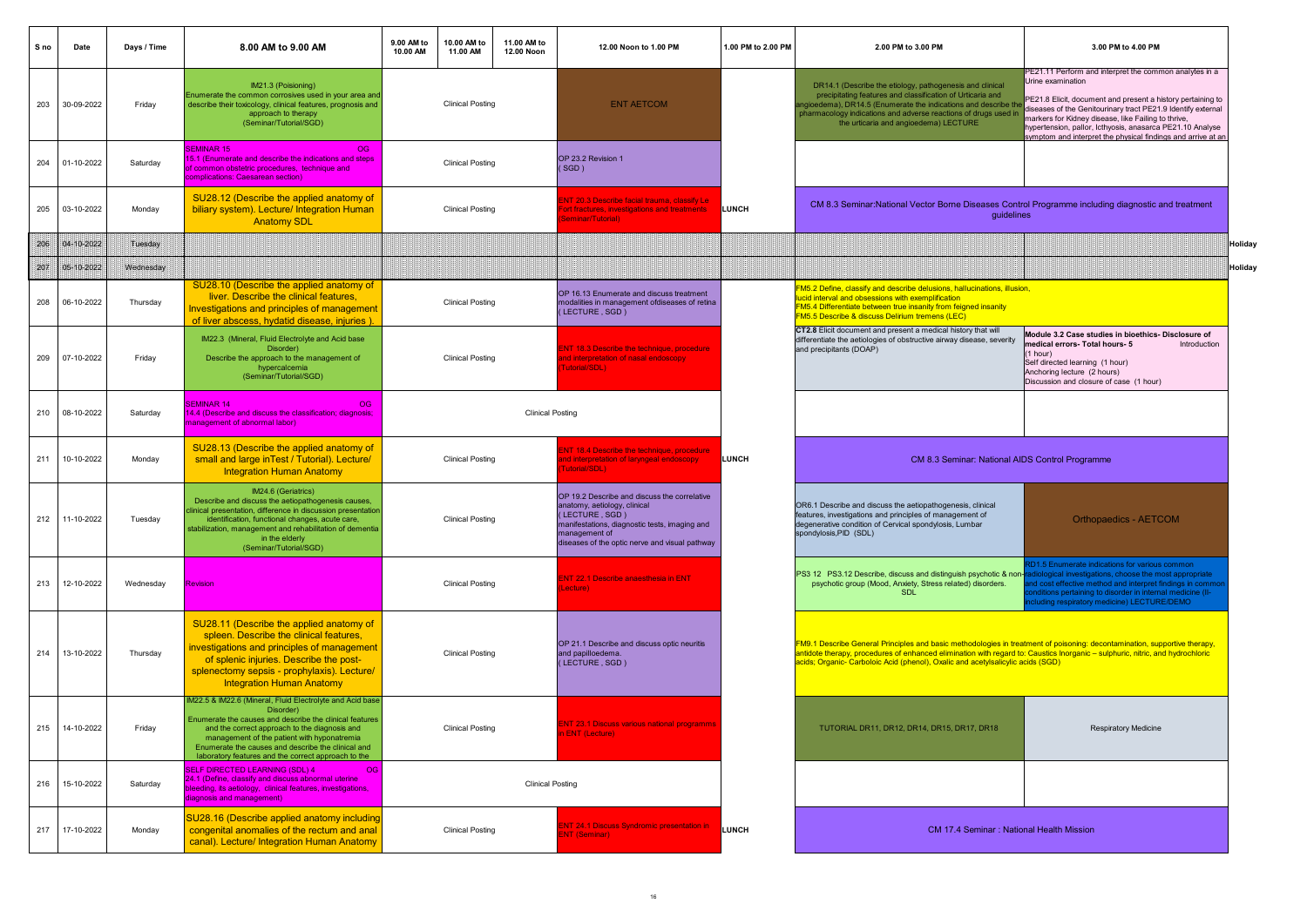| S no | Date           | Days / Time    | 8.00 AM to 9.00 AM                                                                                                                                                                                                                                                                                                                            | 9.00 AM to<br>10.00 AM | 10.00 AM to<br>11.00 AM | 11.00 AM to<br>12.00 Noon | 12.00 Noon to 1.00 PM                                                                                                                                                                                              | 1.00 PM to 2.00 PM | 2.00 PM to 3.00 PM                                                                                                                                                                                                                                                                                                                            | 3.00 PM to 4.00 PM                                                                                                                                                                                                                                                                                                                                                                             |
|------|----------------|----------------|-----------------------------------------------------------------------------------------------------------------------------------------------------------------------------------------------------------------------------------------------------------------------------------------------------------------------------------------------|------------------------|-------------------------|---------------------------|--------------------------------------------------------------------------------------------------------------------------------------------------------------------------------------------------------------------|--------------------|-----------------------------------------------------------------------------------------------------------------------------------------------------------------------------------------------------------------------------------------------------------------------------------------------------------------------------------------------|------------------------------------------------------------------------------------------------------------------------------------------------------------------------------------------------------------------------------------------------------------------------------------------------------------------------------------------------------------------------------------------------|
| 203  | 30-09-2022     | Friday         | IM21.3 (Poisioning)<br>Enumerate the common corrosives used in your area and<br>describe their toxicology, clinical features, prognosis and<br>approach to therapy<br>(Seminar/Tutorial/SGD)                                                                                                                                                  |                        | <b>Clinical Posting</b> |                           | <b>ENT AETCOM</b>                                                                                                                                                                                                  |                    | DR14.1 (Describe the etiology, pathogenesis and clinical<br>precipitating features and classification of Urticaria and<br>gioedema), DR14.5 (Enumerate the indications and describe the<br>oharmacology indications and adverse reactions of drugs used in<br>the urticaria and angioedema) LECTURE                                           | PE21.11 Perform and interpret the common analytes in a<br>Urine examination<br>PE21.8 Elicit, document and present a history pertaining to<br>diseases of the Genitourinary tract PE21.9 Identify external<br>markers for Kidney disease, like Failing to thrive,<br>hypertension, pallor, Icthyosis, anasarca PE21.10 Analyse<br>symptom and interpret the physical findings and arrive at an |
| 204  | 01-10-2022     | Saturday       | <b>SEMINAR 15</b><br><b>OG</b><br>15.1 (Enumerate and describe the indications and steps<br>of common obstetric procedures, technique and<br>complications: Caesarean section)                                                                                                                                                                |                        | <b>Clinical Posting</b> |                           | OP 23.2 Revision 1<br>(SGD)                                                                                                                                                                                        |                    |                                                                                                                                                                                                                                                                                                                                               |                                                                                                                                                                                                                                                                                                                                                                                                |
| 205  | 03-10-2022     | Monday         | SU28.12 (Describe the applied anatomy of<br>biliary system). Lecture/ Integration Human<br><b>Anatomy SDL</b>                                                                                                                                                                                                                                 |                        | <b>Clinical Posting</b> |                           | NT 20.3 Describe facial trauma, classify Le<br>ort fractures, investigations and treatments<br><b>Seminar/Tutorial)</b>                                                                                            | LUNCH              | CM 8.3 Seminar:National Vector Borne Diseases Control Programme including diagnostic and treatment<br>quidelines                                                                                                                                                                                                                              |                                                                                                                                                                                                                                                                                                                                                                                                |
| 206  | 04-10-2022     | <b>Tuesday</b> |                                                                                                                                                                                                                                                                                                                                               |                        |                         |                           |                                                                                                                                                                                                                    |                    |                                                                                                                                                                                                                                                                                                                                               | Holiday                                                                                                                                                                                                                                                                                                                                                                                        |
| 287  | 05-10-2022     | Wednesday      |                                                                                                                                                                                                                                                                                                                                               |                        |                         |                           |                                                                                                                                                                                                                    |                    |                                                                                                                                                                                                                                                                                                                                               | Holiday                                                                                                                                                                                                                                                                                                                                                                                        |
| 208  | 06-10-2022     | Thursday       | SU28.10 (Describe the applied anatomy of<br>liver. Describe the clinical features,<br>Investigations and principles of management<br>of liver abscess, hydatid disease, injuries).                                                                                                                                                            |                        | <b>Clinical Posting</b> |                           | OP 16.13 Enumerate and discuss treatment<br>modalities in management ofdiseases of retina<br>(LECTURE, SGD)                                                                                                        |                    | FM5.2 Define, classify and describe delusions, hallucinations, illusion,<br>lucid interval and obsessions with exemplification<br><b>FM5.4 Differentiate between true insanity from feigned insanity</b><br><b>FM5.5 Describe &amp; discuss Delirium tremens (LEC)</b>                                                                        |                                                                                                                                                                                                                                                                                                                                                                                                |
| 209  | 07-10-2022     | Friday         | IM22.3 (Mineral, Fluid Electrolyte and Acid base<br>Disorder)<br>Describe the approach to the management of<br>hypercalcemia<br>(Seminar/Tutorial/SGD)                                                                                                                                                                                        |                        | <b>Clinical Posting</b> |                           | NT 18.3 Describe the technique, procedure<br>and interpretation of nasal endoscopy<br>Tutorial/SDL)                                                                                                                |                    | CT2.8 Elicit document and present a medical history that will<br>differentiate the aetiologies of obstructive airway disease, severity<br>and precipitants (DOAP)                                                                                                                                                                             | Module 3.2 Case studies in bioethics- Disclosure of<br>medical errors- Total hours- 5<br>Introduction<br>(1 hour)<br>Self directed learning (1 hour)<br>Anchoring lecture (2 hours)<br>Discussion and closure of case (1 hour)                                                                                                                                                                 |
| 210  | 08-10-2022     | Saturday       | <b>SEMINAR 14</b><br>OG<br>14.4 (Describe and discuss the classification; diagnosis;<br>nanagement of abnormal labor)                                                                                                                                                                                                                         |                        |                         | <b>Clinical Posting</b>   |                                                                                                                                                                                                                    |                    |                                                                                                                                                                                                                                                                                                                                               |                                                                                                                                                                                                                                                                                                                                                                                                |
| 211  | 10-10-2022     | Monday         | SU28.13 (Describe the applied anatomy of<br>small and large in Test / Tutorial). Lecture/<br><b>Integration Human Anatomy</b>                                                                                                                                                                                                                 |                        | <b>Clinical Posting</b> |                           | NT 18.4 Describe the technique, procedure<br>nd interpretation of laryngeal endoscopy<br>utorial/SDL)                                                                                                              | LUNCH              | CM 8.3 Seminar: National AIDS Control Programme                                                                                                                                                                                                                                                                                               |                                                                                                                                                                                                                                                                                                                                                                                                |
| 212  | 11-10-2022     | Tuesday        | IM24.6 (Geriatrics)<br>Describe and discuss the aetiopathogenesis causes,<br>clinical presentation, difference in discussion presentation<br>identification, functional changes, acute care,<br>stabilization, management and rehabilitation of dementia<br>in the elderly<br>(Seminar/Tutorial/SGD)                                          |                        | <b>Clinical Posting</b> |                           | OP 19.2 Describe and discuss the correlative<br>anatomy, aetiology, clinical<br>(LECTURE, SGD)<br>manifestations, diagnostic tests, imaging and<br>management of<br>diseases of the optic nerve and visual pathway |                    | OR6.1 Describe and discuss the aetiopathogenesis, clinical<br>features, investigations and principles of management of<br>degenerative condition of Cervical spondylosis, Lumbar<br>spondylosis,PID (SDL)                                                                                                                                     | <b>Orthopaedics - AETCOM</b>                                                                                                                                                                                                                                                                                                                                                                   |
| 213  | 12-10-2022     | Wednesday      | <b>Revision</b>                                                                                                                                                                                                                                                                                                                               |                        | <b>Clinical Posting</b> |                           | NT 22.1 Describe anaesthesia in ENT<br>ecture)                                                                                                                                                                     |                    | PS3 12 PS3.12 Describe, discuss and distinguish psychotic & non-<br>psychotic group (Mood, Anxiety, Stress related) disorders.<br>SDL                                                                                                                                                                                                         | D1.5 Enumerate indications for various common<br>logical investigations, choose the most appropriate<br>d cost effective method and interpret findings in commo<br>nditions pertaining to disorder in internal medicine (II-<br>luding respiratory medicine) LECTURE/DEMO                                                                                                                      |
| 214  | 13-10-2022     | Thursday       | SU28.11 (Describe the applied anatomy of<br>spleen. Describe the clinical features,<br>investigations and principles of management<br>of splenic injuries. Describe the post-<br>splenectomy sepsis - prophylaxis). Lecture/<br><b>Integration Human Anatomy</b>                                                                              |                        | <b>Clinical Posting</b> |                           | OP 21.1 Describe and discuss optic neuritis<br>and papilloedema.<br>(LECTURE, SGD)                                                                                                                                 |                    | FM9.1 Describe General Principles and basic methodologies in treatment of poisoning: decontamination, supportive therapy,<br>antidote therapy, procedures of enhanced elimination with regard to: Caustics Inorganic - sulphuric, nitric, and hydrochloric<br>acids; Organic- Carboloic Acid (phenol), Oxalic and acetylsalicylic acids (SGD) |                                                                                                                                                                                                                                                                                                                                                                                                |
|      | 215 14-10-2022 | Friday         | M22.5 & IM22.6 (Mineral, Fluid Electrolyte and Acid base<br>Disorder)<br>Enumerate the causes and describe the clinical features<br>and the correct approach to the diagnosis and<br>management of the patient with hyponatremia<br>Enumerate the causes and describe the clinical and<br>laboratory features and the correct approach to the |                        | <b>Clinical Posting</b> |                           | <b>ENT</b> (Lecture)                                                                                                                                                                                               |                    | TUTORIAL DR11, DR12, DR14, DR15, DR17, DR18                                                                                                                                                                                                                                                                                                   | <b>Respiratory Medicine</b>                                                                                                                                                                                                                                                                                                                                                                    |
| 216  | 15-10-2022     | Saturday       | <b>SELF DIRECTED LEARNING (SDL) 4</b><br><b>OG</b><br>24.1 (Define, classify and discuss abnormal uterine<br>bleeding, its aetiology, clinical features, investigations,<br>diagnosis and management)                                                                                                                                         |                        |                         | <b>Clinical Posting</b>   |                                                                                                                                                                                                                    |                    |                                                                                                                                                                                                                                                                                                                                               |                                                                                                                                                                                                                                                                                                                                                                                                |
| 217  | 17-10-2022     | Monday         | SU28.16 (Describe applied anatomy including<br>congenital anomalies of the rectum and anal<br>canal). Lecture/ Integration Human Anatomy                                                                                                                                                                                                      |                        | <b>Clinical Posting</b> |                           | NT 24.1 Discuss Syndromic presentation in<br>NT (Seminar)                                                                                                                                                          | <b>LUNCH</b>       | <b>CM 17.4 Seminar: National Health Mission</b>                                                                                                                                                                                                                                                                                               |                                                                                                                                                                                                                                                                                                                                                                                                |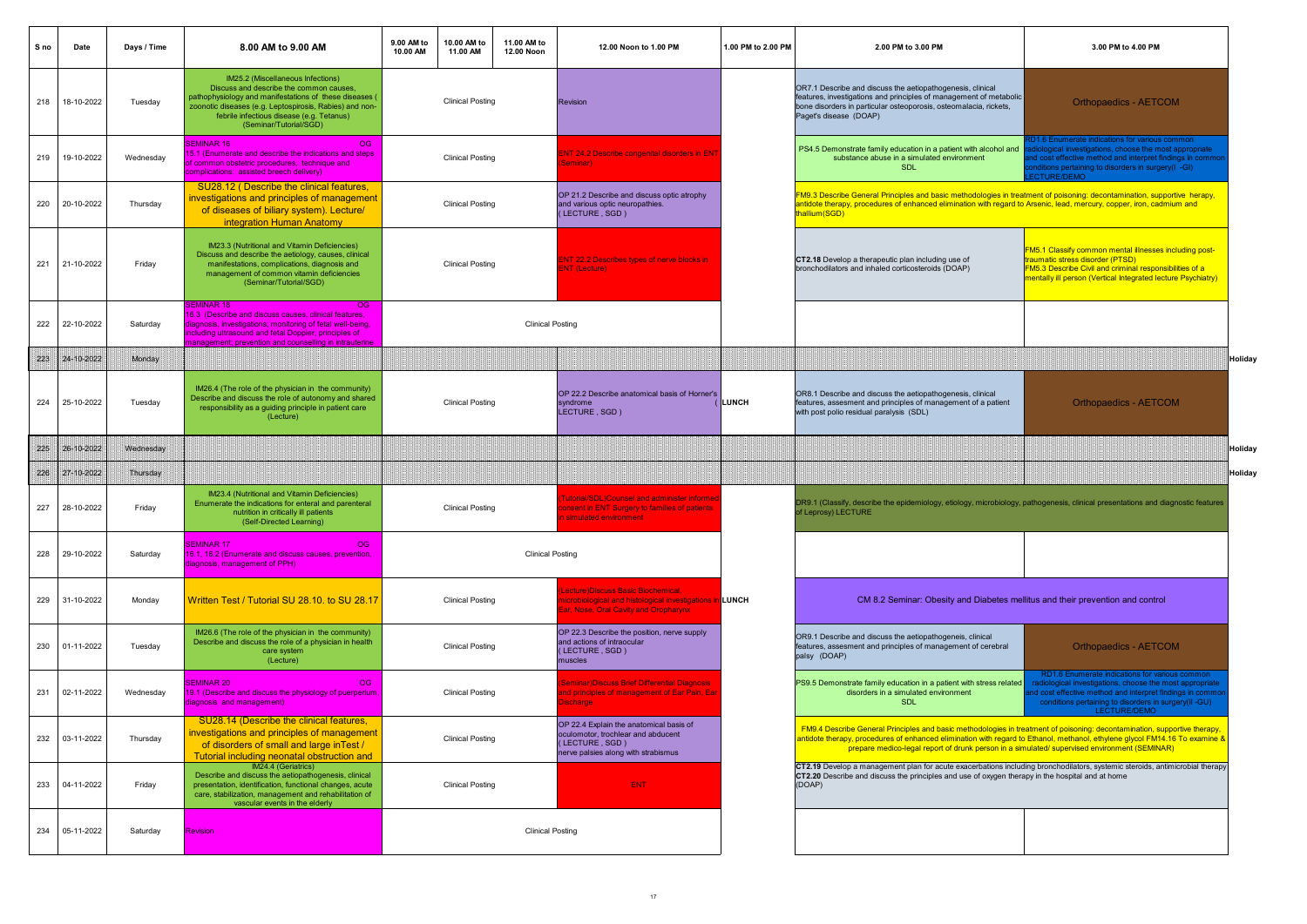| S no<br>Date       | Days / Time | 8.00 AM to 9.00 AM                                                                                                                                                                                                                                                       | 9.00 AM to<br>10.00 AM | 10.00 AM to<br>11.00 AM | 11.00 AM to<br>12.00 Noon | 12.00 Noon to 1.00 PM                                                                                                                  | 1.00 PM to 2.00 PM | 2.00 PM to 3.00 PM                                                                                                                                                                                                                                                                                                                                       | 3.00 PM to 4.00 PM                                                                                                                                                                                                                           |         |
|--------------------|-------------|--------------------------------------------------------------------------------------------------------------------------------------------------------------------------------------------------------------------------------------------------------------------------|------------------------|-------------------------|---------------------------|----------------------------------------------------------------------------------------------------------------------------------------|--------------------|----------------------------------------------------------------------------------------------------------------------------------------------------------------------------------------------------------------------------------------------------------------------------------------------------------------------------------------------------------|----------------------------------------------------------------------------------------------------------------------------------------------------------------------------------------------------------------------------------------------|---------|
| 18-10-2022<br>218  | Tuesday     | IM25.2 (Miscellaneous Infections)<br>Discuss and describe the common causes,<br>pathophysiology and manifestations of these diseases<br>zoonotic diseases (e.g. Leptospirosis, Rabies) and non-<br>febrile infectious disease (e.g. Tetanus)<br>(Seminar/Tutorial/SGD)   |                        | <b>Clinical Posting</b> |                           | Revision                                                                                                                               |                    | OR7.1 Describe and discuss the aetiopathogenesis, clinical<br>features, investigations and principles of management of metabolic<br>bone disorders in particular osteoporosis, osteomalacia, rickets,<br>Paget's disease (DOAP)                                                                                                                          | Orthopaedics - AETCOM                                                                                                                                                                                                                        |         |
| 219<br>19-10-2022  | Wednesday   | <b>SEMINAR 16</b><br>OG.<br>15.1 (Enumerate and describe the indications and steps<br>of common obstetric procedures, technique and<br>complications: assisted breech delivery)                                                                                          |                        | <b>Clinical Posting</b> |                           | NT 24.2 Describe congenital disorders in ENT<br>Seminar)                                                                               |                    | PS4.5 Demonstrate family education in a patient with alcohol and<br>substance abuse in a simulated environment<br><b>SDI</b>                                                                                                                                                                                                                             | 01.6 Enumerate indications for various co<br>ological investigations, choose the most appropriate<br>d cost effective method and interpret findings in commo<br>ditions pertaining to disorders in surgery(I -GI)                            |         |
| 20-10-2022<br>220  | Thursday    | SU28.12 (Describe the clinical features,<br>investigations and principles of management<br>of diseases of biliary system). Lecture/<br>integration Human Anatomy                                                                                                         |                        | <b>Clinical Posting</b> |                           | OP 21.2 Describe and discuss optic atrophy<br>and various optic neuropathies.<br>(LECTURE, SGD)                                        |                    | FM9.3 Describe General Principles and basic methodologies in treatment of poisoning: decontamination, supportive herapy,<br>antidote therapy, procedures of enhanced elimination with regard to Arsenic, lead, mercury, copper, iron, cadmium and<br>thallium(SGD)                                                                                       |                                                                                                                                                                                                                                              |         |
| 21-10-2022<br>221  | Friday      | IM23.3 (Nutritional and Vitamin Deficiencies)<br>Discuss and describe the aetiology, causes, clinical<br>manifestations, complications, diagnosis and<br>management of common vitamin deficiencies<br>(Seminar/Tutorial/SGD)                                             |                        | <b>Clinical Posting</b> |                           | NT 22.2 Describes types of nerve blocks in<br><b>NT (Lecture)</b>                                                                      |                    | CT2.18 Develop a therapeutic plan including use of<br>bronchodilators and inhaled corticosteroids (DOAP)                                                                                                                                                                                                                                                 | FM5.1 Classify common mental illnesses including post-<br>traumatic stress disorder (PTSD)<br>FM5.3 Describe Civil and criminal responsibilities of a<br>mentally ill person (Vertical Integrated lecture Psychiatry)                        |         |
| 222<br>22-10-2022  | Saturday    | <b>SEMINAR 18</b><br><b>OG</b><br>16.3 (Describe and discuss causes, clinical features,<br>diagnosis, investigations; monitoring of fetal well-being,<br>including ultrasound and fetal Doppler; principles of<br>nanagement: prevention and counselling in intrauterine |                        |                         | <b>Clinical Posting</b>   |                                                                                                                                        |                    |                                                                                                                                                                                                                                                                                                                                                          |                                                                                                                                                                                                                                              |         |
| 223/<br>24-10-2022 | Monday      |                                                                                                                                                                                                                                                                          |                        |                         |                           |                                                                                                                                        |                    |                                                                                                                                                                                                                                                                                                                                                          |                                                                                                                                                                                                                                              | Holiday |
| 25-10-2022<br>224  | Tuesday     | IM26.4 (The role of the physician in the community)<br>Describe and discuss the role of autonomy and shared<br>responsibility as a guiding principle in patient care<br>(Lecture)                                                                                        |                        | <b>Clinical Posting</b> |                           | OP 22.2 Describe anatomical basis of Horner's<br>syndrome<br>LECTURE, SGD)                                                             | LUNCH              | OR8.1 Describe and discuss the aetiopathogenesis, clinical<br>features, assesment and principles of management of a patient<br>with post polio residual paralysis (SDL)                                                                                                                                                                                  | <b>Orthopaedics - AETCOM</b>                                                                                                                                                                                                                 |         |
| 26-10-2022<br>225  | Wednesday   |                                                                                                                                                                                                                                                                          |                        |                         |                           |                                                                                                                                        |                    |                                                                                                                                                                                                                                                                                                                                                          |                                                                                                                                                                                                                                              | Holiday |
| 226<br>27-10-2022  | Thursday    |                                                                                                                                                                                                                                                                          |                        |                         |                           |                                                                                                                                        |                    |                                                                                                                                                                                                                                                                                                                                                          |                                                                                                                                                                                                                                              | Holiday |
| 227<br>28-10-2022  | Friday      | IM23.4 (Nutritional and Vitamin Deficiencies)<br>Enumerate the indications for enteral and parenteral<br>nutrition in critically ill patients<br>(Self-Directed Learning)                                                                                                |                        | <b>Clinical Posting</b> |                           | utorial/SDL)Counsel and administer informe<br>onsent in ENT Surgery to families of patients<br>simulated environment                   |                    | DR9.1 (Classify, describe the epidemiology, etiology, microbiology, pathogenesis, clinical presentations and diagnostic features<br>of Leprosy) LECTURE                                                                                                                                                                                                  |                                                                                                                                                                                                                                              |         |
| 228<br>29-10-2022  | Saturday    | <b>SEMINAR 17</b><br><b>OG</b><br>16.1, 16.2 (Enumerate and discuss causes, prevention,<br>diagnosis, management of PPH)                                                                                                                                                 |                        |                         | <b>Clinical Posting</b>   |                                                                                                                                        |                    |                                                                                                                                                                                                                                                                                                                                                          |                                                                                                                                                                                                                                              |         |
| 229<br>31-10-2022  | Monday      | Written Test / Tutorial SU 28.10. to SU 28.17                                                                                                                                                                                                                            |                        | <b>Clinical Posting</b> |                           | ecture)Discuss Basic Biochemical,<br>icrobiological and histological investigations in LUNCH<br>ar, Nose, Oral Cavity and Oropharynx   |                    | CM 8.2 Seminar: Obesity and Diabetes mellitus and their prevention and control                                                                                                                                                                                                                                                                           |                                                                                                                                                                                                                                              |         |
| 01-11-2022<br>230  | Tuesday     | IM26.6 (The role of the physician in the community)<br>Describe and discuss the role of a physician in health<br>care system<br>(Lecture)                                                                                                                                |                        | <b>Clinical Posting</b> |                           | OP 22.3 Describe the position, nerve supply<br>and actions of intraocular<br>(LECTURE, SGD)<br>nuscles                                 |                    | OR9.1 Describe and discuss the aetiopathogeneis, clinical<br>features, assesment and principles of management of cerebral<br>palsy (DOAP)                                                                                                                                                                                                                | <b>Orthopaedics - AETCOM</b>                                                                                                                                                                                                                 |         |
| 02-11-2022<br>231  | Wednesday   | <b>SFMINAR 20</b><br>OG<br>19.1 (Describe and discuss the physiology of puerperium<br>diagnosis and management)                                                                                                                                                          |                        | <b>Clinical Posting</b> |                           | <b>Seminar)Discuss Brief Differential Diagnosis</b><br>nd principles of management of Ear Pain, Ea<br><b>ischarge</b>                  |                    | PS9.5 Demonstrate family education in a patient with stress related<br>disorders in a simulated environment<br>SDL                                                                                                                                                                                                                                       | RD1.6 Enumerate indications for various common<br>adiological investigations, choose the most appropriate<br>d cost effective method and interpret findings in commo<br>conditions pertaining to disorders in surgery(II-GU)<br>LECTURE/DEMO |         |
| 03-11-2022<br>232  | Thursday    | SU28.14 (Describe the clinical features,<br>investigations and principles of management<br>of disorders of small and large in Test /<br><b>Tutorial including neonatal obstruction and</b>                                                                               |                        | <b>Clinical Posting</b> |                           | OP 22.4 Explain the anatomical basis of<br>oculomotor, trochlear and abducent<br>(LECTURE, SGD)<br>nerve palsies along with strabismus |                    | FM9.4 Describe General Principles and basic methodologies in treatment of poisoning: decontamination, supportive therapy,<br>antidote therapy, procedures of enhanced elimination with regard to Ethanol, methanol, ethylene glycol FM14.16 To examine &<br>prepare medico-legal report of drunk person in a simulated/ supervised environment (SEMINAR) |                                                                                                                                                                                                                                              |         |
| 233<br>04-11-2022  | Friday      | IM24.4 (Geriatrics)<br>Describe and discuss the aetiopathogenesis, clinical<br>presentation, identification, functional changes, acute<br>care, stabilization, management and rehabilitation of<br>vascular events in the elderly                                        |                        | <b>Clinical Posting</b> |                           | ENT.                                                                                                                                   |                    | CT2.19 Develop a management plan for acute exacerbations including bronchodilators, systemic steroids, antimicrobial therapy<br>CT2.20 Describe and discuss the principles and use of oxygen therapy in the hospital and at home<br>(DOAP)                                                                                                               |                                                                                                                                                                                                                                              |         |
| 234<br>05-11-2022  | Saturday    | <b>Revision</b>                                                                                                                                                                                                                                                          |                        |                         | <b>Clinical Posting</b>   |                                                                                                                                        |                    |                                                                                                                                                                                                                                                                                                                                                          |                                                                                                                                                                                                                                              |         |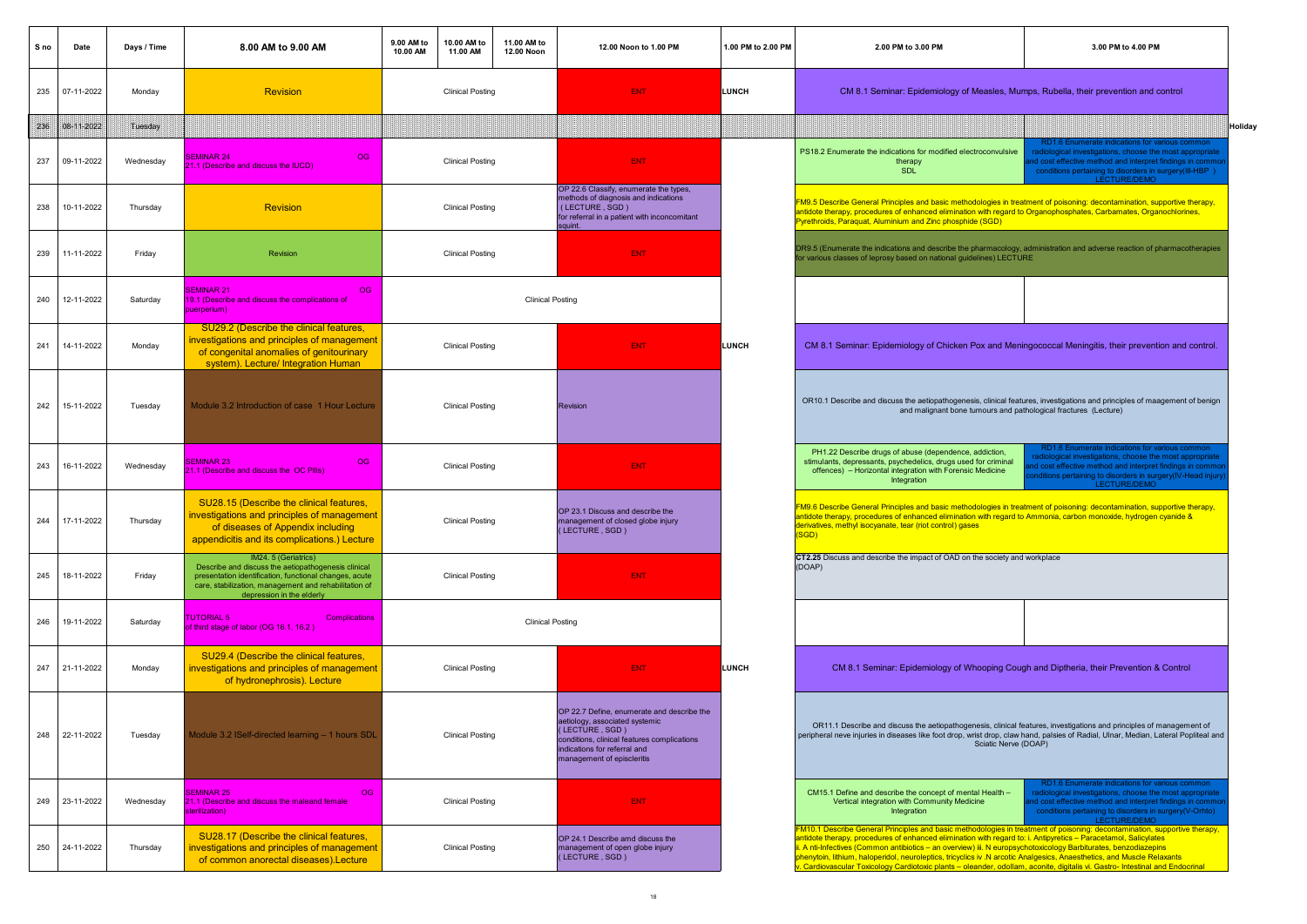| S no | Date           | Days / Time | 8.00 AM to 9.00 AM                                                                                                                                                                                                          | 9.00 AM to<br>10.00 AM | 10.00 AM to<br>11.00 AM | 11.00 AM to<br>12.00 Noon | 12.00 Noon to 1.00 PM                                                                                                                                                                                     | 1.00 PM to 2.00 PM | 2.00 PM to 3.00 PM<br>3.00 PM to 4.00 PM                                                                                                                                                                                                                                                                                                                                                                                                                                                                                                                                                                                 |                                                                                                                                                                                                                                                     |  |
|------|----------------|-------------|-----------------------------------------------------------------------------------------------------------------------------------------------------------------------------------------------------------------------------|------------------------|-------------------------|---------------------------|-----------------------------------------------------------------------------------------------------------------------------------------------------------------------------------------------------------|--------------------|--------------------------------------------------------------------------------------------------------------------------------------------------------------------------------------------------------------------------------------------------------------------------------------------------------------------------------------------------------------------------------------------------------------------------------------------------------------------------------------------------------------------------------------------------------------------------------------------------------------------------|-----------------------------------------------------------------------------------------------------------------------------------------------------------------------------------------------------------------------------------------------------|--|
| 235  | 07-11-2022     | Monday      | <b>Revision</b>                                                                                                                                                                                                             |                        | <b>Clinical Posting</b> |                           | ENT.                                                                                                                                                                                                      | LUNCH              | CM 8.1 Seminar: Epidemiology of Measles, Mumps, Rubella, their prevention and control                                                                                                                                                                                                                                                                                                                                                                                                                                                                                                                                    |                                                                                                                                                                                                                                                     |  |
| 288  | 108-11-2022    | Tuesday     |                                                                                                                                                                                                                             |                        |                         |                           |                                                                                                                                                                                                           |                    | Holiday                                                                                                                                                                                                                                                                                                                                                                                                                                                                                                                                                                                                                  |                                                                                                                                                                                                                                                     |  |
| 237  | 09-11-2022     | Wednesday   | <b>SEMINAR 24</b><br>OG.<br>21.1 (Describe and discuss the IUCD)                                                                                                                                                            |                        | <b>Clinical Posting</b> |                           | ENT.                                                                                                                                                                                                      |                    | PS18.2 Enumerate the indications for modified electroconvulsive<br>therapy<br><b>SDL</b>                                                                                                                                                                                                                                                                                                                                                                                                                                                                                                                                 | RD1.6 Enumerate indications for various co<br>radiological investigations, choose the most appropriate<br>nd cost effective method and interpret findings in commo<br>conditions pertaining to disorders in surgery(III-HBP )<br><b>ECTURE/DEMO</b> |  |
| 238  | 10-11-2022     | Thursday    | <b>Revision</b>                                                                                                                                                                                                             |                        | <b>Clinical Posting</b> |                           | OP 22.6 Classify, enumerate the types,<br>nethods of diagnosis and indications<br>(LECTURE, SGD)<br>for referral in a patient with inconcomitant<br><b>quint.</b>                                         |                    | FM9.5 Describe General Principles and basic methodologies in treatment of poisoning: decontamination, supportive therapy,<br>antidote therapy, procedures of enhanced elimination with regard to Organophosphates, Carbamates, Organochlorines,<br><b>Pyrethroids, Paraquat, Aluminium and Zinc phosphide (SGD)</b>                                                                                                                                                                                                                                                                                                      |                                                                                                                                                                                                                                                     |  |
| 239  | 11-11-2022     | Friday      | Revision                                                                                                                                                                                                                    |                        | <b>Clinical Posting</b> |                           | ENT.                                                                                                                                                                                                      |                    | DR9.5 (Enumerate the indications and describe the pharmacology, administration and adverse reaction of pharmacotherapies<br>for various classes of leprosy based on national guidelines) LECTURE                                                                                                                                                                                                                                                                                                                                                                                                                         |                                                                                                                                                                                                                                                     |  |
| 240  | 12-11-2022     | Saturday    | <b>SEMINAR 21</b><br><b>OG</b><br>19.1 (Describe and discuss the complications of<br>buerperium)                                                                                                                            |                        |                         | <b>Clinical Posting</b>   |                                                                                                                                                                                                           |                    |                                                                                                                                                                                                                                                                                                                                                                                                                                                                                                                                                                                                                          |                                                                                                                                                                                                                                                     |  |
| 241  | 14-11-2022     | Monday      | SU29.2 (Describe the clinical features,<br>investigations and principles of management<br>of congenital anomalies of genitourinary<br>system). Lecture/ Integration Human                                                   |                        | <b>Clinical Posting</b> |                           | ENT.                                                                                                                                                                                                      | LUNCH              | CM 8.1 Seminar: Epidemiology of Chicken Pox and Meningococcal Meningitis, their prevention and control.                                                                                                                                                                                                                                                                                                                                                                                                                                                                                                                  |                                                                                                                                                                                                                                                     |  |
| 242  | 15-11-2022     | Tuesday     | Module 3.2 Introduction of case 1 Hour Lecture                                                                                                                                                                              |                        | <b>Clinical Posting</b> |                           | Revision                                                                                                                                                                                                  |                    | OR10.1 Describe and discuss the aetiopathogenesis, clinical features, investigations and principles of maagement of benign<br>and malignant bone tumours and pathological fractures (Lecture)                                                                                                                                                                                                                                                                                                                                                                                                                            |                                                                                                                                                                                                                                                     |  |
| 243  | 16-11-2022     | Wednesday   | <b>EMINAR 23</b><br>OG<br>21.1 (Describe and discuss the OC Pills)                                                                                                                                                          |                        | <b>Clinical Posting</b> |                           | ENT.                                                                                                                                                                                                      |                    | PH1.22 Describe drugs of abuse (dependence, addiction,<br>stimulants, depressants, psychedelics, drugs used for criminal<br>offences) - Horizontal integration with Forensic Medicine<br>Integration                                                                                                                                                                                                                                                                                                                                                                                                                     | RD1.6 Enumerate indications for various common<br>adiological investigations, choose the most appropriate<br>d cost effective method and interpret findings in commo<br>onditions pertaining to disorders in surgery(IV-Head injury<br>LECTURE/DEMO |  |
| 244  | 17-11-2022     | Thursday    | SU28.15 (Describe the clinical features,<br>investigations and principles of management<br>of diseases of Appendix including<br>appendicitis and its complications.) Lecture                                                |                        | <b>Clinical Posting</b> |                           | OP 23.1 Discuss and describe the<br>management of closed globe injury<br>(LECTURE, SGD)                                                                                                                   |                    | FM9.6 Describe General Principles and basic methodologies in treatment of poisoning: decontamination, supportive therapy,<br>antidote therapy, procedures of enhanced elimination with regard to Ammonia, carbon monoxide, hydrogen cyanide &<br>derivatives, methyl isocyanate, tear (riot control) gases<br><b>SGD)</b>                                                                                                                                                                                                                                                                                                |                                                                                                                                                                                                                                                     |  |
| 245  | 18-11-2022     | Friday      | IM24. 5 (Geriatrics)<br>Describe and discuss the aetiopathogenesis clinical<br>presentation identification, functional changes, acute<br>care, stabilization, management and rehabilitation of<br>depression in the elderly |                        | <b>Clinical Posting</b> |                           | ENT.                                                                                                                                                                                                      |                    | CT2.25 Discuss and describe the impact of OAD on the society and workplace<br>(DOAP)                                                                                                                                                                                                                                                                                                                                                                                                                                                                                                                                     |                                                                                                                                                                                                                                                     |  |
| 246  | 19-11-2022     | Saturday    | TUTORIAL 5<br>Complications<br>of third stage of labor (OG 16.1, 16.2)                                                                                                                                                      |                        |                         | <b>Clinical Posting</b>   |                                                                                                                                                                                                           |                    |                                                                                                                                                                                                                                                                                                                                                                                                                                                                                                                                                                                                                          |                                                                                                                                                                                                                                                     |  |
| 247  | 21-11-2022     | Monday      | SU29.4 (Describe the clinical features,<br>investigations and principles of management<br>of hydronephrosis). Lecture                                                                                                       |                        | <b>Clinical Posting</b> |                           | ENT.                                                                                                                                                                                                      | LUNCH              | CM 8.1 Seminar: Epidemiology of Whooping Cough and Diptheria, their Prevention & Control                                                                                                                                                                                                                                                                                                                                                                                                                                                                                                                                 |                                                                                                                                                                                                                                                     |  |
| 248  | 22-11-2022     | Tuesday     | Module 3.2 ISelf-directed learning - 1 hours SDL                                                                                                                                                                            |                        | <b>Clinical Posting</b> |                           | OP 22.7 Define, enumerate and describe the<br>etiology, associated systemic<br>(LECTURE, SGD)<br>conditions, clinical features complications<br>ndications for referral and<br>nanagement of episcleritis |                    | OR11.1 Describe and discuss the aetiopathogenesis, clinical features, investigations and principles of management of<br>peripheral neve injuries in diseases like foot drop, wrist drop, claw hand, palsies of Radial, Ulnar, Median, Lateral Popliteal and<br>Sciatic Nerve (DOAP)                                                                                                                                                                                                                                                                                                                                      |                                                                                                                                                                                                                                                     |  |
|      | 249 23-11-2022 | Wednesday   | <b>SEMINAR 25</b><br><b>OG</b><br>21.1 (Describe and discuss the maleand female<br>sterilization)                                                                                                                           |                        | <b>Clinical Posting</b> |                           | ENT.                                                                                                                                                                                                      |                    | CM15.1 Define and describe the concept of mental Health -<br>Vertical integration with Community Medicine<br>Integration                                                                                                                                                                                                                                                                                                                                                                                                                                                                                                 | RD1.6 Enumerate indications for various common<br>adiological investigations, choose the most appropriate<br>nd cost effective method and interpret findings in commo<br>conditions pertaining to disorders in surgery(V-Orhto)<br>LECTURE/DEMO     |  |
| 250  | 24-11-2022     | Thursday    | SU28.17 (Describe the clinical features,<br>investigations and principles of management<br>of common anorectal diseases). Lecture                                                                                           |                        | <b>Clinical Posting</b> |                           | OP 24.1 Describe amd discuss the<br>nanagement of open globe injury<br>LECTURE, SGD)                                                                                                                      |                    | FM10.1 Describe General Principles and basic methodologies in treatment of poisoning: decontamination, supportive therapy,<br>antidote therapy, procedures of enhanced elimination with regard to: i. Antipyretics – Paracetamol, Salicylates<br>i. A nti-Infectives (Common antibiotics – an overview) iii. N europsychotoxicology Barbiturates, benzodiazepins<br>phenytoin, lithium, haloperidol, neuroleptics, tricyclics iv .N arcotic Analgesics, Anaesthetics, and Muscle Relaxants<br>Cardiovascular Toxicology Cardiotoxic plants – oleander, odollam, aconite, digitalis vi. Gastro- Intestinal and Endocrinal |                                                                                                                                                                                                                                                     |  |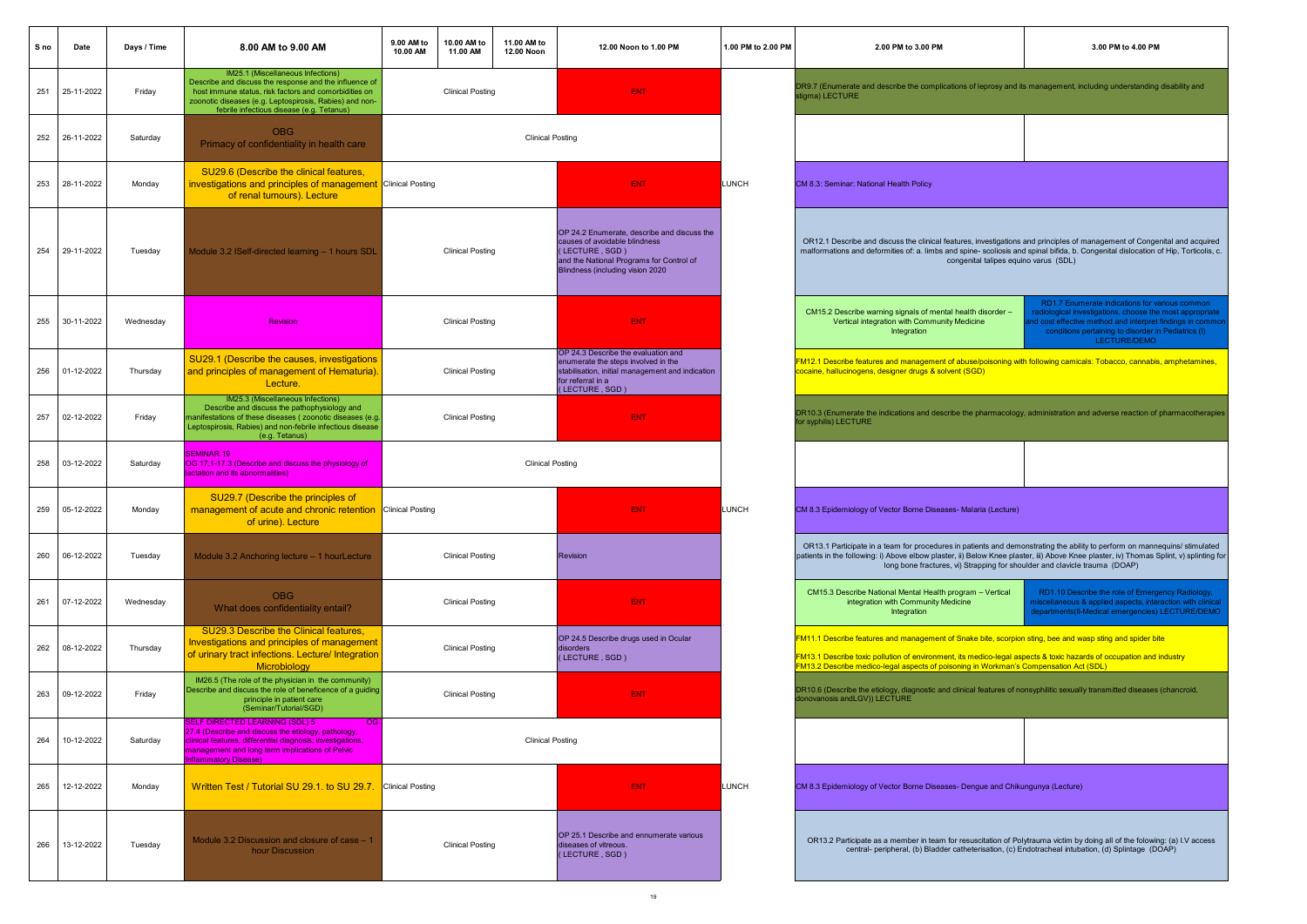| S no | Date       | Days / Time | 8.00 AM to 9.00 AM                                                                                                                                                                                                                                           | 9.00 AM to<br>10.00 AM | 10.00 AM to<br>11.00 AM | 11.00 AM to<br>12.00 Noon | 12.00 Noon to 1.00 PM                                                                                                                                                          | 1.00 PM to 2.00 PM | 2.00 PM to 3.00 PM                                                                                                                                                                                                                                                                                                                                  | 3.00 PM to 4.00 PM                                                                                                                                                                                                                           |
|------|------------|-------------|--------------------------------------------------------------------------------------------------------------------------------------------------------------------------------------------------------------------------------------------------------------|------------------------|-------------------------|---------------------------|--------------------------------------------------------------------------------------------------------------------------------------------------------------------------------|--------------------|-----------------------------------------------------------------------------------------------------------------------------------------------------------------------------------------------------------------------------------------------------------------------------------------------------------------------------------------------------|----------------------------------------------------------------------------------------------------------------------------------------------------------------------------------------------------------------------------------------------|
| 251  | 25-11-2022 | Friday      | IM25.1 (Miscellaneous Infections)<br>Describe and discuss the response and the influence of<br>host immune status, risk factors and comorbidities on<br>zoonotic diseases (e.g. Leptospirosis, Rabies) and non-<br>febrile infectious disease (e.g. Tetanus) |                        | <b>Clinical Posting</b> |                           | <b>ENT</b>                                                                                                                                                                     |                    | DR9.7 (Enumerate and describe the complications of leprosy and its management, including understanding disability and<br>tigma) LECTURE                                                                                                                                                                                                             |                                                                                                                                                                                                                                              |
| 252  | 26-11-2022 | Saturday    | <b>OBG</b><br>Primacy of confidentiality in health care                                                                                                                                                                                                      |                        |                         | <b>Clinical Posting</b>   |                                                                                                                                                                                |                    |                                                                                                                                                                                                                                                                                                                                                     |                                                                                                                                                                                                                                              |
| 253  | 28-11-2022 | Monday      | SU29.6 (Describe the clinical features,<br><b>investigations and principles of management</b> Clinical Posting<br>of renal tumours). Lecture                                                                                                                 |                        |                         |                           | ENT.                                                                                                                                                                           | <b>LUNCH</b>       | CM 8.3: Seminar: National Health Policy                                                                                                                                                                                                                                                                                                             |                                                                                                                                                                                                                                              |
| 254  | 29-11-2022 | Tuesday     | Module 3.2 ISelf-directed learning – 1 hours SDL                                                                                                                                                                                                             |                        | <b>Clinical Posting</b> |                           | OP 24.2 Enumerate, describe and discuss the<br>causes of avoidable blindness<br>(LECTURE, SGD)<br>and the National Programs for Control of<br>Blindness (including vision 2020 |                    | OR12.1 Describe and discuss the clinical features, investigations and principles of management of Congenital and acquired<br>malformations and deformities of: a. limbs and spine- scoliosis and spinal bifida, b. Congenital dislocation of Hip, Torticolis, c.<br>congenital talipes equino varus (SDL)                                           |                                                                                                                                                                                                                                              |
| 255  | 30-11-2022 | Wednesday   | <b>Revision</b>                                                                                                                                                                                                                                              |                        | <b>Clinical Posting</b> |                           | ENT.                                                                                                                                                                           |                    | CM15.2 Describe warning signals of mental health disorder -<br>Vertical integration with Community Medicine<br>Integration                                                                                                                                                                                                                          | RD1.7 Enumerate indications for various common<br>adiological investigations, choose the most appropriate<br>d cost effective method and interpret findings in common<br>conditions pertaining to disorder in Pediatrics (I)<br>LECTURE/DEMO |
| 256  | 01-12-2022 | Thursday    | SU29.1 (Describe the causes, investigations<br>and principles of management of Hematuria)<br>Lecture.                                                                                                                                                        |                        | <b>Clinical Posting</b> |                           | OP 24.3 Describe the evaluation and<br>enumerate the steps involved in the<br>stabilisation, initial management and indication<br>for referral in a<br>LECTURE, SGD)           |                    | FM12.1 Describe features and management of abuse/poisoning with following camicals: Tobacco, cannabis, amphetamines<br>cocaine, hallucinogens, designer drugs & solvent (SGD)                                                                                                                                                                       |                                                                                                                                                                                                                                              |
| 257  | 02-12-2022 | Friday      | IM25.3 (Miscellaneous Infections)<br>Describe and discuss the pathophysiology and<br>manifestations of these diseases (zoonotic diseases (e.g.<br>Leptospirosis, Rabies) and non-febrile infectious disease<br>(e.g. Tetanus)                                |                        | <b>Clinical Posting</b> |                           | <b>ENT</b>                                                                                                                                                                     |                    | DR10.3 (Enumerate the indications and describe the pharmacology, administration and adverse reaction of pharmacotherapies<br>for syphilis) LECTURE                                                                                                                                                                                                  |                                                                                                                                                                                                                                              |
| 258  | 03-12-2022 | Saturday    | <b>SEMINAR 19</b><br>OG 17.1-17.3 (Describe and discuss the physiology of<br>lactation and its abnormalities)                                                                                                                                                |                        |                         | <b>Clinical Posting</b>   |                                                                                                                                                                                |                    |                                                                                                                                                                                                                                                                                                                                                     |                                                                                                                                                                                                                                              |
| 259  | 05-12-2022 | Monday      | SU29.7 (Describe the principles of<br>management of acute and chronic retention Clinical Posting<br>of urine). Lecture                                                                                                                                       |                        |                         |                           | <b>ENT</b>                                                                                                                                                                     | LUNCH              | CM 8.3 Epidemiology of Vector Borne Diseases- Malaria (Lecture)                                                                                                                                                                                                                                                                                     |                                                                                                                                                                                                                                              |
| 260  | 06-12-2022 | Tuesday     | Module 3.2 Anchoring lecture - 1 hourLecture                                                                                                                                                                                                                 |                        | <b>Clinical Posting</b> |                           | Revision                                                                                                                                                                       |                    | OR13.1 Participate in a team for procedures in patients and demonstrating the ability to perform on mannequins/ stimulated<br>patients in the following: i) Above elbow plaster, ii) Below Knee plaster, iii) Above Knee plaster, iv) Thomas Splint, v) splinting for<br>long bone fractures, vi) Strapping for shoulder and clavicle trauma (DOAP) |                                                                                                                                                                                                                                              |
| 261  | 07-12-2022 | Wednesday   | <b>OBG</b><br>What does confidentiality entail?                                                                                                                                                                                                              |                        | <b>Clinical Posting</b> |                           | ENT.                                                                                                                                                                           |                    | CM15.3 Describe National Mental Health program - Vertical<br>integration with Community Medicine<br>Integration                                                                                                                                                                                                                                     | RD1.10 Describe the role of Emergency Radiology,<br>miscellaneous & applied aspects, interaction with clinica<br>departments(II-Medical emergencies) LECTURE/DEMO                                                                            |
| 262  | 08-12-2022 | Thursday    | <b>SU29.3 Describe the Clinical features,</b><br>Investigations and principles of management<br>of urinary tract infections. Lecture/ Integration<br>Microbiology                                                                                            |                        | <b>Clinical Posting</b> |                           | OP 24.5 Describe drugs used in Ocular<br>disorders<br>(LECTURE, SGD)                                                                                                           |                    | FM11.1 Describe features and management of Snake bite, scorpion sting, bee and wasp sting and spider bite<br>FM13.1 Describe toxic pollution of environment, its medico-legal aspects & toxic hazards of occupation and industry<br>FM13.2 Describe medico-legal aspects of poisoning in Workman's Compensation Act (SDL)                           |                                                                                                                                                                                                                                              |
| 263  | 09-12-2022 | Friday      | IM26.5 (The role of the physician in the community)<br>Describe and discuss the role of beneficence of a guiding<br>principle in patient care<br>(Seminar/Tutorial/SGD)                                                                                      |                        | <b>Clinical Posting</b> |                           | ENT.                                                                                                                                                                           |                    | DR10.6 (Describe the etiology, diagnostic and clinical features of nonsyphilitic sexually transmitted diseases (chancroid,<br>onovanosis andLGV)) LECTURE                                                                                                                                                                                           |                                                                                                                                                                                                                                              |
| 264  | 10-12-2022 | Saturday    | ELF DIRECTED LEARNING (SDL) 5<br>27.4 (Describe and discuss the etiology, pathology,<br>clinical features, differential diagnosis, investigations,<br>management and long term implications of Pelvic<br>nflammatory Disease)                                |                        |                         | Clinical Posting          |                                                                                                                                                                                |                    |                                                                                                                                                                                                                                                                                                                                                     |                                                                                                                                                                                                                                              |
| 265  | 12-12-2022 | Monday      | Written Test / Tutorial SU 29.1. to SU 29.7. Clinical Posting                                                                                                                                                                                                |                        |                         |                           | ENT.                                                                                                                                                                           | <b>LUNCH</b>       | CM 8.3 Epidemiology of Vector Borne Diseases- Dengue and Chikungunya (Lecture)                                                                                                                                                                                                                                                                      |                                                                                                                                                                                                                                              |
| 266  | 13-12-2022 | Tuesday     | Module 3.2 Discussion and closure of case – 1<br>hour Discussion                                                                                                                                                                                             |                        | <b>Clinical Posting</b> |                           | OP 25.1 Describe and ennumerate various<br>diseases of vitreous.<br>(LECTURE, SGD)                                                                                             |                    | OR13.2 Participate as a member in team for resuscitation of Polytrauma victim by doing all of the folowing: (a) I.V access<br>central- peripheral, (b) Bladder catheterisation, (c) Endotracheal intubation, (d) Splintage (DOAP)                                                                                                                   |                                                                                                                                                                                                                                              |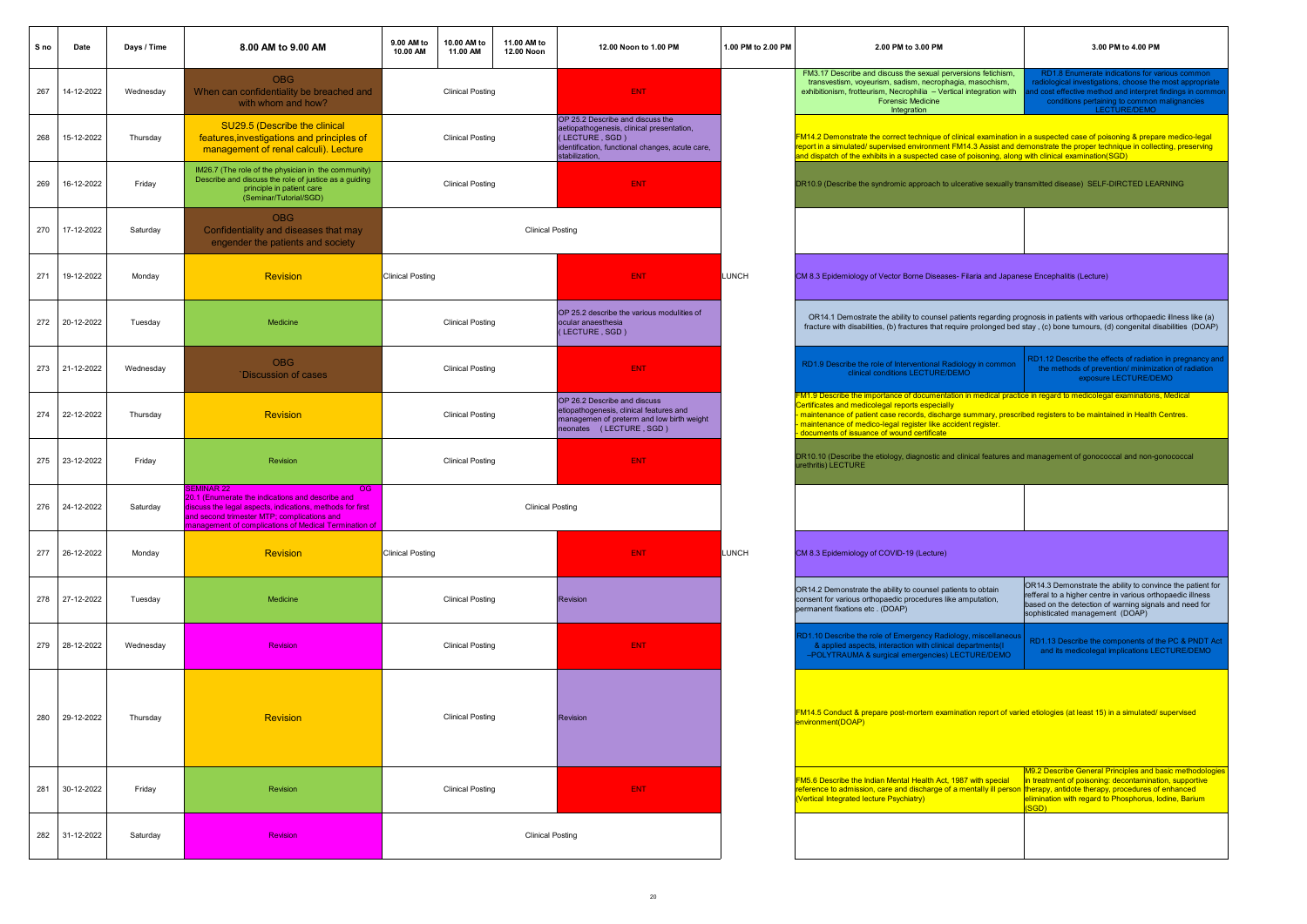| S no | Date           | Days / Time | 8.00 AM to 9.00 AM                                                                                                                                                                                                                               | 9.00 AM to<br>10.00 AM  | 10.00 AM to<br>11.00 AM | 11.00 AM to<br>12.00 Noon | 12.00 Noon to 1.00 PM                                                                                                                                                | 1.00 PM to 2.00 PM | 2.00 PM to 3.00 PM                                                                                                                                                                                                                                                                                                                                                                                    | 3.00 PM to 4.00 PM                                                                                                                                                                                                                      |  |  |
|------|----------------|-------------|--------------------------------------------------------------------------------------------------------------------------------------------------------------------------------------------------------------------------------------------------|-------------------------|-------------------------|---------------------------|----------------------------------------------------------------------------------------------------------------------------------------------------------------------|--------------------|-------------------------------------------------------------------------------------------------------------------------------------------------------------------------------------------------------------------------------------------------------------------------------------------------------------------------------------------------------------------------------------------------------|-----------------------------------------------------------------------------------------------------------------------------------------------------------------------------------------------------------------------------------------|--|--|
| 267  | 14-12-2022     | Wednesday   | <b>OBG</b><br>When can confidentiality be breached and<br>with whom and how?                                                                                                                                                                     |                         | <b>Clinical Posting</b> |                           | ENT.                                                                                                                                                                 |                    | FM3.17 Describe and discuss the sexual perversions fetichism,<br>transvestism, voyeurism, sadism, necrophagia, masochism,<br>exhibitionism, frotteurism, Necrophilia - Vertical integration with<br><b>Forensic Medicine</b><br>Integration                                                                                                                                                           | RD1.8 Enumerate indications for various common<br>radiological investigations, choose the most appropriate<br>nd cost effective method and interpret findings in common<br>conditions pertaining to common malignancies<br>LECTURE/DEMO |  |  |
| 268  | 15-12-2022     | Thursday    | SU29.5 (Describe the clinical<br>features, investigations and principles of<br>management of renal calculi). Lecture                                                                                                                             |                         | <b>Clinical Posting</b> |                           | OP 25.2 Describe and discuss the<br>aetiopathogenesis, clinical presentation,<br>(LECTURE, SGD)<br>identification, functional changes, acute care,<br>stabilization, |                    | FM14.2 Demonstrate the correct technique of clinical examination in a suspected case of poisoning & prepare medico-legal<br>report in a simulated/ supervised environment FM14.3 Assist and demonstrate the proper technique in collecting, preserving<br>and dispatch of the exhibits in a suspected case of poisoning, along with clinical examination(SGD)                                         |                                                                                                                                                                                                                                         |  |  |
| 269  | 16-12-2022     | Friday      | IM26.7 (The role of the physician in the community)<br>Describe and discuss the role of justice as a guiding<br>principle in patient care<br>(Seminar/Tutorial/SGD)                                                                              |                         | <b>Clinical Posting</b> |                           | ENT.                                                                                                                                                                 |                    | DR10.9 (Describe the syndromic approach to ulcerative sexually transmitted disease) SELF-DIRCTED LEARNING                                                                                                                                                                                                                                                                                             |                                                                                                                                                                                                                                         |  |  |
| 270  | 17-12-2022     | Saturday    | <b>OBG</b><br>Confidentiality and diseases that may<br>engender the patients and society                                                                                                                                                         |                         |                         | <b>Clinical Posting</b>   |                                                                                                                                                                      |                    |                                                                                                                                                                                                                                                                                                                                                                                                       |                                                                                                                                                                                                                                         |  |  |
| 271  | 19-12-2022     | Monday      | <b>Revision</b>                                                                                                                                                                                                                                  | <b>Clinical Posting</b> |                         |                           | ENT.                                                                                                                                                                 | <b>LUNCH</b>       | CM 8.3 Epidemiology of Vector Borne Diseases- Filaria and Japanese Encephalitis (Lecture)                                                                                                                                                                                                                                                                                                             |                                                                                                                                                                                                                                         |  |  |
| 272  | 20-12-2022     | Tuesday     | Medicine                                                                                                                                                                                                                                         |                         | <b>Clinical Posting</b> |                           | OP 25.2 describe the various modulities of<br>ocular anaesthesia<br>(LECTURE, SGD)                                                                                   |                    | OR14.1 Demostrate the ability to counsel patients regarding prognosis in patients with various orthopaedic illness like (a)<br>fracture with disabilities, (b) fractures that require prolonged bed stay, (c) bone tumours, (d) congenital disabilities (DOAP)                                                                                                                                        |                                                                                                                                                                                                                                         |  |  |
| 273  | 21-12-2022     | Wednesday   | OBG<br><b>CDiscussion of cases</b>                                                                                                                                                                                                               |                         | <b>Clinical Posting</b> |                           | <b>ENT</b>                                                                                                                                                           |                    | RD1.9 Describe the role of Interventional Radiology in common<br>clinical conditions LECTURE/DEMO                                                                                                                                                                                                                                                                                                     | RD1.12 Describe the effects of radiation in pregnancy and<br>the methods of prevention/ minimization of radiation<br>exposure LECTURE/DEMO                                                                                              |  |  |
| 274  | 22-12-2022     | Thursday    | <b>Revision</b>                                                                                                                                                                                                                                  |                         | <b>Clinical Posting</b> |                           | OP 26.2 Describe and discuss<br>etiopathogenesis, clinical features and<br>managemen of preterm and low birth weight<br>neonates (LECTURE, SGD)                      |                    | FM1.9 Describe the importance of documentation in medical practice in regard to medicolegal examinations, Medical<br>Certificates and medicolegal reports especially<br>maintenance of patient case records, discharge summary, prescribed registers to be maintained in Health Centres.<br>maintenance of medico-legal register like accident register<br>documents of issuance of wound certificate |                                                                                                                                                                                                                                         |  |  |
| 275  | 23-12-2022     | Friday      | Revision                                                                                                                                                                                                                                         |                         | <b>Clinical Posting</b> |                           | ENT.                                                                                                                                                                 |                    | DR10.10 (Describe the etiology, diagnostic and clinical features and management of gonococcal and non-gonococcal<br>rethritis) LECTURE                                                                                                                                                                                                                                                                |                                                                                                                                                                                                                                         |  |  |
| 276  | 24-12-2022     | Saturday    | <b>SEMINAR 22</b><br>OG<br>20.1 (Enumerate the indications and describe and<br>discuss the legal aspects, indications, methods for first<br>and second trimester MTP; complications and<br>nanagement of complications of Medical Termination of |                         |                         | <b>Clinical Posting</b>   |                                                                                                                                                                      |                    |                                                                                                                                                                                                                                                                                                                                                                                                       |                                                                                                                                                                                                                                         |  |  |
| 277  | 26-12-2022     | Monday      | <b>Revision</b>                                                                                                                                                                                                                                  | <b>Clinical Posting</b> |                         |                           | ENT:                                                                                                                                                                 | <b>LUNCH</b>       | CM 8.3 Epidemiology of COVID-19 (Lecture)                                                                                                                                                                                                                                                                                                                                                             |                                                                                                                                                                                                                                         |  |  |
| 278  | 27-12-2022     | Tuesday     | Medicine                                                                                                                                                                                                                                         |                         | <b>Clinical Posting</b> |                           | <b>Revision</b>                                                                                                                                                      |                    | OR14.2 Demonstrate the ability to counsel patients to obtain<br>consent for various orthopaedic procedures like amputation,<br>permanent fixations etc. (DOAP)                                                                                                                                                                                                                                        | OR14.3 Demonstrate the ability to convince the patient for<br>refferal to a higher centre in various orthopaedic illness<br>based on the detection of warning signals and need for<br>sophisticated management (DOAP)                   |  |  |
| 279  | 28-12-2022     | Wednesday   | <b>Revision</b>                                                                                                                                                                                                                                  |                         | <b>Clinical Posting</b> |                           | ENT.                                                                                                                                                                 |                    | D1.10 Describe the role of Emergency Radiology, miscellaneous<br>& applied aspects, interaction with clinical departments(I<br>-POLYTRAUMA & surgical emergencies) LECTURE/DEMO                                                                                                                                                                                                                       | RD1.13 Describe the components of the PC & PNDT Act<br>and its medicolegal implications LECTURE/DEMO                                                                                                                                    |  |  |
|      | 280 29-12-2022 | Thursday    | Revision                                                                                                                                                                                                                                         |                         | <b>Clinical Posting</b> |                           | <b>Revision</b>                                                                                                                                                      |                    | FM14.5 Conduct & prepare post-mortem examination report of varied etiologies (at least 15) in a simulated/ supervised<br><u>Nironment(DOAP)</u>                                                                                                                                                                                                                                                       |                                                                                                                                                                                                                                         |  |  |
| 281  | 30-12-2022     | Friday      | Revision                                                                                                                                                                                                                                         |                         | <b>Clinical Posting</b> |                           | ENT:                                                                                                                                                                 |                    | FM5.6 Describe the Indian Mental Health Act, 1987 with special<br>reference to admission, care and discharge of a mentally ill person therapy, antidote therapy, procedures of enhanced<br>(Vertical Integrated lecture Psychiatry)                                                                                                                                                                   | M9.2 Describe General Principles and basic methodologies<br>n treatment of poisoning: decontamination, supportive<br>elimination with regard to Phosphorus, lodine, Barium<br>SGD)                                                      |  |  |
| 282  | 31-12-2022     | Saturday    | Revision                                                                                                                                                                                                                                         |                         |                         | <b>Clinical Posting</b>   |                                                                                                                                                                      |                    |                                                                                                                                                                                                                                                                                                                                                                                                       |                                                                                                                                                                                                                                         |  |  |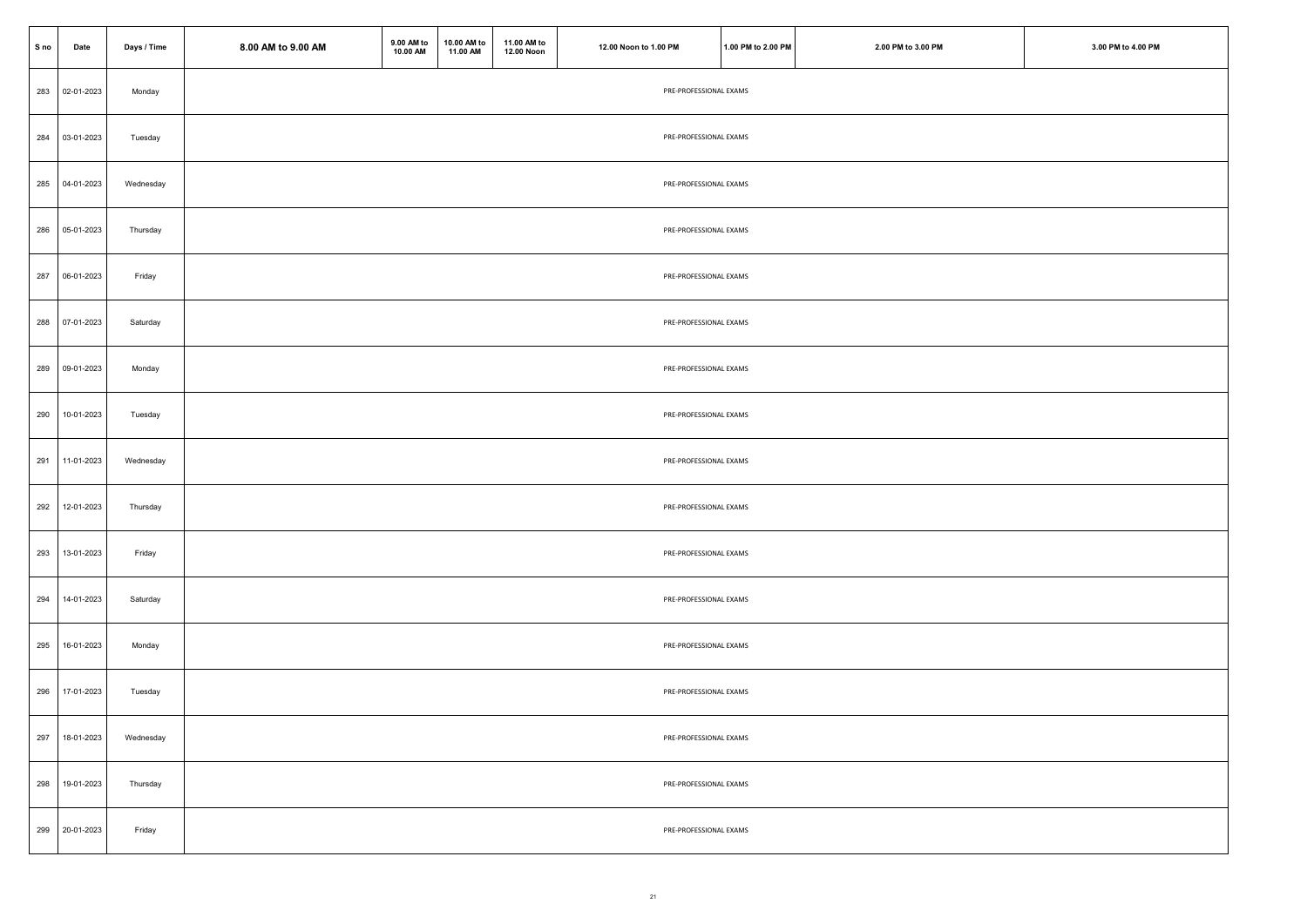| S no | Date           | Days / Time | 8.00 AM to 9.00 AM | 9.00 AM to<br>10.00 AM | 10.00 AM to<br>11.00 AM | 11.00 AM to<br>12.00 Noon | 12.00 Noon to 1.00 PM  | 1.00 PM to 2.00 PM | 2.00 PM to 3.00 PM | 3.00 PM to 4.00 PM |
|------|----------------|-------------|--------------------|------------------------|-------------------------|---------------------------|------------------------|--------------------|--------------------|--------------------|
| 283  | 02-01-2023     | Monday      |                    |                        |                         |                           | PRE-PROFESSIONAL EXAMS |                    |                    |                    |
|      | 284 03-01-2023 | Tuesday     |                    |                        |                         |                           | PRE-PROFESSIONAL EXAMS |                    |                    |                    |
| 285  | 04-01-2023     | Wednesday   |                    |                        |                         |                           | PRE-PROFESSIONAL EXAMS |                    |                    |                    |
| 286  | 05-01-2023     | Thursday    |                    |                        |                         |                           | PRE-PROFESSIONAL EXAMS |                    |                    |                    |
| 287  | 06-01-2023     | Friday      |                    |                        |                         |                           | PRE-PROFESSIONAL EXAMS |                    |                    |                    |
| 288  | 07-01-2023     | Saturday    |                    |                        |                         |                           | PRE-PROFESSIONAL EXAMS |                    |                    |                    |
| 289  | 09-01-2023     | Monday      |                    |                        |                         |                           | PRE-PROFESSIONAL EXAMS |                    |                    |                    |
| 290  | 10-01-2023     | Tuesday     |                    |                        |                         |                           | PRE-PROFESSIONAL EXAMS |                    |                    |                    |
| 291  | 11-01-2023     | Wednesday   |                    |                        |                         |                           | PRE-PROFESSIONAL EXAMS |                    |                    |                    |
| 292  | 12-01-2023     | Thursday    |                    |                        |                         |                           | PRE-PROFESSIONAL EXAMS |                    |                    |                    |
| 293  | 13-01-2023     | Friday      |                    |                        |                         |                           | PRE-PROFESSIONAL EXAMS |                    |                    |                    |
| 294  | 14-01-2023     | Saturday    |                    |                        |                         |                           | PRE-PROFESSIONAL EXAMS |                    |                    |                    |
| 295  | 16-01-2023     | Monday      |                    |                        |                         |                           | PRE-PROFESSIONAL EXAMS |                    |                    |                    |
| 296  | 17-01-2023     | Tuesday     |                    |                        |                         |                           | PRE-PROFESSIONAL EXAMS |                    |                    |                    |
| 297  | 18-01-2023     | Wednesday   |                    |                        |                         |                           | PRE-PROFESSIONAL EXAMS |                    |                    |                    |
| 298  | 19-01-2023     | Thursday    |                    |                        |                         |                           | PRE-PROFESSIONAL EXAMS |                    |                    |                    |
| 299  | 20-01-2023     | Friday      |                    |                        |                         |                           | PRE-PROFESSIONAL EXAMS |                    |                    |                    |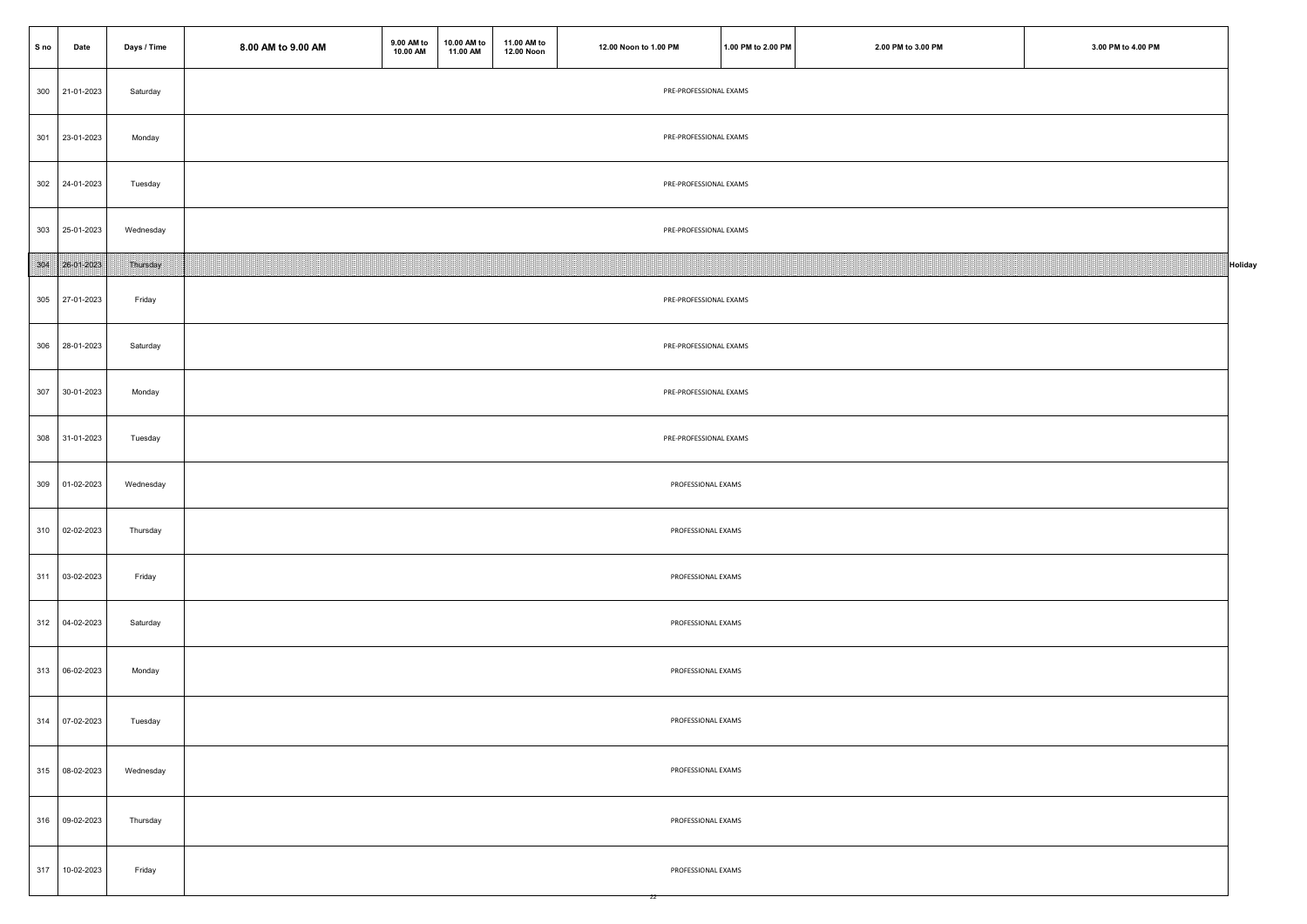| S no        | Date           | Days / Time | 8.00 AM to 9.00 AM | 9.00 AM to<br>10.00 AM | 10.00 AM to<br>11.00 AM | 11.00 AM to<br>12.00 Noon | 12.00 Noon to 1.00 PM  | 1.00 PM to 2.00 PM | 2.00 PM to 3.00 PM | 3.00 PM to 4.00 PM |         |
|-------------|----------------|-------------|--------------------|------------------------|-------------------------|---------------------------|------------------------|--------------------|--------------------|--------------------|---------|
| 300         | 21-01-2023     | Saturday    |                    |                        |                         |                           | PRE-PROFESSIONAL EXAMS |                    |                    |                    |         |
| 301         | 23-01-2023     | Monday      |                    |                        |                         |                           | PRE-PROFESSIONAL EXAMS |                    |                    |                    |         |
| 302         | 24-01-2023     | Tuesday     |                    |                        |                         |                           | PRE-PROFESSIONAL EXAMS |                    |                    |                    |         |
| 303         | 25-01-2023     | Wednesday   |                    |                        |                         |                           | PRE-PROFESSIONAL EXAMS |                    |                    |                    |         |
| <u>noor</u> | 26-01-2023     | Thursday    |                    |                        |                         |                           |                        |                    |                    |                    | Holiday |
| 305         | 27-01-2023     | Friday      |                    |                        |                         |                           | PRE-PROFESSIONAL EXAMS |                    |                    |                    |         |
| 306         | 28-01-2023     | Saturday    |                    |                        |                         |                           | PRE-PROFESSIONAL EXAMS |                    |                    |                    |         |
| 307         | 30-01-2023     | Monday      |                    |                        |                         |                           | PRE-PROFESSIONAL EXAMS |                    |                    |                    |         |
| 308         | 31-01-2023     | Tuesday     |                    |                        |                         |                           | PRE-PROFESSIONAL EXAMS |                    |                    |                    |         |
| 309         | 01-02-2023     | Wednesday   |                    |                        |                         |                           | PROFESSIONAL EXAMS     |                    |                    |                    |         |
| 310         | 02-02-2023     | Thursday    |                    |                        |                         |                           | PROFESSIONAL EXAMS     |                    |                    |                    |         |
| 311         | 03-02-2023     | Friday      |                    |                        |                         |                           | PROFESSIONAL EXAMS     |                    |                    |                    |         |
| 312         | 04-02-2023     | Saturday    |                    |                        |                         |                           | PROFESSIONAL EXAMS     |                    |                    |                    |         |
|             | 313 06-02-2023 | Monday      |                    |                        |                         |                           | PROFESSIONAL EXAMS     |                    |                    |                    |         |
|             | 314 07-02-2023 | Tuesday     |                    |                        |                         |                           | PROFESSIONAL EXAMS     |                    |                    |                    |         |
|             | 315 08-02-2023 | Wednesday   |                    |                        |                         |                           | PROFESSIONAL EXAMS     |                    |                    |                    |         |
|             | 316 09-02-2023 | Thursday    |                    |                        |                         |                           | PROFESSIONAL EXAMS     |                    |                    |                    |         |
| 317         | 10-02-2023     | Friday      |                    |                        |                         |                           | PROFESSIONAL EXAMS     |                    |                    |                    |         |
|             |                |             |                    |                        |                         |                           |                        |                    |                    |                    |         |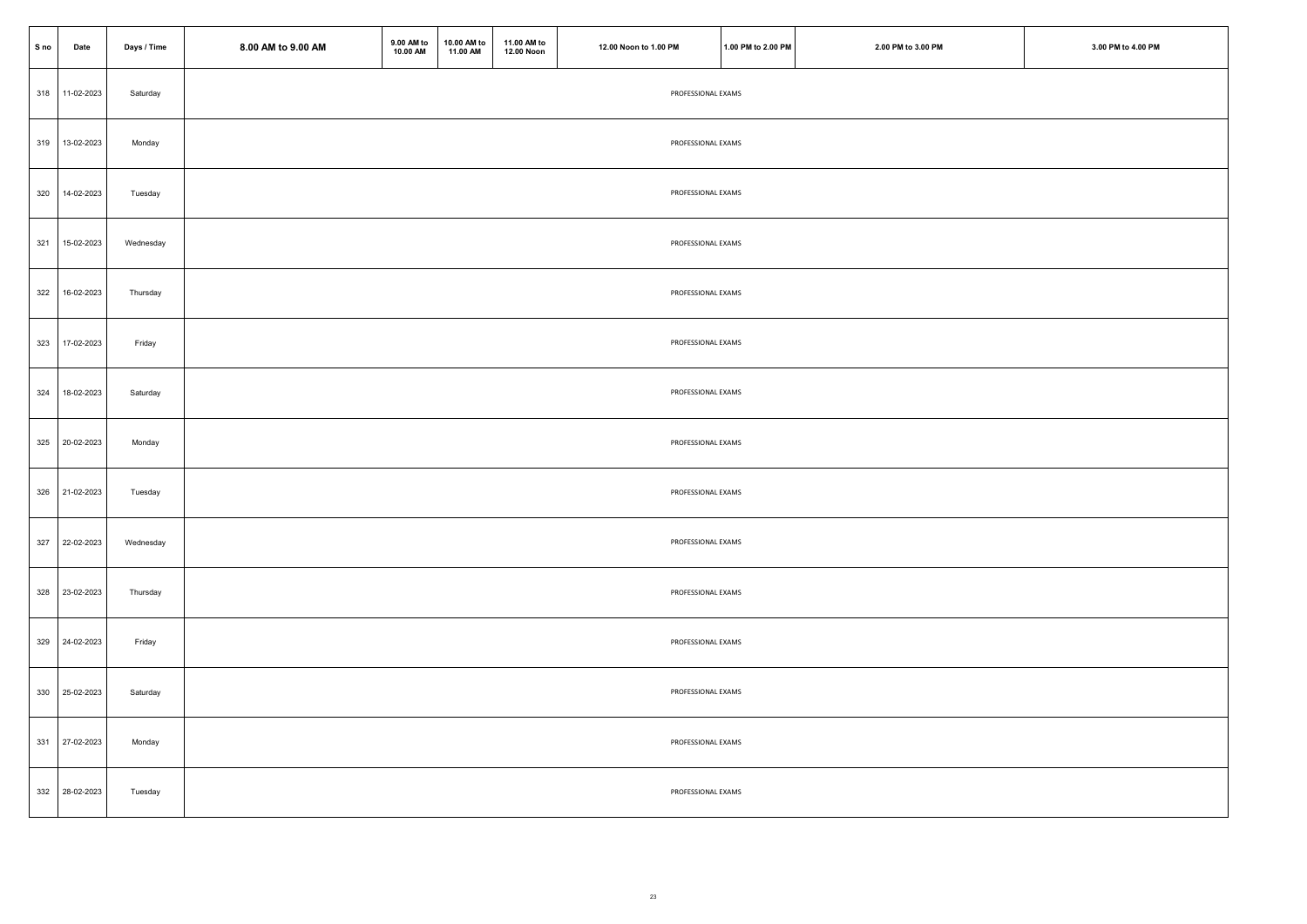| S no | Date           | Days / Time | 8.00 AM to 9.00 AM | 9.00 AM to<br>10.00 AM | 10.00 AM to<br>11.00 AM | 11.00 AM to<br>12.00 Noon | 12.00 Noon to 1.00 PM | 1.00 PM to 2.00 PM | 2.00 PM to 3.00 PM | 3.00 PM to 4.00 PM |
|------|----------------|-------------|--------------------|------------------------|-------------------------|---------------------------|-----------------------|--------------------|--------------------|--------------------|
| 318  | 11-02-2023     | Saturday    |                    |                        |                         |                           | PROFESSIONAL EXAMS    |                    |                    |                    |
| 319  | 13-02-2023     | Monday      |                    |                        |                         |                           | PROFESSIONAL EXAMS    |                    |                    |                    |
| 320  | 14-02-2023     | Tuesday     |                    |                        |                         |                           | PROFESSIONAL EXAMS    |                    |                    |                    |
| 321  | 15-02-2023     | Wednesday   |                    |                        |                         |                           | PROFESSIONAL EXAMS    |                    |                    |                    |
| 322  | 16-02-2023     | Thursday    |                    |                        |                         |                           | PROFESSIONAL EXAMS    |                    |                    |                    |
| 323  | 17-02-2023     | Friday      |                    |                        |                         |                           | PROFESSIONAL EXAMS    |                    |                    |                    |
| 324  | 18-02-2023     | Saturday    |                    |                        |                         |                           | PROFESSIONAL EXAMS    |                    |                    |                    |
| 325  | 20-02-2023     | Monday      |                    |                        |                         |                           | PROFESSIONAL EXAMS    |                    |                    |                    |
|      | 326 21-02-2023 | Tuesday     |                    |                        |                         |                           | PROFESSIONAL EXAMS    |                    |                    |                    |
| 327  | 22-02-2023     | Wednesday   |                    |                        |                         |                           | PROFESSIONAL EXAMS    |                    |                    |                    |
| 328  | 23-02-2023     | Thursday    |                    |                        |                         |                           | PROFESSIONAL EXAMS    |                    |                    |                    |
|      | 329 24-02-2023 | Friday      |                    |                        |                         |                           | PROFESSIONAL EXAMS    |                    |                    |                    |
| 330  | 25-02-2023     | Saturday    |                    |                        |                         |                           | PROFESSIONAL EXAMS    |                    |                    |                    |
|      | 331 27-02-2023 | Monday      |                    |                        |                         |                           | PROFESSIONAL EXAMS    |                    |                    |                    |
| 332  | 28-02-2023     | Tuesday     |                    |                        |                         |                           | PROFESSIONAL EXAMS    |                    |                    |                    |